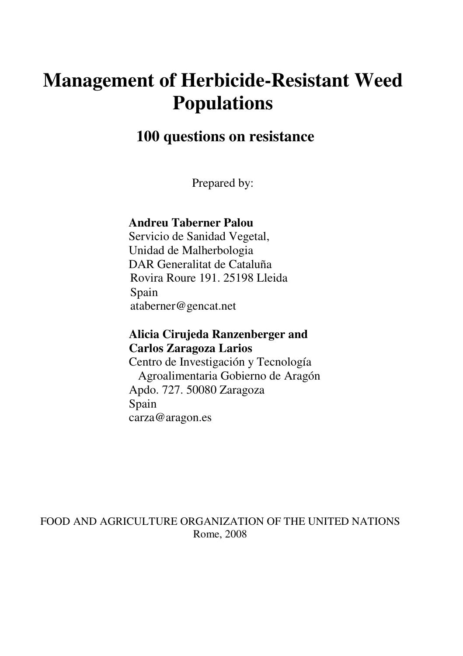# **Management of Herbicide-Resistant Weed Populations**

# **100 questions on resistance**

Prepared by:

#### **Andreu Taberner Palou**

Servicio de Sanidad Vegetal, Unidad de Malherbologia DAR Generalitat de Cataluña Rovira Roure 191. 25198 Lleida Spain ataberner@gencat.net

#### **Alicia Cirujeda Ranzenberger and Carlos Zaragoza Larios**

Centro de Investigación y Tecnología Agroalimentaria Gobierno de Aragón Apdo. 727. 50080 Zaragoza Spain carza@aragon.es

FOOD AND AGRICULTURE ORGANIZATION OF THE UNITED NATIONS Rome, 2008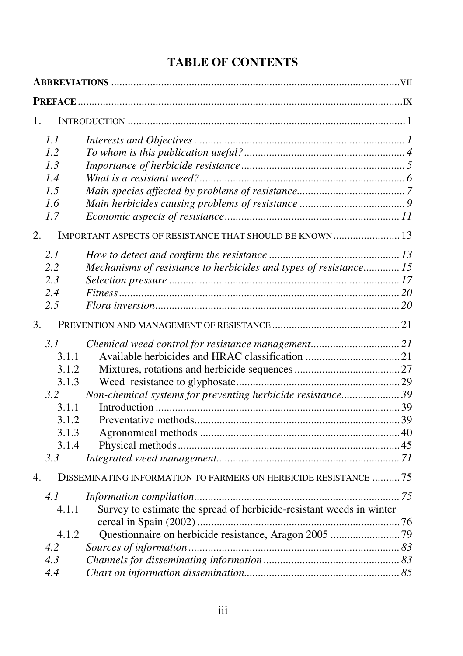# **TABLE OF CONTENTS**

| 1.               |       |                                                                      |  |  |
|------------------|-------|----------------------------------------------------------------------|--|--|
|                  | 1.1   |                                                                      |  |  |
|                  | 1.2   |                                                                      |  |  |
|                  | 1.3   |                                                                      |  |  |
|                  | 1.4   |                                                                      |  |  |
|                  | 1.5   |                                                                      |  |  |
|                  | 1.6   |                                                                      |  |  |
|                  | 1.7   |                                                                      |  |  |
| 2.               |       | IMPORTANT ASPECTS OF RESISTANCE THAT SHOULD BE KNOWN 13              |  |  |
|                  | 2.1   |                                                                      |  |  |
|                  | 2.2   | Mechanisms of resistance to herbicides and types of resistance 15    |  |  |
|                  | 2.3   |                                                                      |  |  |
|                  | 2.4   |                                                                      |  |  |
|                  | 2.5   |                                                                      |  |  |
| 3.               |       |                                                                      |  |  |
|                  | 3.1   | Chemical weed control for resistance management 21                   |  |  |
|                  | 3.1.1 |                                                                      |  |  |
|                  | 3.1.2 |                                                                      |  |  |
|                  | 3.1.3 |                                                                      |  |  |
|                  | 3.2   | Non-chemical systems for preventing herbicide resistance39           |  |  |
|                  | 3.1.1 |                                                                      |  |  |
|                  | 3.1.2 |                                                                      |  |  |
|                  | 3.1.3 |                                                                      |  |  |
|                  | 3.1.4 |                                                                      |  |  |
|                  | 3.3   |                                                                      |  |  |
| $\overline{4}$ . |       | DISSEMINATING INFORMATION TO FARMERS ON HERBICIDE RESISTANCE 75      |  |  |
|                  | 4.1   |                                                                      |  |  |
|                  | 4.1.1 | Survey to estimate the spread of herbicide-resistant weeds in winter |  |  |
|                  |       |                                                                      |  |  |
|                  | 4.1.2 |                                                                      |  |  |
|                  | 4.2   |                                                                      |  |  |
|                  | 4.3   |                                                                      |  |  |
|                  | 4.4   |                                                                      |  |  |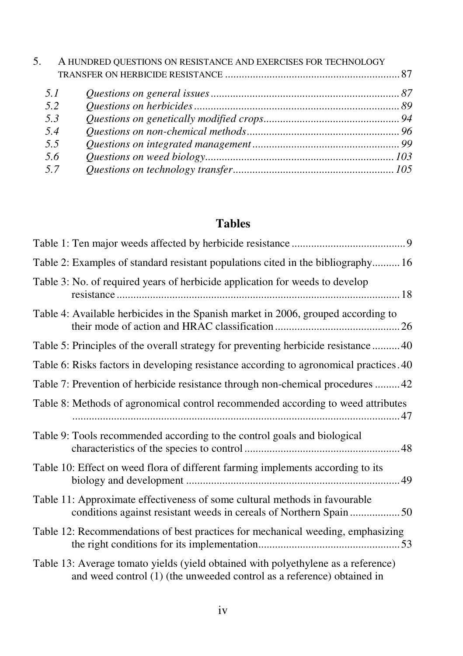| 5. |     | A HUNDRED QUESTIONS ON RESISTANCE AND EXERCISES FOR TECHNOLOGY |  |
|----|-----|----------------------------------------------------------------|--|
|    |     |                                                                |  |
|    | 5.1 |                                                                |  |
|    | 5.2 |                                                                |  |
|    | 5.3 |                                                                |  |
|    | 5.4 |                                                                |  |
|    | 5.5 |                                                                |  |
|    | 5.6 |                                                                |  |
|    | 57  |                                                                |  |

# **Tables**

| Table 2: Examples of standard resistant populations cited in the bibliography16                                                                               |
|---------------------------------------------------------------------------------------------------------------------------------------------------------------|
| Table 3: No. of required years of herbicide application for weeds to develop                                                                                  |
| Table 4: Available herbicides in the Spanish market in 2006, grouped according to                                                                             |
| Table 5: Principles of the overall strategy for preventing herbicide resistance  40                                                                           |
| Table 6: Risks factors in developing resistance according to agronomical practices. 40                                                                        |
| Table 7: Prevention of herbicide resistance through non-chemical procedures 42                                                                                |
| Table 8: Methods of agronomical control recommended according to weed attributes                                                                              |
| Table 9: Tools recommended according to the control goals and biological                                                                                      |
| Table 10: Effect on weed flora of different farming implements according to its                                                                               |
| Table 11: Approximate effectiveness of some cultural methods in favourable                                                                                    |
| Table 12: Recommendations of best practices for mechanical weeding, emphasizing                                                                               |
| Table 13: Average tomato yields (yield obtained with polyethylene as a reference)<br>and weed control $(1)$ (the unweeded control as a reference) obtained in |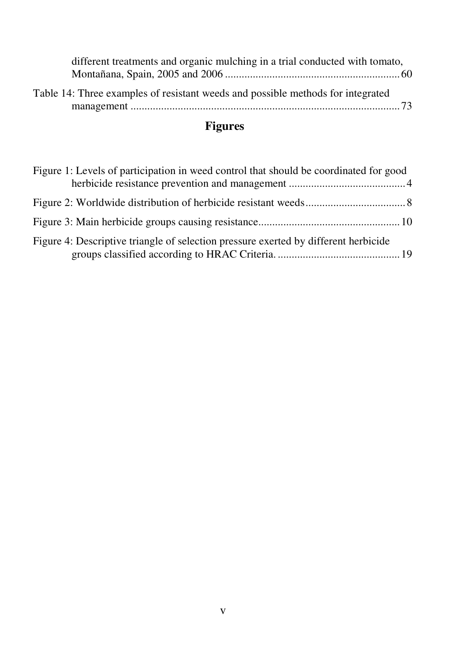| different treatments and organic mulching in a trial conducted with tomato,     |  |
|---------------------------------------------------------------------------------|--|
|                                                                                 |  |
| Table 14: Three examples of resistant weeds and possible methods for integrated |  |

# **Figures**

| Figure 1: Levels of participation in weed control that should be coordinated for good |  |
|---------------------------------------------------------------------------------------|--|
|                                                                                       |  |
|                                                                                       |  |
| Figure 4: Descriptive triangle of selection pressure exerted by different herbicide   |  |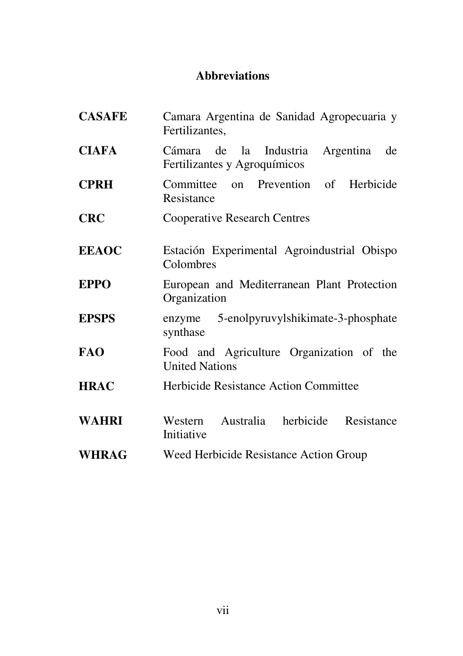# **Abbreviations**

| <b>CASAFE</b> | Camara Argentina de Sanidad Agropecuaria y<br>Fertilizantes,           |  |  |
|---------------|------------------------------------------------------------------------|--|--|
| <b>CIAFA</b>  | Cámara de la Industria Argentina<br>de<br>Fertilizantes y Agroquímicos |  |  |
| <b>CPRH</b>   | Committee on Prevention of Herbicide<br>Resistance                     |  |  |
| <b>CRC</b>    | <b>Cooperative Research Centres</b>                                    |  |  |
| <b>EEAOC</b>  | Estación Experimental Agroindustrial Obispo<br>Colombres               |  |  |
| <b>EPPO</b>   | European and Mediterranean Plant Protection<br>Organization            |  |  |
| <b>EPSPS</b>  | 5-enolpyruvylshikimate-3-phosphate<br>enzyme<br>synthase               |  |  |
| <b>FAO</b>    | Food and Agriculture Organization of the<br><b>United Nations</b>      |  |  |
| <b>HRAC</b>   | Herbicide Resistance Action Committee                                  |  |  |
| <b>WAHRI</b>  | Western Australia herbicide<br>Resistance<br>Initiative                |  |  |
| <b>WHRAG</b>  | Weed Herbicide Resistance Action Group                                 |  |  |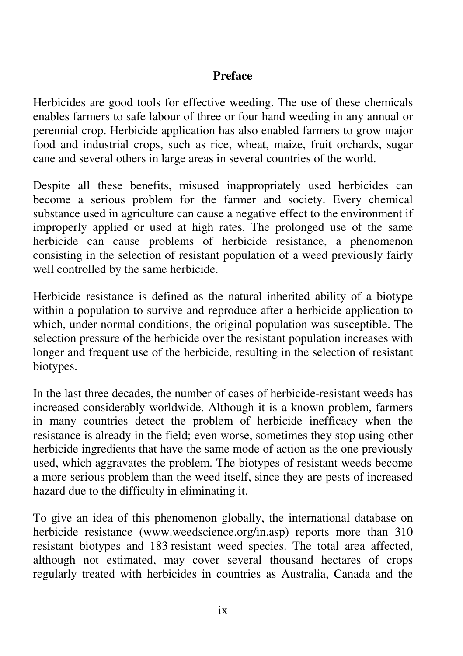#### **Preface**

Herbicides are good tools for effective weeding. The use of these chemicals enables farmers to safe labour of three or four hand weeding in any annual or perennial crop. Herbicide application has also enabled farmers to grow major food and industrial crops, such as rice, wheat, maize, fruit orchards, sugar cane and several others in large areas in several countries of the world.

Despite all these benefits, misused inappropriately used herbicides can become a serious problem for the farmer and society. Every chemical substance used in agriculture can cause a negative effect to the environment if improperly applied or used at high rates. The prolonged use of the same herbicide can cause problems of herbicide resistance, a phenomenon consisting in the selection of resistant population of a weed previously fairly well controlled by the same herbicide.

Herbicide resistance is defined as the natural inherited ability of a biotype within a population to survive and reproduce after a herbicide application to which, under normal conditions, the original population was susceptible. The selection pressure of the herbicide over the resistant population increases with longer and frequent use of the herbicide, resulting in the selection of resistant biotypes.

In the last three decades, the number of cases of herbicide-resistant weeds has increased considerably worldwide. Although it is a known problem, farmers in many countries detect the problem of herbicide inefficacy when the resistance is already in the field; even worse, sometimes they stop using other herbicide ingredients that have the same mode of action as the one previously used, which aggravates the problem. The biotypes of resistant weeds become a more serious problem than the weed itself, since they are pests of increased hazard due to the difficulty in eliminating it.

To give an idea of this phenomenon globally, the international database on herbicide resistance (www.weedscience.org/in.asp) reports more than 310 resistant biotypes and 183 resistant weed species. The total area affected, although not estimated, may cover several thousand hectares of crops regularly treated with herbicides in countries as Australia, Canada and the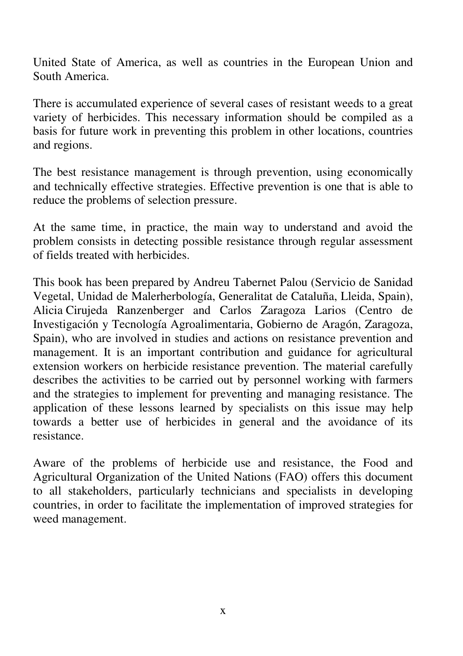United State of America, as well as countries in the European Union and South America.

There is accumulated experience of several cases of resistant weeds to a great variety of herbicides. This necessary information should be compiled as a basis for future work in preventing this problem in other locations, countries and regions.

The best resistance management is through prevention, using economically and technically effective strategies. Effective prevention is one that is able to reduce the problems of selection pressure.

At the same time, in practice, the main way to understand and avoid the problem consists in detecting possible resistance through regular assessment of fields treated with herbicides.

This book has been prepared by Andreu Tabernet Palou (Servicio de Sanidad Vegetal, Unidad de Malerherbología, Generalitat de Cataluña, Lleida, Spain), Alicia Cirujeda Ranzenberger and Carlos Zaragoza Larios (Centro de Investigación y Tecnología Agroalimentaria, Gobierno de Aragón, Zaragoza, Spain), who are involved in studies and actions on resistance prevention and management. It is an important contribution and guidance for agricultural extension workers on herbicide resistance prevention. The material carefully describes the activities to be carried out by personnel working with farmers and the strategies to implement for preventing and managing resistance. The application of these lessons learned by specialists on this issue may help towards a better use of herbicides in general and the avoidance of its resistance.

Aware of the problems of herbicide use and resistance, the Food and Agricultural Organization of the United Nations (FAO) offers this document to all stakeholders, particularly technicians and specialists in developing countries, in order to facilitate the implementation of improved strategies for weed management.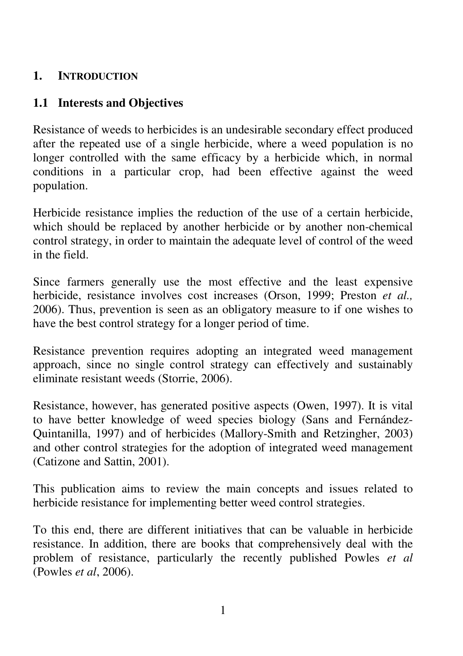### **1. INTRODUCTION**

# **1.1 Interests and Objectives**

Resistance of weeds to herbicides is an undesirable secondary effect produced after the repeated use of a single herbicide, where a weed population is no longer controlled with the same efficacy by a herbicide which, in normal conditions in a particular crop, had been effective against the weed population.

Herbicide resistance implies the reduction of the use of a certain herbicide, which should be replaced by another herbicide or by another non-chemical control strategy, in order to maintain the adequate level of control of the weed in the field.

Since farmers generally use the most effective and the least expensive herbicide, resistance involves cost increases (Orson, 1999; Preston *et al.,* 2006). Thus, prevention is seen as an obligatory measure to if one wishes to have the best control strategy for a longer period of time.

Resistance prevention requires adopting an integrated weed management approach, since no single control strategy can effectively and sustainably eliminate resistant weeds (Storrie, 2006).

Resistance, however, has generated positive aspects (Owen, 1997). It is vital to have better knowledge of weed species biology (Sans and Fernández-Quintanilla, 1997) and of herbicides (Mallory-Smith and Retzingher, 2003) and other control strategies for the adoption of integrated weed management (Catizone and Sattin, 2001).

This publication aims to review the main concepts and issues related to herbicide resistance for implementing better weed control strategies.

To this end, there are different initiatives that can be valuable in herbicide resistance. In addition, there are books that comprehensively deal with the problem of resistance, particularly the recently published Powles *et al* (Powles *et al*, 2006).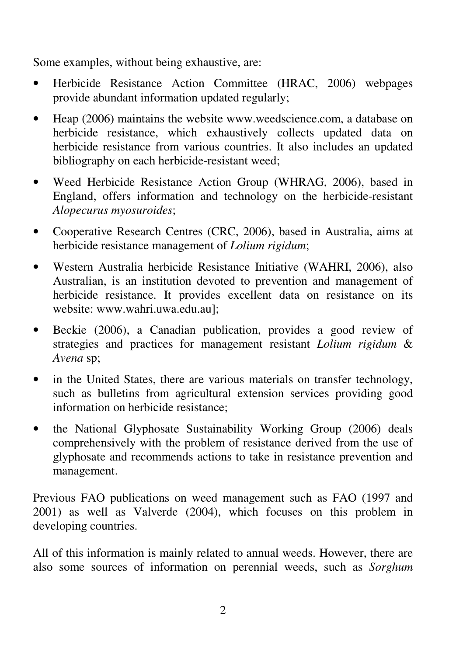Some examples, without being exhaustive, are:

- Herbicide Resistance Action Committee (HRAC, 2006) webpages provide abundant information updated regularly;
- Heap (2006) maintains the website www.weedscience.com, a database on herbicide resistance, which exhaustively collects updated data on herbicide resistance from various countries. It also includes an updated bibliography on each herbicide-resistant weed;
- Weed Herbicide Resistance Action Group (WHRAG, 2006), based in England, offers information and technology on the herbicide-resistant *Alopecurus myosuroides*;
- Cooperative Research Centres (CRC, 2006), based in Australia, aims at herbicide resistance management of *Lolium rigidum*;
- Western Australia herbicide Resistance Initiative (WAHRI, 2006), also Australian, is an institution devoted to prevention and management of herbicide resistance. It provides excellent data on resistance on its website: www.wahri.uwa.edu.au];
- Beckie (2006), a Canadian publication, provides a good review of strategies and practices for management resistant *Lolium rigidum* & *Avena* sp;
- in the United States, there are various materials on transfer technology, such as bulletins from agricultural extension services providing good information on herbicide resistance;
- the National Glyphosate Sustainability Working Group (2006) deals comprehensively with the problem of resistance derived from the use of glyphosate and recommends actions to take in resistance prevention and management.

Previous FAO publications on weed management such as FAO (1997 and 2001) as well as Valverde (2004), which focuses on this problem in developing countries.

All of this information is mainly related to annual weeds. However, there are also some sources of information on perennial weeds, such as *Sorghum*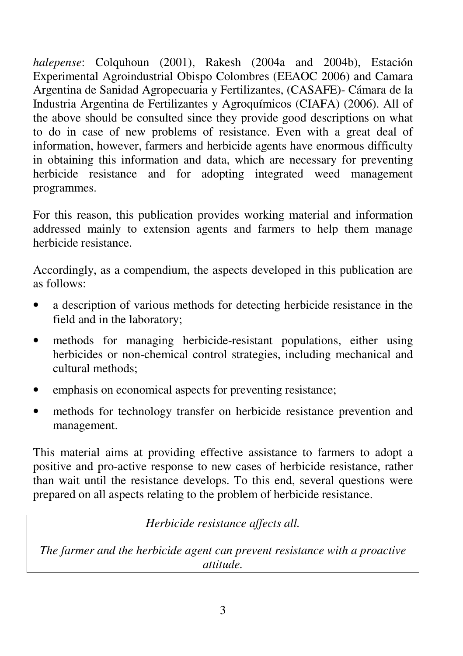*halepense*: Colquhoun (2001), Rakesh (2004a and 2004b), Estación Experimental Agroindustrial Obispo Colombres (EEAOC 2006) and Camara Argentina de Sanidad Agropecuaria y Fertilizantes, (CASAFE)- Cámara de la Industria Argentina de Fertilizantes y Agroquímicos (CIAFA) (2006). All of the above should be consulted since they provide good descriptions on what to do in case of new problems of resistance. Even with a great deal of information, however, farmers and herbicide agents have enormous difficulty in obtaining this information and data, which are necessary for preventing herbicide resistance and for adopting integrated weed management programmes.

For this reason, this publication provides working material and information addressed mainly to extension agents and farmers to help them manage herbicide resistance.

Accordingly, as a compendium, the aspects developed in this publication are as follows:

- a description of various methods for detecting herbicide resistance in the field and in the laboratory;
- methods for managing herbicide-resistant populations, either using herbicides or non-chemical control strategies, including mechanical and cultural methods;
- emphasis on economical aspects for preventing resistance;
- methods for technology transfer on herbicide resistance prevention and management.

This material aims at providing effective assistance to farmers to adopt a positive and pro-active response to new cases of herbicide resistance, rather than wait until the resistance develops. To this end, several questions were prepared on all aspects relating to the problem of herbicide resistance.

*Herbicide resistance affects all.* 

*The farmer and the herbicide agent can prevent resistance with a proactive attitude.*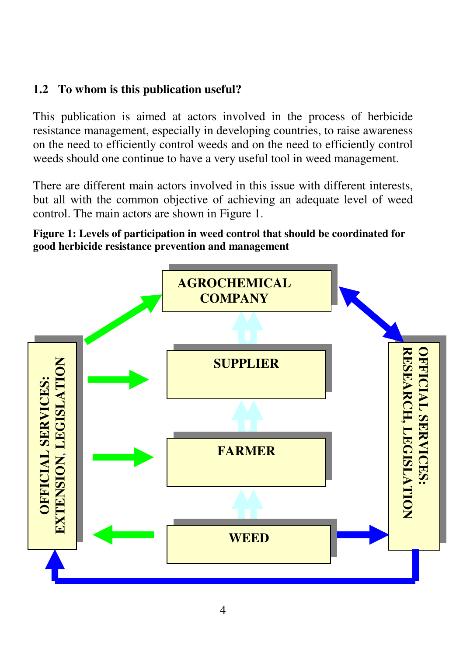# **1.2 To whom is this publication useful?**

This publication is aimed at actors involved in the process of herbicide resistance management, especially in developing countries, to raise awareness on the need to efficiently control weeds and on the need to efficiently control weeds should one continue to have a very useful tool in weed management.

There are different main actors involved in this issue with different interests, but all with the common objective of achieving an adequate level of weed control. The main actors are shown in Figure 1.

**Figure 1: Levels of participation in weed control that should be coordinated for good herbicide resistance prevention and management**

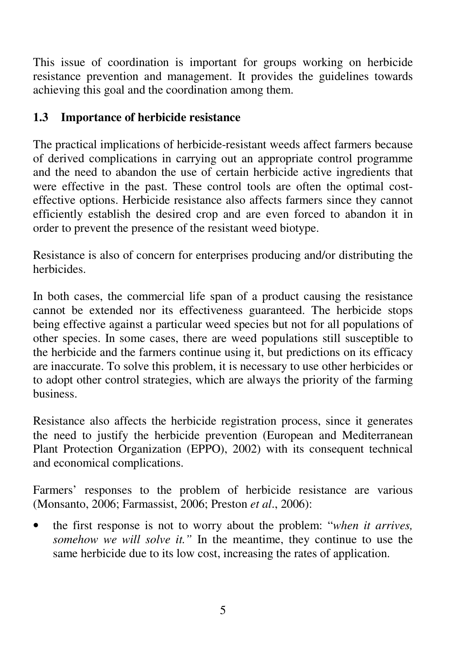This issue of coordination is important for groups working on herbicide resistance prevention and management. It provides the guidelines towards achieving this goal and the coordination among them.

# **1.3 Importance of herbicide resistance**

The practical implications of herbicide-resistant weeds affect farmers because of derived complications in carrying out an appropriate control programme and the need to abandon the use of certain herbicide active ingredients that were effective in the past. These control tools are often the optimal costeffective options. Herbicide resistance also affects farmers since they cannot efficiently establish the desired crop and are even forced to abandon it in order to prevent the presence of the resistant weed biotype.

Resistance is also of concern for enterprises producing and/or distributing the herbicides.

In both cases, the commercial life span of a product causing the resistance cannot be extended nor its effectiveness guaranteed. The herbicide stops being effective against a particular weed species but not for all populations of other species. In some cases, there are weed populations still susceptible to the herbicide and the farmers continue using it, but predictions on its efficacy are inaccurate. To solve this problem, it is necessary to use other herbicides or to adopt other control strategies, which are always the priority of the farming business.

Resistance also affects the herbicide registration process, since it generates the need to justify the herbicide prevention (European and Mediterranean Plant Protection Organization (EPPO), 2002) with its consequent technical and economical complications.

Farmers' responses to the problem of herbicide resistance are various (Monsanto, 2006; Farmassist, 2006; Preston *et al*., 2006):

• the first response is not to worry about the problem: "*when it arrives, somehow we will solve it."* In the meantime, they continue to use the same herbicide due to its low cost, increasing the rates of application.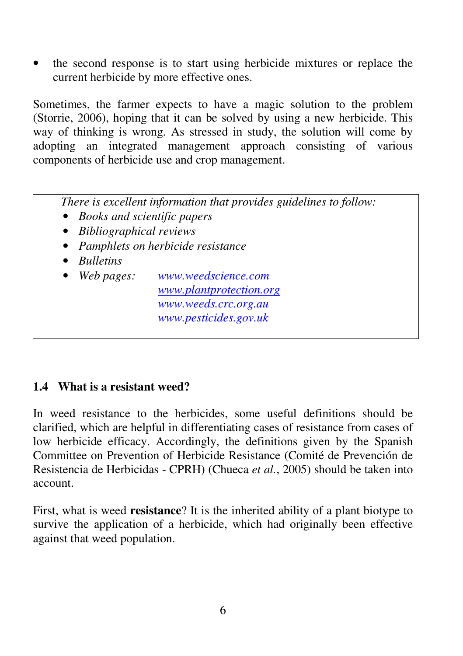• the second response is to start using herbicide mixtures or replace the current herbicide by more effective ones.

Sometimes, the farmer expects to have a magic solution to the problem (Storrie, 2006), hoping that it can be solved by using a new herbicide. This way of thinking is wrong. As stressed in study, the solution will come by adopting an integrated management approach consisting of various components of herbicide use and crop management.

 *There is excellent information that provides guidelines to follow:* 

- *Books and scientific papers*
- *Bibliographical reviews*
- *Pamphlets on herbicide resistance*
- *Bulletins*
- *Web pages: www.weedscience.com www.plantprotection.org www.weeds.crc.org.au www.pesticides.gov.uk*

# **1.4 What is a resistant weed?**

In weed resistance to the herbicides, some useful definitions should be clarified, which are helpful in differentiating cases of resistance from cases of low herbicide efficacy. Accordingly, the definitions given by the Spanish Committee on Prevention of Herbicide Resistance (Comité de Prevención de Resistencia de Herbicidas - CPRH) (Chueca *et al.*, 2005) should be taken into account.

First, what is weed **resistance**? It is the inherited ability of a plant biotype to survive the application of a herbicide, which had originally been effective against that weed population.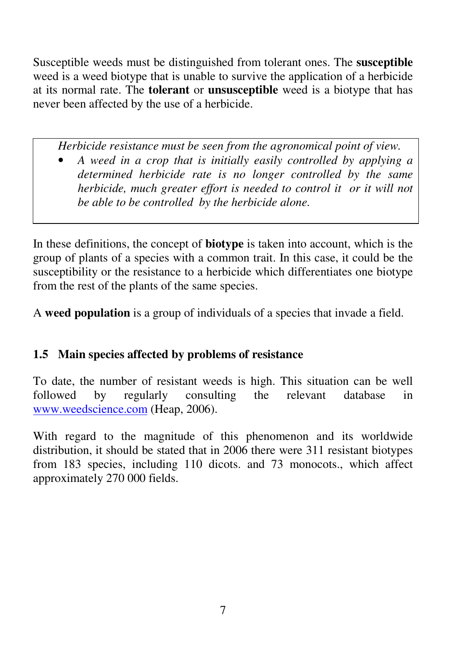Susceptible weeds must be distinguished from tolerant ones. The **susceptible**  weed is a weed biotype that is unable to survive the application of a herbicide at its normal rate. The **tolerant** or **unsusceptible** weed is a biotype that has never been affected by the use of a herbicide.

*Herbicide resistance must be seen from the agronomical point of view.* 

• *A weed in a crop that is initially easily controlled by applying a determined herbicide rate is no longer controlled by the same herbicide, much greater effort is needed to control it or it will not be able to be controlled by the herbicide alone.* 

In these definitions, the concept of **biotype** is taken into account, which is the group of plants of a species with a common trait. In this case, it could be the susceptibility or the resistance to a herbicide which differentiates one biotype from the rest of the plants of the same species.

A **weed population** is a group of individuals of a species that invade a field.

# **1.5 Main species affected by problems of resistance**

To date, the number of resistant weeds is high. This situation can be well followed by regularly consulting the relevant database in www.weedscience.com (Heap, 2006).

With regard to the magnitude of this phenomenon and its worldwide distribution, it should be stated that in 2006 there were 311 resistant biotypes from 183 species, including 110 dicots. and 73 monocots., which affect approximately 270 000 fields.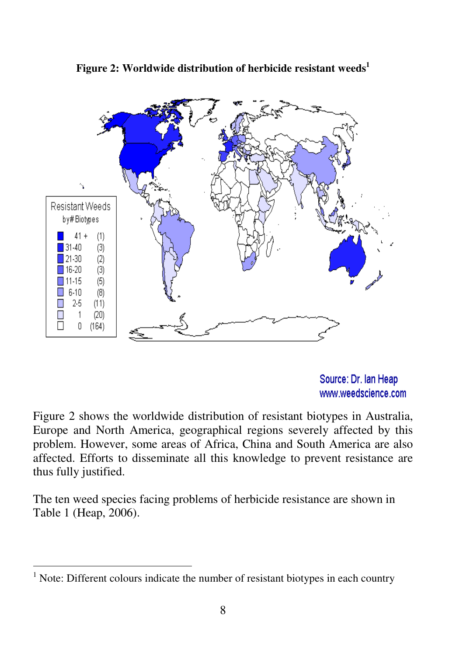

**Figure 2: Worldwide distribution of herbicide resistant weeds<sup>1</sup>**

Source: Dr. Ian Heap www.weedscience.com

Figure 2 shows the worldwide distribution of resistant biotypes in Australia, Europe and North America, geographical regions severely affected by this problem. However, some areas of Africa, China and South America are also affected. Efforts to disseminate all this knowledge to prevent resistance are thus fully justified.

The ten weed species facing problems of herbicide resistance are shown in Table 1 (Heap, 2006).

 1 Note: Different colours indicate the number of resistant biotypes in each country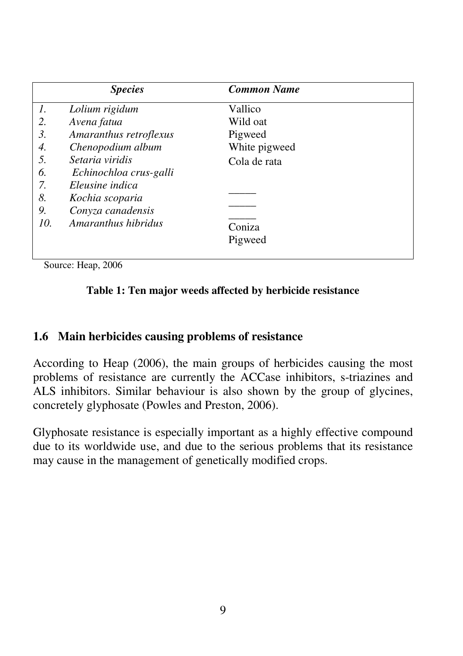|     | <b>Species</b>         | <b>Common Name</b> |
|-----|------------------------|--------------------|
| 1.  | Lolium rigidum         | Vallico            |
| 2.  | Avena fatua            | Wild oat           |
| 3.  | Amaranthus retroflexus | Pigweed            |
| 4.  | Chenopodium album      | White pigweed      |
| 5.  | Setaria viridis        | Cola de rata       |
| 6.  | Echinochloa crus-galli |                    |
| 7.  | Eleusine indica        |                    |
| 8.  | Kochia scoparia        |                    |
| 9.  | Conyza canadensis      |                    |
| 10. | Amaranthus hibridus    | Coniza             |
|     |                        | Pigweed            |
|     |                        |                    |

Source: Heap, 2006

#### **Table 1: Ten major weeds affected by herbicide resistance**

#### **1.6 Main herbicides causing problems of resistance**

According to Heap (2006), the main groups of herbicides causing the most problems of resistance are currently the ACCase inhibitors, s-triazines and ALS inhibitors. Similar behaviour is also shown by the group of glycines, concretely glyphosate (Powles and Preston, 2006).

Glyphosate resistance is especially important as a highly effective compound due to its worldwide use, and due to the serious problems that its resistance may cause in the management of genetically modified crops.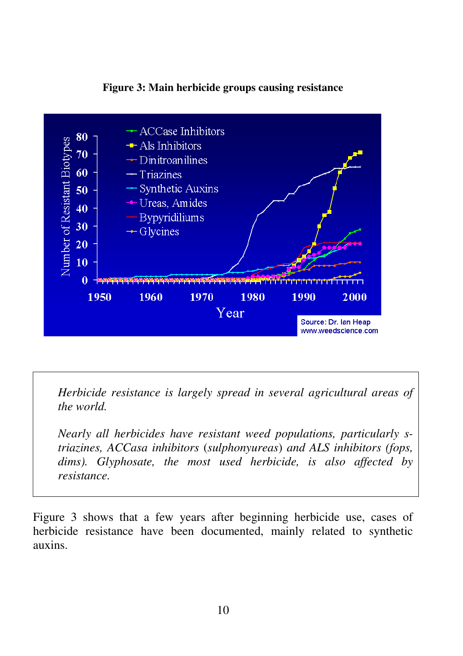

**Figure 3: Main herbicide groups causing resistance** 

*Herbicide resistance is largely spread in several agricultural areas of the world.* 

*Nearly all herbicides have resistant weed populations, particularly striazines, ACCasa inhibitors* (*sulphonyureas*) *and ALS inhibitors (fops, dims). Glyphosate, the most used herbicide, is also affected by resistance.* 

Figure 3 shows that a few years after beginning herbicide use, cases of herbicide resistance have been documented, mainly related to synthetic auxins.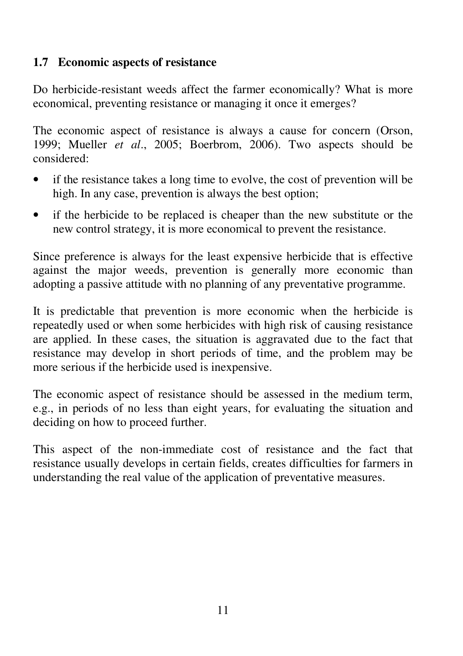# **1.7 Economic aspects of resistance**

Do herbicide-resistant weeds affect the farmer economically? What is more economical, preventing resistance or managing it once it emerges?

The economic aspect of resistance is always a cause for concern (Orson, 1999; Mueller *et al*., 2005; Boerbrom, 2006). Two aspects should be considered:

- if the resistance takes a long time to evolve, the cost of prevention will be high. In any case, prevention is always the best option;
- if the herbicide to be replaced is cheaper than the new substitute or the new control strategy, it is more economical to prevent the resistance.

Since preference is always for the least expensive herbicide that is effective against the major weeds, prevention is generally more economic than adopting a passive attitude with no planning of any preventative programme.

It is predictable that prevention is more economic when the herbicide is repeatedly used or when some herbicides with high risk of causing resistance are applied. In these cases, the situation is aggravated due to the fact that resistance may develop in short periods of time, and the problem may be more serious if the herbicide used is inexpensive.

The economic aspect of resistance should be assessed in the medium term, e.g., in periods of no less than eight years, for evaluating the situation and deciding on how to proceed further.

This aspect of the non-immediate cost of resistance and the fact that resistance usually develops in certain fields, creates difficulties for farmers in understanding the real value of the application of preventative measures.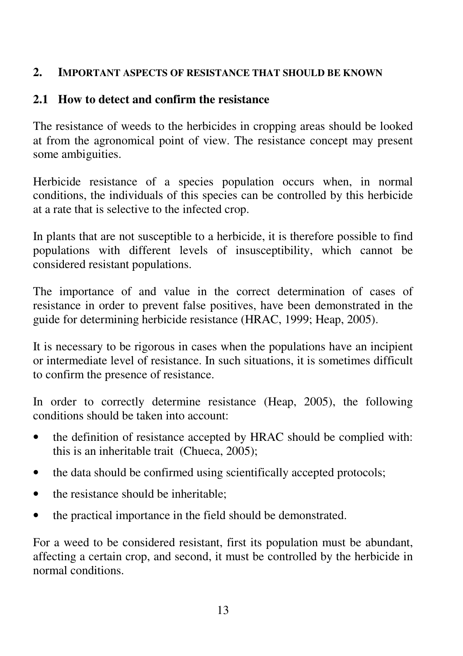#### **2. IMPORTANT ASPECTS OF RESISTANCE THAT SHOULD BE KNOWN**

### **2.1 How to detect and confirm the resistance**

The resistance of weeds to the herbicides in cropping areas should be looked at from the agronomical point of view. The resistance concept may present some ambiguities.

Herbicide resistance of a species population occurs when, in normal conditions, the individuals of this species can be controlled by this herbicide at a rate that is selective to the infected crop.

In plants that are not susceptible to a herbicide, it is therefore possible to find populations with different levels of insusceptibility, which cannot be considered resistant populations.

The importance of and value in the correct determination of cases of resistance in order to prevent false positives, have been demonstrated in the guide for determining herbicide resistance (HRAC, 1999; Heap, 2005).

It is necessary to be rigorous in cases when the populations have an incipient or intermediate level of resistance. In such situations, it is sometimes difficult to confirm the presence of resistance.

In order to correctly determine resistance (Heap, 2005), the following conditions should be taken into account:

- the definition of resistance accepted by HRAC should be complied with: this is an inheritable trait (Chueca, 2005);
- the data should be confirmed using scientifically accepted protocols;
- the resistance should be inheritable;
- the practical importance in the field should be demonstrated.

For a weed to be considered resistant, first its population must be abundant, affecting a certain crop, and second, it must be controlled by the herbicide in normal conditions.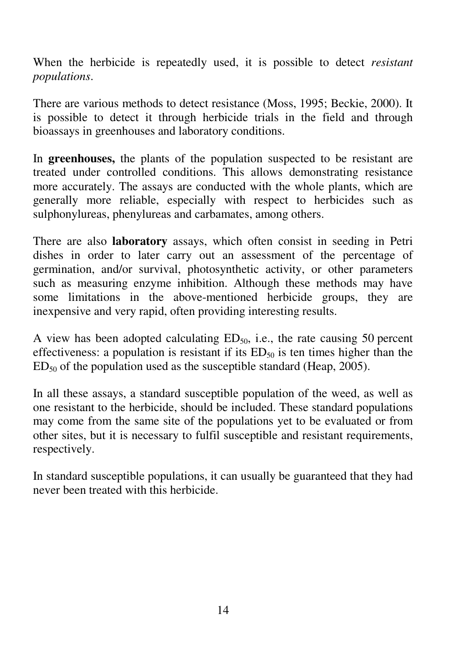When the herbicide is repeatedly used, it is possible to detect *resistant populations*.

There are various methods to detect resistance (Moss, 1995; Beckie, 2000). It is possible to detect it through herbicide trials in the field and through bioassays in greenhouses and laboratory conditions.

In **greenhouses,** the plants of the population suspected to be resistant are treated under controlled conditions. This allows demonstrating resistance more accurately. The assays are conducted with the whole plants, which are generally more reliable, especially with respect to herbicides such as sulphonylureas, phenylureas and carbamates, among others.

There are also **laboratory** assays, which often consist in seeding in Petri dishes in order to later carry out an assessment of the percentage of germination, and/or survival, photosynthetic activity, or other parameters such as measuring enzyme inhibition. Although these methods may have some limitations in the above-mentioned herbicide groups, they are inexpensive and very rapid, often providing interesting results.

A view has been adopted calculating  $ED_{50}$ , i.e., the rate causing 50 percent effectiveness: a population is resistant if its  $ED_{50}$  is ten times higher than the  $ED<sub>50</sub>$  of the population used as the susceptible standard (Heap, 2005).

In all these assays, a standard susceptible population of the weed, as well as one resistant to the herbicide, should be included. These standard populations may come from the same site of the populations yet to be evaluated or from other sites, but it is necessary to fulfil susceptible and resistant requirements, respectively.

In standard susceptible populations, it can usually be guaranteed that they had never been treated with this herbicide.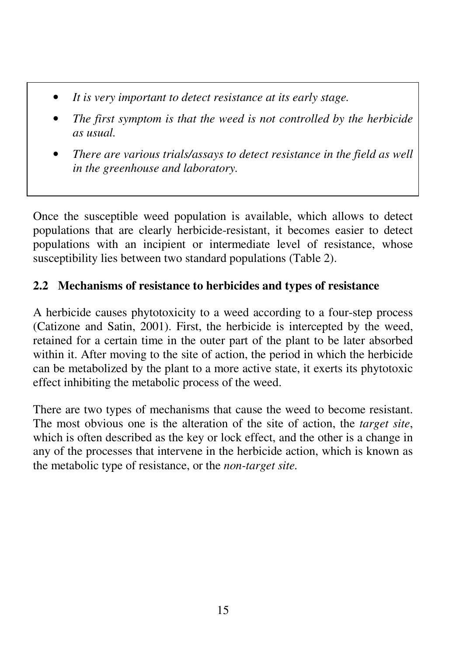- *It is very important to detect resistance at its early stage.*
- *The first symptom is that the weed is not controlled by the herbicide as usual.*
- *There are various trials/assays to detect resistance in the field as well in the greenhouse and laboratory.*

Once the susceptible weed population is available, which allows to detect populations that are clearly herbicide-resistant, it becomes easier to detect populations with an incipient or intermediate level of resistance, whose susceptibility lies between two standard populations (Table 2).

# **2.2 Mechanisms of resistance to herbicides and types of resistance**

A herbicide causes phytotoxicity to a weed according to a four-step process (Catizone and Satin, 2001). First, the herbicide is intercepted by the weed, retained for a certain time in the outer part of the plant to be later absorbed within it. After moving to the site of action, the period in which the herbicide can be metabolized by the plant to a more active state, it exerts its phytotoxic effect inhibiting the metabolic process of the weed.

There are two types of mechanisms that cause the weed to become resistant. The most obvious one is the alteration of the site of action, the *target site*, which is often described as the key or lock effect, and the other is a change in any of the processes that intervene in the herbicide action, which is known as the metabolic type of resistance, or the *non-target site.*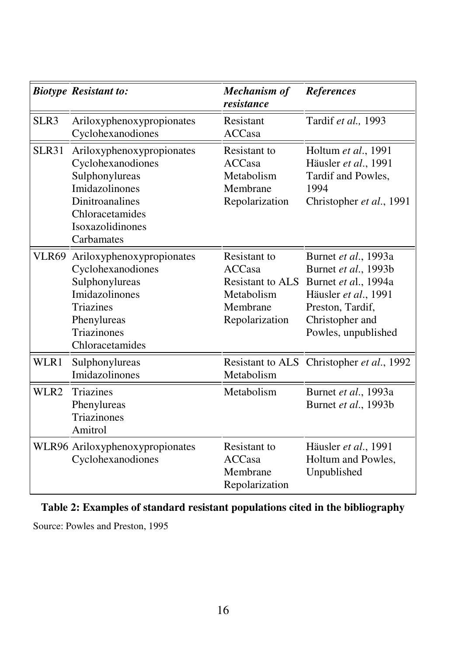|       | <b>Biotype Resistant to:</b>                                                                                                                                             | <b>Mechanism of</b><br>resistance                                                             | <b>References</b>                                                                                                                                          |
|-------|--------------------------------------------------------------------------------------------------------------------------------------------------------------------------|-----------------------------------------------------------------------------------------------|------------------------------------------------------------------------------------------------------------------------------------------------------------|
| SLR3  | Ariloxyphenoxypropionates<br>Cyclohexanodiones                                                                                                                           | Resistant<br><b>ACCasa</b>                                                                    | Tardif et al., 1993                                                                                                                                        |
| SLR31 | Ariloxyphenoxypropionates<br>Cyclohexanodiones<br>Sulphonylureas<br>Imidazolinones<br><b>Dinitroanalines</b><br>Chloracetamides<br><b>Isoxazolidinones</b><br>Carbamates | Resistant to<br><b>ACCasa</b><br>Metabolism<br>Membrane<br>Repolarization                     | Holtum et al., 1991<br>Häusler et al., 1991<br>Tardif and Powles,<br>1994<br>Christopher et al., 1991                                                      |
|       | VLR69 Ariloxyphenoxypropionates<br>Cyclohexanodiones<br>Sulphonylureas<br>Imidazolinones<br><b>Triazines</b><br>Phenylureas<br><b>Triazinones</b><br>Chloracetamides     | Resistant to<br><b>ACCasa</b><br>Resistant to ALS<br>Metabolism<br>Membrane<br>Repolarization | Burnet et al., 1993a<br>Burnet et al., 1993b<br>Burnet et al., 1994a<br>Häusler et al., 1991<br>Preston, Tardif,<br>Christopher and<br>Powles, unpublished |
| WLR1  | Sulphonylureas<br>Imidazolinones                                                                                                                                         | Metabolism                                                                                    | Resistant to ALS Christopher et al., 1992                                                                                                                  |
| WLR2  | Triazines<br>Phenylureas<br><b>Triazinones</b><br>Amitrol                                                                                                                | Metabolism                                                                                    | Burnet et al., 1993a<br>Burnet et al., 1993b                                                                                                               |
|       | WLR96 Ariloxyphenoxypropionates<br>Cyclohexanodiones                                                                                                                     | Resistant to<br><b>ACCasa</b><br>Membrane<br>Repolarization                                   | Häusler et al., 1991<br>Holtum and Powles,<br>Unpublished                                                                                                  |

# **Table 2: Examples of standard resistant populations cited in the bibliography**

Source: Powles and Preston, 1995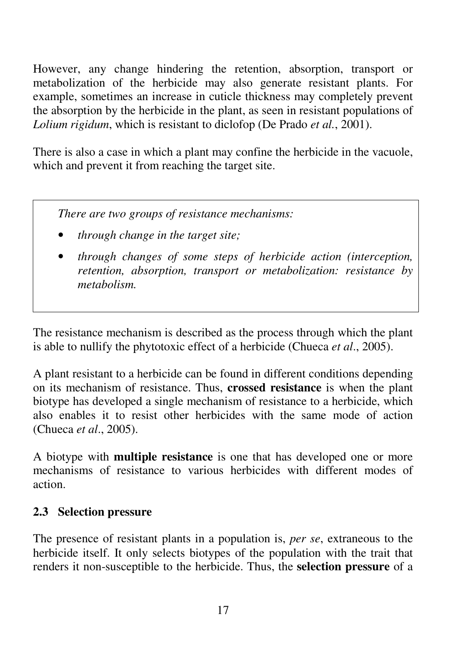However, any change hindering the retention, absorption, transport or metabolization of the herbicide may also generate resistant plants. For example, sometimes an increase in cuticle thickness may completely prevent the absorption by the herbicide in the plant, as seen in resistant populations of *Lolium rigidum*, which is resistant to diclofop (De Prado *et al.*, 2001).

There is also a case in which a plant may confine the herbicide in the vacuole, which and prevent it from reaching the target site.

*There are two groups of resistance mechanisms:* 

- *through change in the target site;*
- *through changes of some steps of herbicide action (interception, retention, absorption, transport or metabolization: resistance by metabolism.*

The resistance mechanism is described as the process through which the plant is able to nullify the phytotoxic effect of a herbicide (Chueca *et al*., 2005).

A plant resistant to a herbicide can be found in different conditions depending on its mechanism of resistance. Thus, **crossed resistance** is when the plant biotype has developed a single mechanism of resistance to a herbicide, which also enables it to resist other herbicides with the same mode of action (Chueca *et al*., 2005).

A biotype with **multiple resistance** is one that has developed one or more mechanisms of resistance to various herbicides with different modes of action.

#### **2.3 Selection pressure**

The presence of resistant plants in a population is, *per se*, extraneous to the herbicide itself. It only selects biotypes of the population with the trait that renders it non-susceptible to the herbicide. Thus, the **selection pressure** of a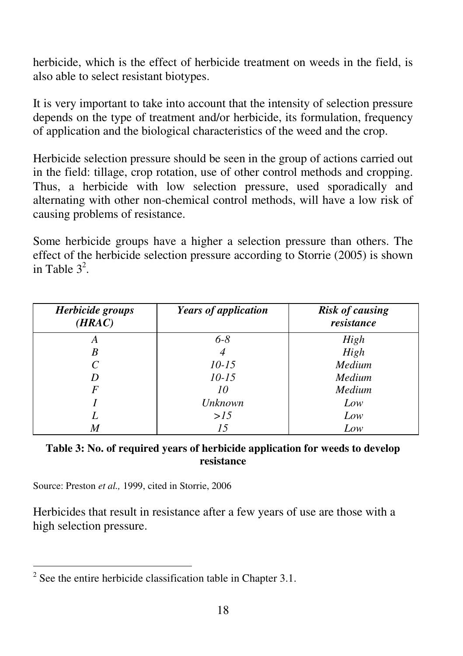herbicide, which is the effect of herbicide treatment on weeds in the field, is also able to select resistant biotypes.

It is very important to take into account that the intensity of selection pressure depends on the type of treatment and/or herbicide, its formulation, frequency of application and the biological characteristics of the weed and the crop.

Herbicide selection pressure should be seen in the group of actions carried out in the field: tillage, crop rotation, use of other control methods and cropping. Thus, a herbicide with low selection pressure, used sporadically and alternating with other non-chemical control methods, will have a low risk of causing problems of resistance.

Some herbicide groups have a higher a selection pressure than others. The effect of the herbicide selection pressure according to Storrie (2005) is shown in Table  $3^2$ .

| Herbicide groups<br>(HRAC) | <b>Years of application</b> | <b>Risk of causing</b><br>resistance |
|----------------------------|-----------------------------|--------------------------------------|
| A                          | $6 - 8$                     | High                                 |
| B                          | 4                           | High                                 |
| C                          | $10 - 15$                   | Medium                               |
|                            | $10 - 15$                   | Medium                               |
| F                          | 10                          | Medium                               |
|                            | Unknown                     | Low                                  |
|                            | >15                         | Low                                  |
| M                          | 15                          | Low                                  |

| Table 3: No. of required years of herbicide application for weeds to develop |  |
|------------------------------------------------------------------------------|--|
| resistance                                                                   |  |

Source: Preston *et al.,* 1999, cited in Storrie, 2006

Herbicides that result in resistance after a few years of use are those with a high selection pressure.

<sup>&</sup>lt;sup>2</sup> See the entire herbicide classification table in Chapter 3.1.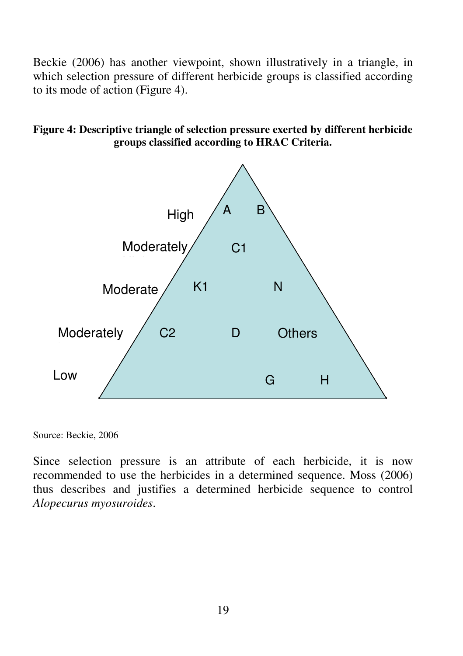Beckie (2006) has another viewpoint, shown illustratively in a triangle, in which selection pressure of different herbicide groups is classified according to its mode of action (Figure 4).





Source: Beckie, 2006

Since selection pressure is an attribute of each herbicide, it is now recommended to use the herbicides in a determined sequence. Moss (2006) thus describes and justifies a determined herbicide sequence to control *Alopecurus myosuroides*.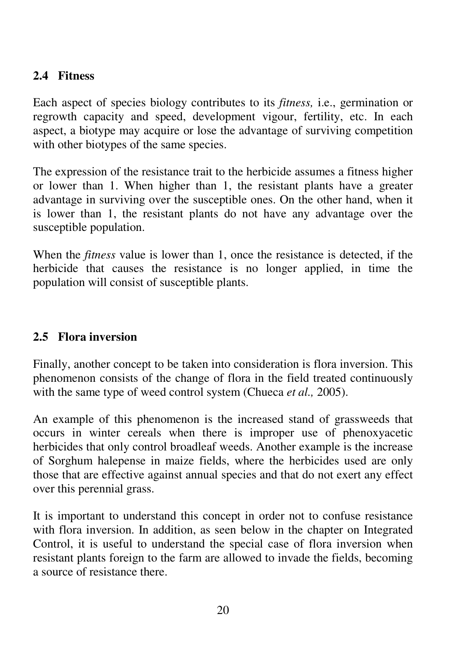# **2.4 Fitness**

Each aspect of species biology contributes to its *fitness,* i.e., germination or regrowth capacity and speed, development vigour, fertility, etc. In each aspect, a biotype may acquire or lose the advantage of surviving competition with other biotypes of the same species.

The expression of the resistance trait to the herbicide assumes a fitness higher or lower than 1. When higher than 1, the resistant plants have a greater advantage in surviving over the susceptible ones. On the other hand, when it is lower than 1, the resistant plants do not have any advantage over the susceptible population.

When the *fitness* value is lower than 1, once the resistance is detected, if the herbicide that causes the resistance is no longer applied, in time the population will consist of susceptible plants.

# **2.5 Flora inversion**

Finally, another concept to be taken into consideration is flora inversion. This phenomenon consists of the change of flora in the field treated continuously with the same type of weed control system (Chueca *et al.,* 2005).

An example of this phenomenon is the increased stand of grassweeds that occurs in winter cereals when there is improper use of phenoxyacetic herbicides that only control broadleaf weeds. Another example is the increase of Sorghum halepense in maize fields, where the herbicides used are only those that are effective against annual species and that do not exert any effect over this perennial grass.

It is important to understand this concept in order not to confuse resistance with flora inversion. In addition, as seen below in the chapter on Integrated Control, it is useful to understand the special case of flora inversion when resistant plants foreign to the farm are allowed to invade the fields, becoming a source of resistance there.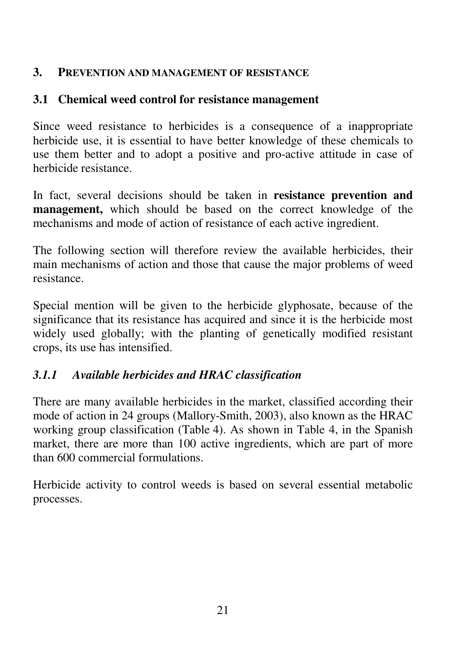#### **3. PREVENTION AND MANAGEMENT OF RESISTANCE**

#### **3.1 Chemical weed control for resistance management**

Since weed resistance to herbicides is a consequence of a inappropriate herbicide use, it is essential to have better knowledge of these chemicals to use them better and to adopt a positive and pro-active attitude in case of herbicide resistance.

In fact, several decisions should be taken in **resistance prevention and management,** which should be based on the correct knowledge of the mechanisms and mode of action of resistance of each active ingredient.

The following section will therefore review the available herbicides, their main mechanisms of action and those that cause the major problems of weed resistance.

Special mention will be given to the herbicide glyphosate, because of the significance that its resistance has acquired and since it is the herbicide most widely used globally; with the planting of genetically modified resistant crops, its use has intensified.

# *3.1.1 Available herbicides and HRAC classification*

There are many available herbicides in the market, classified according their mode of action in 24 groups (Mallory-Smith, 2003), also known as the HRAC working group classification (Table 4). As shown in Table 4, in the Spanish market, there are more than 100 active ingredients, which are part of more than 600 commercial formulations.

Herbicide activity to control weeds is based on several essential metabolic processes.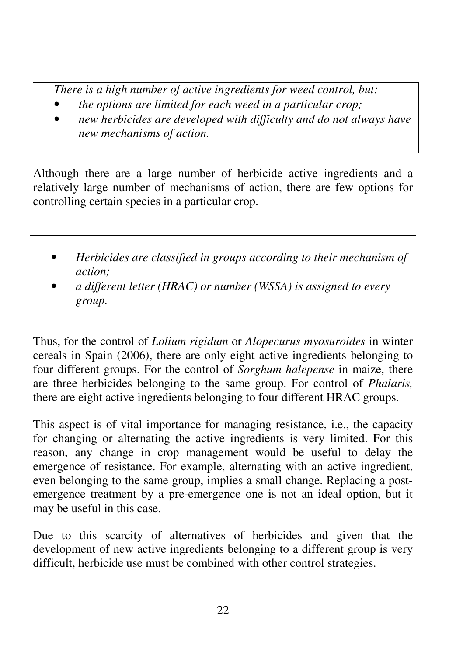*There is a high number of active ingredients for weed control, but:* 

- *the options are limited for each weed in a particular crop;*
- *new herbicides are developed with difficulty and do not always have new mechanisms of action.*

Although there are a large number of herbicide active ingredients and a relatively large number of mechanisms of action, there are few options for controlling certain species in a particular crop.

- *Herbicides are classified in groups according to their mechanism of action;*
- *a different letter (HRAC) or number (WSSA) is assigned to every group.*

Thus, for the control of *Lolium rigidum* or *Alopecurus myosuroides* in winter cereals in Spain (2006), there are only eight active ingredients belonging to four different groups. For the control of *Sorghum halepense* in maize, there are three herbicides belonging to the same group. For control of *Phalaris,* there are eight active ingredients belonging to four different HRAC groups.

This aspect is of vital importance for managing resistance, i.e., the capacity for changing or alternating the active ingredients is very limited. For this reason, any change in crop management would be useful to delay the emergence of resistance. For example, alternating with an active ingredient, even belonging to the same group, implies a small change. Replacing a postemergence treatment by a pre-emergence one is not an ideal option, but it may be useful in this case.

Due to this scarcity of alternatives of herbicides and given that the development of new active ingredients belonging to a different group is very difficult, herbicide use must be combined with other control strategies.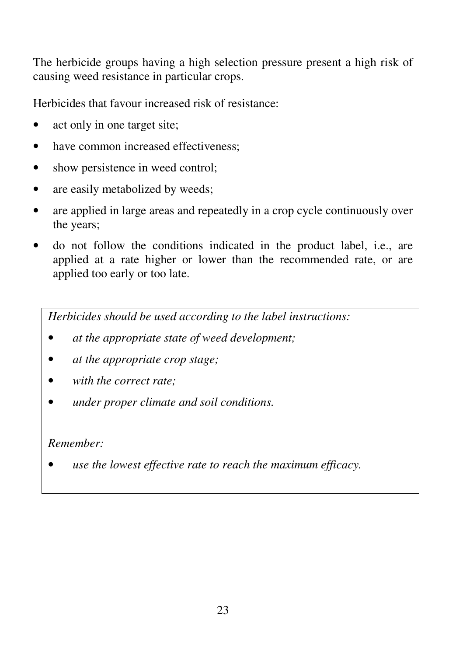The herbicide groups having a high selection pressure present a high risk of causing weed resistance in particular crops.

Herbicides that favour increased risk of resistance:

- act only in one target site;
- have common increased effectiveness:
- show persistence in weed control;
- are easily metabolized by weeds:
- are applied in large areas and repeatedly in a crop cycle continuously over the years;
- do not follow the conditions indicated in the product label, i.e., are applied at a rate higher or lower than the recommended rate, or are applied too early or too late.

*Herbicides should be used according to the label instructions:* 

- *at the appropriate state of weed development;*
- *at the appropriate crop stage;*
- *with the correct rate;*
- *under proper climate and soil conditions.*

# *Remember:*

• *use the lowest effective rate to reach the maximum efficacy.*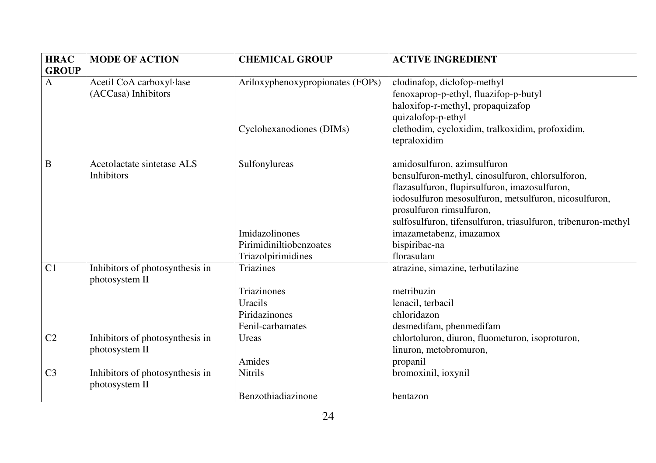| <b>HRAC</b>    | <b>MODE OF ACTION</b>           | <b>CHEMICAL GROUP</b>            | <b>ACTIVE INGREDIENT</b>                                      |
|----------------|---------------------------------|----------------------------------|---------------------------------------------------------------|
| <b>GROUP</b>   |                                 |                                  |                                                               |
| $\mathbf{A}$   | Acetil CoA carboxyl·lase        | Ariloxyphenoxypropionates (FOPs) | clodinafop, diclofop-methyl                                   |
|                | (ACCasa) Inhibitors             |                                  | fenoxaprop-p-ethyl, fluazifop-p-butyl                         |
|                |                                 |                                  | haloxifop-r-methyl, propaquizafop                             |
|                |                                 |                                  | quizalofop-p-ethyl                                            |
|                |                                 | Cyclohexanodiones (DIMs)         | clethodim, cycloxidim, tralkoxidim, profoxidim,               |
|                |                                 |                                  | tepraloxidim                                                  |
|                |                                 |                                  |                                                               |
| $\bf{B}$       | Acetolactate sintetase ALS      | Sulfonylureas                    | amidosulfuron, azimsulfuron                                   |
|                | <b>Inhibitors</b>               |                                  | bensulfuron-methyl, cinosulfuron, chlorsulforon,              |
|                |                                 |                                  | flazasulfuron, flupirsulfuron, imazosulfuron,                 |
|                |                                 |                                  | iodosulfuron mesosulfuron, metsulfuron, nicosulfuron,         |
|                |                                 |                                  | prosulfuron rimsulfuron,                                      |
|                |                                 |                                  | sulfosulfuron, tifensulfuron, triasulfuron, tribenuron-methyl |
|                |                                 | <b>Imidazolinones</b>            | imazametabenz, imazamox                                       |
|                |                                 | Pirimidiniltiobenzoates          | bispiribac-na                                                 |
|                |                                 | Triazolpirimidines               | florasulam                                                    |
| C1             | Inhibitors of photosynthesis in | Triazines                        | atrazine, simazine, terbutilazine                             |
|                | photosystem II                  |                                  |                                                               |
|                |                                 | Triazinones                      | metribuzin                                                    |
|                |                                 | Uracils                          | lenacil, terbacil                                             |
|                |                                 | Piridazinones                    | chloridazon                                                   |
|                |                                 | Fenil-carbamates                 | desmedifam, phenmedifam                                       |
| C <sub>2</sub> | Inhibitors of photosynthesis in | Ureas                            | chlortoluron, diuron, fluometuron, isoproturon,               |
|                | photosystem II                  |                                  | linuron, metobromuron,                                        |
|                |                                 | Amides                           | propanil                                                      |
| C <sub>3</sub> | Inhibitors of photosynthesis in | <b>Nitrils</b>                   | bromoxinil, ioxynil                                           |
|                | photosystem II                  |                                  |                                                               |
|                |                                 | Benzothiadiazinone               | bentazon                                                      |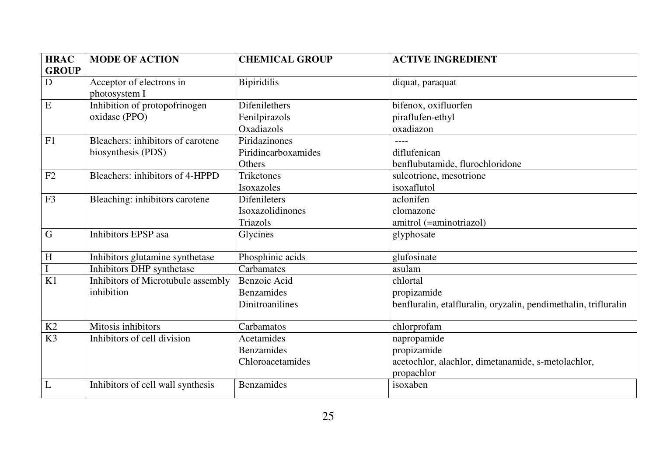| <b>HRAC</b>    | <b>MODE OF ACTION</b>              | <b>CHEMICAL GROUP</b> | <b>ACTIVE INGREDIENT</b>                                        |
|----------------|------------------------------------|-----------------------|-----------------------------------------------------------------|
| <b>GROUP</b>   |                                    |                       |                                                                 |
| ${\bf D}$      | Acceptor of electrons in           | <b>Bipiridilis</b>    | diquat, paraquat                                                |
|                | photosystem I                      |                       |                                                                 |
| $\,$ E         | Inhibition of protopofrinogen      | <b>Difenilethers</b>  | bifenox, oxifluorfen                                            |
|                | oxidase (PPO)                      | Fenilpirazols         | piraflufen-ethyl                                                |
|                |                                    | Oxadiazols            | oxadiazon                                                       |
| F1             | Bleachers: inhibitors of carotene  | Piridazinones         |                                                                 |
|                | biosynthesis (PDS)                 | Piridincarboxamides   | diflufenican                                                    |
|                |                                    | Others                | benflubutamide, flurochloridone                                 |
| F2             | Bleachers: inhibitors of 4-HPPD    | <b>Triketones</b>     | sulcotrione, mesotrione                                         |
|                |                                    | Isoxazoles            | isoxaflutol                                                     |
| F3             | Bleaching: inhibitors carotene     | <b>Difenileters</b>   | aclonifen                                                       |
|                |                                    | Isoxazolidinones      | clomazone                                                       |
|                |                                    | Triazols              | amitrol (=aminotriazol)                                         |
| G              | Inhibitors EPSP asa                | Glycines              | glyphosate                                                      |
|                |                                    |                       |                                                                 |
| $\overline{H}$ | Inhibitors glutamine synthetase    | Phosphinic acids      | glufosinate                                                     |
| $\overline{I}$ | Inhibitors DHP synthetase          | Carbamates            | asulam                                                          |
| K1             | Inhibitors of Microtubule assembly | Benzoic Acid          | chlortal                                                        |
|                | inhibition                         | <b>Benzamides</b>     | propizamide                                                     |
|                |                                    | Dinitroanilines       | benfluralin, etalfluralin, oryzalin, pendimethalin, trifluralin |
|                |                                    |                       |                                                                 |
| K2             | Mitosis inhibitors                 | Carbamatos            | chlorprofam                                                     |
| K3             | Inhibitors of cell division        | Acetamides            | napropamide                                                     |
|                |                                    | <b>Benzamides</b>     | propizamide                                                     |
|                |                                    | Chloroacetamides      | acetochlor, alachlor, dimetanamide, s-metolachlor,              |
|                |                                    |                       | propachlor                                                      |
| L              | Inhibitors of cell wall synthesis  | <b>Benzamides</b>     | isoxaben                                                        |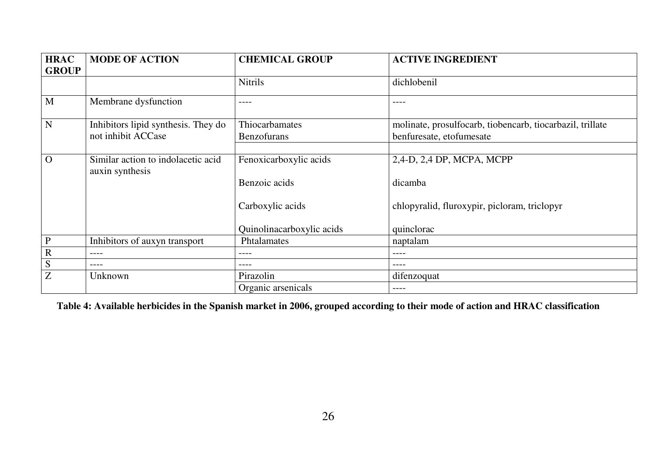| <b>HRAC</b>  | <b>MODE OF ACTION</b>                                 | <b>CHEMICAL GROUP</b>     | <b>ACTIVE INGREDIENT</b>                                  |
|--------------|-------------------------------------------------------|---------------------------|-----------------------------------------------------------|
| <b>GROUP</b> |                                                       |                           |                                                           |
|              |                                                       | <b>Nitrils</b>            | dichlobenil                                               |
| M            | Membrane dysfunction                                  | ----                      | $- - - -$                                                 |
| N            | Inhibitors lipid synthesis. They do                   | Thiocarbamates            | molinate, prosulfocarb, tiobencarb, tiocarbazil, trillate |
|              | not inhibit ACCase                                    | <b>Benzofurans</b>        | benfuresate, etofumesate                                  |
|              |                                                       |                           |                                                           |
| $\Omega$     | Similar action to indolacetic acid<br>auxin synthesis | Fenoxicarboxylic acids    | 2,4-D, 2,4 DP, MCPA, MCPP                                 |
|              |                                                       | Benzoic acids             | dicamba                                                   |
|              |                                                       | Carboxylic acids          | chlopyralid, fluroxypir, picloram, triclopyr              |
|              |                                                       | Quinolinacarboxylic acids | quinclorac                                                |
| P            | Inhibitors of auxyn transport                         | Phtalamates               | naptalam                                                  |
| $\mathbb{R}$ | $--- -$                                               | $--- -$                   | $- - - -$                                                 |
| S            |                                                       | ----                      | $---$                                                     |
| Z            | Unknown                                               | Pirazolin                 | difenzoquat                                               |
|              |                                                       | Organic arsenicals        | $---$                                                     |

**Table 4: Available herbicides in the Spanish market in 2006, grouped according to their mode of action and HRAC classification**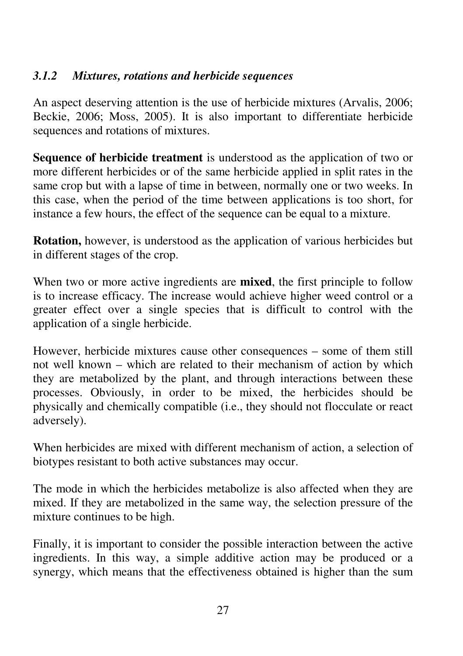# *3.1.2 Mixtures, rotations and herbicide sequences*

An aspect deserving attention is the use of herbicide mixtures (Arvalis, 2006; Beckie, 2006; Moss, 2005). It is also important to differentiate herbicide sequences and rotations of mixtures.

**Sequence of herbicide treatment** is understood as the application of two or more different herbicides or of the same herbicide applied in split rates in the same crop but with a lapse of time in between, normally one or two weeks. In this case, when the period of the time between applications is too short, for instance a few hours, the effect of the sequence can be equal to a mixture.

**Rotation,** however, is understood as the application of various herbicides but in different stages of the crop.

When two or more active ingredients are **mixed**, the first principle to follow is to increase efficacy. The increase would achieve higher weed control or a greater effect over a single species that is difficult to control with the application of a single herbicide.

However, herbicide mixtures cause other consequences – some of them still not well known – which are related to their mechanism of action by which they are metabolized by the plant, and through interactions between these processes. Obviously, in order to be mixed, the herbicides should be physically and chemically compatible (i.e., they should not flocculate or react adversely).

When herbicides are mixed with different mechanism of action, a selection of biotypes resistant to both active substances may occur.

The mode in which the herbicides metabolize is also affected when they are mixed. If they are metabolized in the same way, the selection pressure of the mixture continues to be high.

Finally, it is important to consider the possible interaction between the active ingredients. In this way, a simple additive action may be produced or a synergy, which means that the effectiveness obtained is higher than the sum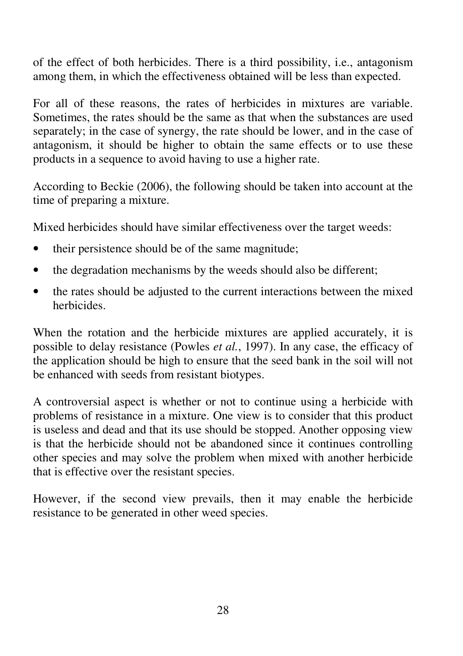of the effect of both herbicides. There is a third possibility, i.e., antagonism among them, in which the effectiveness obtained will be less than expected.

For all of these reasons, the rates of herbicides in mixtures are variable. Sometimes, the rates should be the same as that when the substances are used separately; in the case of synergy, the rate should be lower, and in the case of antagonism, it should be higher to obtain the same effects or to use these products in a sequence to avoid having to use a higher rate.

According to Beckie (2006), the following should be taken into account at the time of preparing a mixture.

Mixed herbicides should have similar effectiveness over the target weeds:

- their persistence should be of the same magnitude;
- the degradation mechanisms by the weeds should also be different;
- the rates should be adjusted to the current interactions between the mixed herbicides.

When the rotation and the herbicide mixtures are applied accurately, it is possible to delay resistance (Powles *et al.*, 1997). In any case, the efficacy of the application should be high to ensure that the seed bank in the soil will not be enhanced with seeds from resistant biotypes.

A controversial aspect is whether or not to continue using a herbicide with problems of resistance in a mixture. One view is to consider that this product is useless and dead and that its use should be stopped. Another opposing view is that the herbicide should not be abandoned since it continues controlling other species and may solve the problem when mixed with another herbicide that is effective over the resistant species.

However, if the second view prevails, then it may enable the herbicide resistance to be generated in other weed species.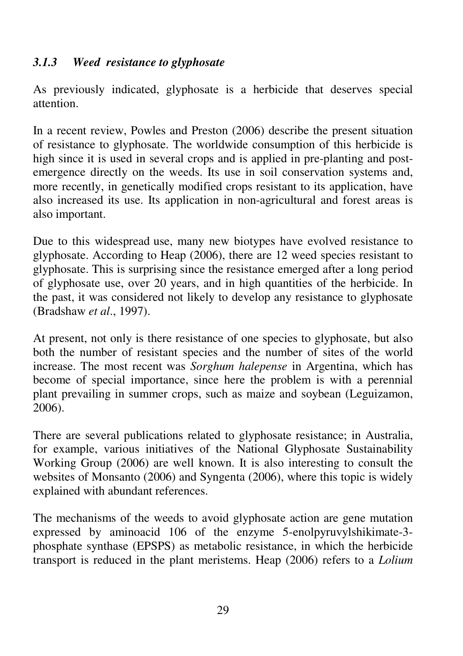# *3.1.3 Weed resistance to glyphosate*

As previously indicated, glyphosate is a herbicide that deserves special attention.

In a recent review, Powles and Preston (2006) describe the present situation of resistance to glyphosate. The worldwide consumption of this herbicide is high since it is used in several crops and is applied in pre-planting and postemergence directly on the weeds. Its use in soil conservation systems and, more recently, in genetically modified crops resistant to its application, have also increased its use. Its application in non-agricultural and forest areas is also important.

Due to this widespread use, many new biotypes have evolved resistance to glyphosate. According to Heap (2006), there are 12 weed species resistant to glyphosate. This is surprising since the resistance emerged after a long period of glyphosate use, over 20 years, and in high quantities of the herbicide. In the past, it was considered not likely to develop any resistance to glyphosate (Bradshaw *et al*., 1997).

At present, not only is there resistance of one species to glyphosate, but also both the number of resistant species and the number of sites of the world increase. The most recent was *Sorghum halepense* in Argentina, which has become of special importance, since here the problem is with a perennial plant prevailing in summer crops, such as maize and soybean (Leguizamon, 2006).

There are several publications related to glyphosate resistance; in Australia, for example, various initiatives of the National Glyphosate Sustainability Working Group (2006) are well known. It is also interesting to consult the websites of Monsanto (2006) and Syngenta (2006), where this topic is widely explained with abundant references.

The mechanisms of the weeds to avoid glyphosate action are gene mutation expressed by aminoacid 106 of the enzyme 5-enolpyruvylshikimate-3 phosphate synthase (EPSPS) as metabolic resistance, in which the herbicide transport is reduced in the plant meristems. Heap (2006) refers to a *Lolium*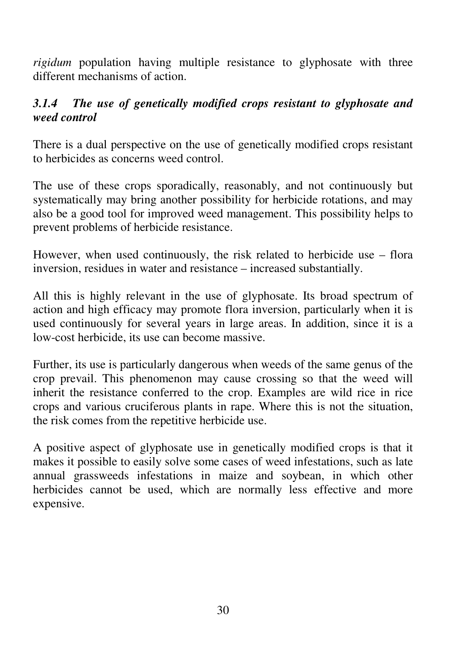*rigidum* population having multiple resistance to glyphosate with three different mechanisms of action.

# *3.1.4 The use of genetically modified crops resistant to glyphosate and weed control*

There is a dual perspective on the use of genetically modified crops resistant to herbicides as concerns weed control.

The use of these crops sporadically, reasonably, and not continuously but systematically may bring another possibility for herbicide rotations, and may also be a good tool for improved weed management. This possibility helps to prevent problems of herbicide resistance.

However, when used continuously, the risk related to herbicide use – flora inversion, residues in water and resistance – increased substantially.

All this is highly relevant in the use of glyphosate. Its broad spectrum of action and high efficacy may promote flora inversion, particularly when it is used continuously for several years in large areas. In addition, since it is a low-cost herbicide, its use can become massive.

Further, its use is particularly dangerous when weeds of the same genus of the crop prevail. This phenomenon may cause crossing so that the weed will inherit the resistance conferred to the crop. Examples are wild rice in rice crops and various cruciferous plants in rape. Where this is not the situation, the risk comes from the repetitive herbicide use.

A positive aspect of glyphosate use in genetically modified crops is that it makes it possible to easily solve some cases of weed infestations, such as late annual grassweeds infestations in maize and soybean, in which other herbicides cannot be used, which are normally less effective and more expensive.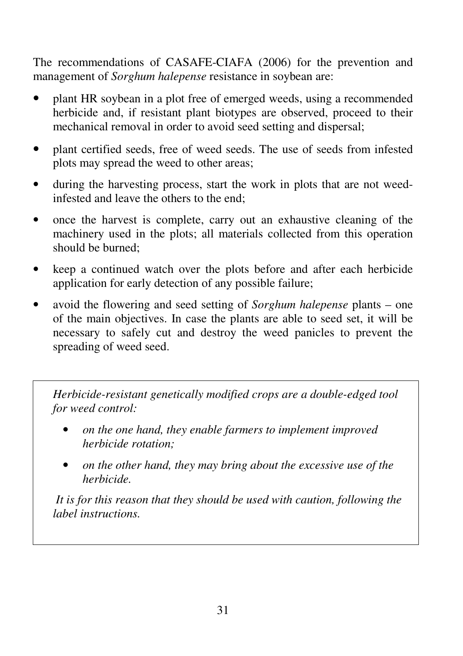The recommendations of CASAFE-CIAFA (2006) for the prevention and management of *Sorghum halepense* resistance in soybean are:

- plant HR soybean in a plot free of emerged weeds, using a recommended herbicide and, if resistant plant biotypes are observed, proceed to their mechanical removal in order to avoid seed setting and dispersal;
- plant certified seeds, free of weed seeds. The use of seeds from infested plots may spread the weed to other areas;
- during the harvesting process, start the work in plots that are not weedinfested and leave the others to the end;
- once the harvest is complete, carry out an exhaustive cleaning of the machinery used in the plots; all materials collected from this operation should be burned;
- keep a continued watch over the plots before and after each herbicide application for early detection of any possible failure;
- avoid the flowering and seed setting of *Sorghum halepense* plants one of the main objectives. In case the plants are able to seed set, it will be necessary to safely cut and destroy the weed panicles to prevent the spreading of weed seed.

*Herbicide-resistant genetically modified crops are a double-edged tool for weed control:* 

- *on the one hand, they enable farmers to implement improved herbicide rotation;*
- *on the other hand, they may bring about the excessive use of the herbicide.*

 *It is for this reason that they should be used with caution, following the label instructions.*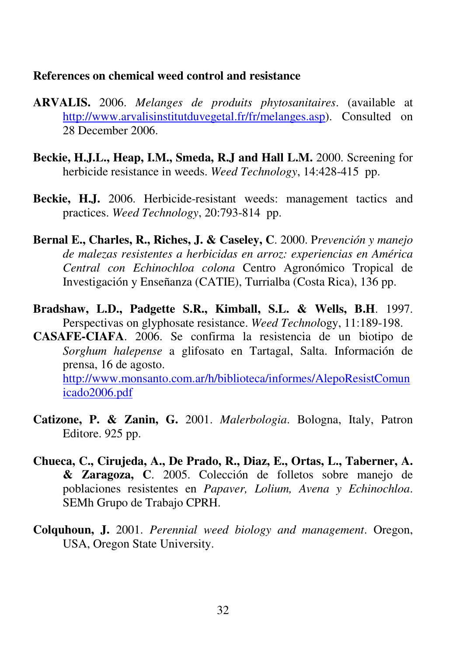#### **References on chemical weed control and resistance**

- **ARVALIS.** 2006. *Melanges de produits phytosanitaires*. (available at http://www.arvalisinstitutduvegetal.fr/fr/melanges.asp). Consulted on 28 December 2006.
- **Beckie, H.J.L., Heap, I.M., Smeda, R.J and Hall L.M.** 2000. Screening for herbicide resistance in weeds. *Weed Technology*, 14:428-415 pp.
- **Beckie, H.J.** 2006. Herbicide-resistant weeds: management tactics and practices. *Weed Technology*, 20:793-814 pp.
- **Bernal E., Charles, R., Riches, J. & Caseley, C**. 2000. P*revención y manejo de malezas resistentes a herbicidas en arroz: experiencias en América Central con Echinochloa colona* Centro Agronómico Tropical de Investigación y Enseñanza (CATIE), Turrialba (Costa Rica), 136 pp.
- **Bradshaw, L.D., Padgette S.R., Kimball, S.L. & Wells, B.H**. 1997. Perspectivas on glyphosate resistance. *Weed Technol*ogy, 11:189-198.
- **CASAFE-CIAFA**. 2006. Se confirma la resistencia de un biotipo de *Sorghum halepense* a glifosato en Tartagal, Salta. Información de prensa, 16 de agosto. http://www.monsanto.com.ar/h/biblioteca/informes/AlepoResistComun icado2006.pdf
- **Catizone, P. & Zanin, G.** 2001. *Malerbologia*. Bologna, Italy, Patron Editore. 925 pp.
- **Chueca, C., Cirujeda, A., De Prado, R., Diaz, E., Ortas, L., Taberner, A. & Zaragoza, C**. 2005. Colección de folletos sobre manejo de poblaciones resistentes en *Papaver, Lolium, Avena y Echinochloa*. SEMh Grupo de Trabajo CPRH.
- **Colquhoun, J.** 2001. *Perennial weed biology and management*. Oregon, USA, Oregon State University.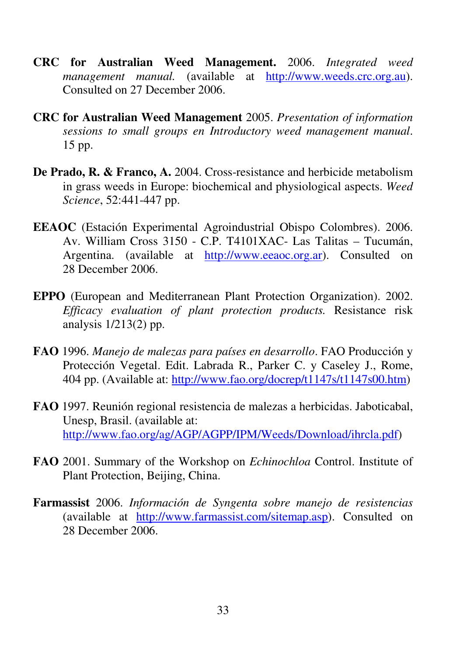- **CRC for Australian Weed Management.** 2006. *Integrated weed management manual.* (available at http://www.weeds.crc.org.au). Consulted on 27 December 2006.
- **CRC for Australian Weed Management** 2005. *Presentation of information sessions to small groups en Introductory weed management manual*. 15 pp.
- **De Prado, R. & Franco, A.** 2004. Cross-resistance and herbicide metabolism in grass weeds in Europe: biochemical and physiological aspects. *Weed Science*, 52:441-447 pp.
- **EEAOC** (Estación Experimental Agroindustrial Obispo Colombres). 2006. Av. William Cross 3150 - C.P. T4101XAC- Las Talitas – Tucumán, Argentina. (available at http://www.eeaoc.org.ar). Consulted on 28 December 2006.
- **EPPO** (European and Mediterranean Plant Protection Organization). 2002. *Efficacy evaluation of plant protection products.* Resistance risk analysis 1/213(2) pp.
- **FAO** 1996. *Manejo de malezas para países en desarrollo*. FAO Producción y Protección Vegetal. Edit. Labrada R., Parker C. y Caseley J., Rome, 404 pp. (Available at: http://www.fao.org/docrep/t1147s/t1147s00.htm)
- **FAO** 1997. Reunión regional resistencia de malezas a herbicidas. Jaboticabal, Unesp, Brasil. (available at: http://www.fao.org/ag/AGP/AGPP/IPM/Weeds/Download/ihrcla.pdf)
- **FAO** 2001. Summary of the Workshop on *Echinochloa* Control. Institute of Plant Protection, Beijing, China.
- **Farmassist** 2006. *Información de Syngenta sobre manejo de resistencias* (available at http://www.farmassist.com/sitemap.asp). Consulted on 28 December 2006.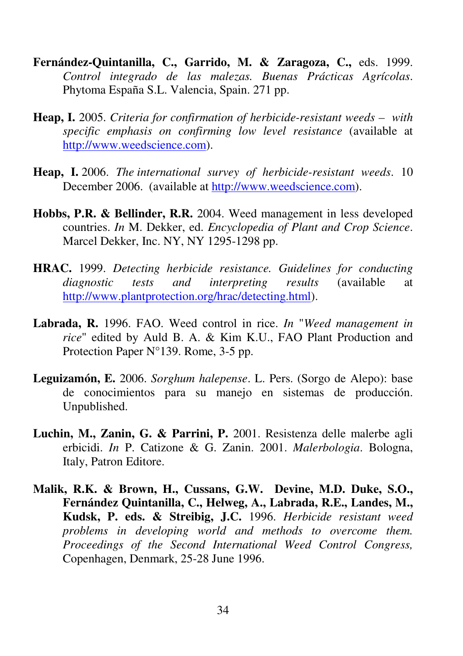- **Fernández-Quintanilla, C., Garrido, M. & Zaragoza, C.,** eds. 1999. *Control integrado de las malezas. Buenas Prácticas Agrícolas*. Phytoma España S.L. Valencia, Spain. 271 pp.
- **Heap, I.** 2005. *Criteria for confirmation of herbicide-resistant weeds with specific emphasis on confirming low level resistance* (available at http://www.weedscience.com).
- **Heap, I.** 2006. *The international survey of herbicide-resistant weeds*. 10 December 2006. (available at http://www.weedscience.com).
- **Hobbs, P.R. & Bellinder, R.R.** 2004. Weed management in less developed countries. *In* M. Dekker, ed. *Encyclopedia of Plant and Crop Science*. Marcel Dekker, Inc. NY, NY 1295-1298 pp.
- **HRAC.** 1999. *Detecting herbicide resistance. Guidelines for conducting diagnostic tests and interpreting results* (available at http://www.plantprotection.org/hrac/detecting.html).
- **Labrada, R.** 1996. FAO. Weed control in rice. *In* "*Weed management in rice*" edited by Auld B. A. & Kim K.U., FAO Plant Production and Protection Paper N°139. Rome, 3-5 pp.
- **Leguizamón, E.** 2006. *Sorghum halepense*. L. Pers. (Sorgo de Alepo): base de conocimientos para su manejo en sistemas de producción. Unpublished.
- **Luchin, M., Zanin, G. & Parrini, P.** 2001. Resistenza delle malerbe agli erbicidi. *In* P. Catizone & G. Zanin. 2001. *Malerbologia*. Bologna, Italy, Patron Editore.
- **Malik, R.K. & Brown, H., Cussans, G.W. Devine, M.D. Duke, S.O., Fernández Quintanilla, C., Helweg, A., Labrada, R.E., Landes, M., Kudsk, P. eds. & Streibig, J.C.** 1996. *Herbicide resistant weed problems in developing world and methods to overcome them. Proceedings of the Second International Weed Control Congress,*  Copenhagen, Denmark, 25-28 June 1996.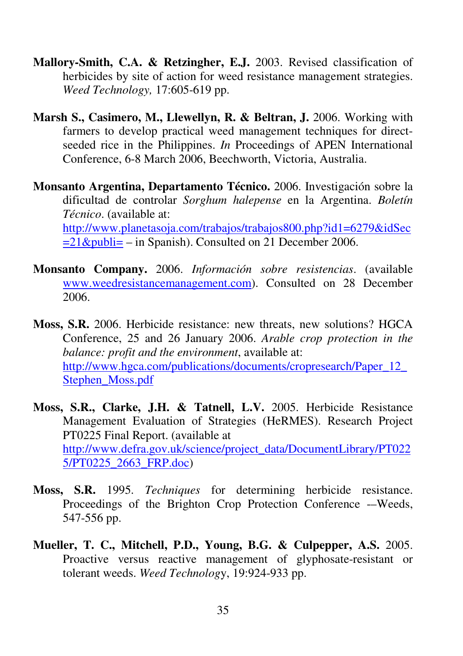- **Mallory-Smith, C.A. & Retzingher, E.J.** 2003. Revised classification of herbicides by site of action for weed resistance management strategies. *Weed Technology,* 17:605-619 pp.
- **Marsh S., Casimero, M., Llewellyn, R. & Beltran, J.** 2006. Working with farmers to develop practical weed management techniques for directseeded rice in the Philippines. *In* Proceedings of APEN International Conference, 6-8 March 2006, Beechworth, Victoria, Australia.
- **Monsanto Argentina, Departamento Técnico.** 2006. Investigación sobre la dificultad de controlar *Sorghum halepense* en la Argentina. *Boletín Técnico*. (available at: http://www.planetasoja.com/trabajos/trabajos800.php?id1=6279&idSec  $=21$ &publi= – in Spanish). Consulted on 21 December 2006.
- **Monsanto Company.** 2006. *Información sobre resistencias*. (available www.weedresistancemanagement.com). Consulted on 28 December 2006.
- **Moss, S.R.** 2006. Herbicide resistance: new threats, new solutions? HGCA Conference, 25 and 26 January 2006. *Arable crop protection in the balance: profit and the environment*, available at: http://www.hgca.com/publications/documents/cropresearch/Paper\_12\_ Stephen\_Moss.pdf
- **Moss, S.R., Clarke, J.H. & Tatnell, L.V.** 2005. Herbicide Resistance Management Evaluation of Strategies (HeRMES). Research Project PT0225 Final Report. (available at http://www.defra.gov.uk/science/project\_data/DocumentLibrary/PT022 5/PT0225\_2663\_FRP.doc)
- **Moss, S.R.** 1995. *Techniques* for determining herbicide resistance. Proceedings of the Brighton Crop Protection Conference --Weeds, 547-556 pp.
- **Mueller, T. C., Mitchell, P.D., Young, B.G. & Culpepper, A.S.** 2005. Proactive versus reactive management of glyphosate-resistant or tolerant weeds. *Weed Technolog*y, 19:924-933 pp.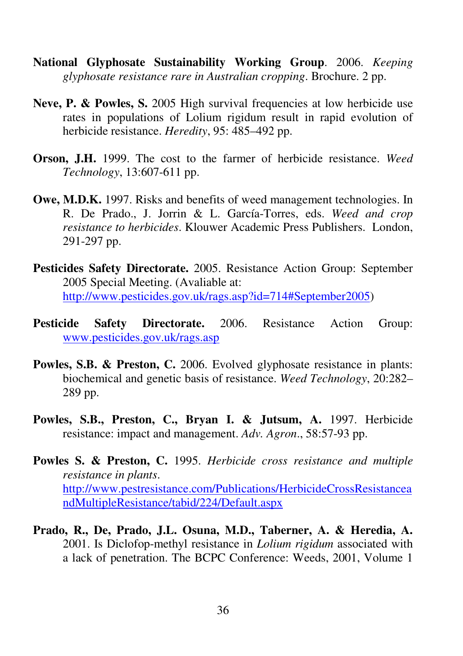- **National Glyphosate Sustainability Working Group**. 2006. *Keeping glyphosate resistance rare in Australian cropping*. Brochure. 2 pp.
- Neve, P. & Powles, S. 2005 High survival frequencies at low herbicide use rates in populations of Lolium rigidum result in rapid evolution of herbicide resistance. *Heredity*, 95: 485–492 pp.
- **Orson, J.H.** 1999. The cost to the farmer of herbicide resistance. *Weed Technology*, 13:607-611 pp.
- **Owe, M.D.K.** 1997. Risks and benefits of weed management technologies. In R. De Prado., J. Jorrin & L. García-Torres, eds. *Weed and crop resistance to herbicides*. Klouwer Academic Press Publishers. London, 291-297 pp.
- **Pesticides Safety Directorate.** 2005. Resistance Action Group: September 2005 Special Meeting. (Avaliable at: http://www.pesticides.gov.uk/rags.asp?id=714#September2005)
- **Pesticide Safety Directorate.** 2006. Resistance Action Group: www.pesticides.gov.uk/rags.asp
- **Powles, S.B. & Preston, C.** 2006. Evolved glyphosate resistance in plants: biochemical and genetic basis of resistance. *Weed Technology*, 20:282– 289 pp.
- **Powles, S.B., Preston, C., Bryan I. & Jutsum, A.** 1997. Herbicide resistance: impact and management. *Adv. Agron*., 58:57-93 pp.
- **Powles S. & Preston, C.** 1995. *Herbicide cross resistance and multiple resistance in plants*. http://www.pestresistance.com/Publications/HerbicideCrossResistancea ndMultipleResistance/tabid/224/Default.aspx
- **Prado, R., De, Prado, J.L. Osuna, M.D., Taberner, A. & Heredia, A.**  2001. Is Diclofop-methyl resistance in *Lolium rigidum* associated with a lack of penetration. The BCPC Conference: Weeds, 2001, Volume 1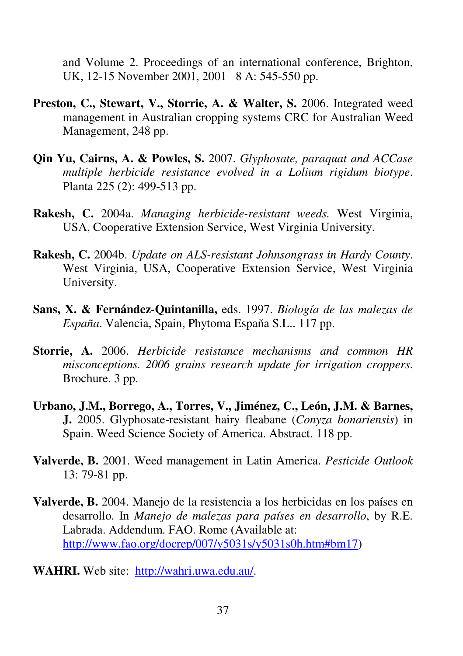and Volume 2. Proceedings of an international conference, Brighton, UK, 12-15 November 2001, 2001 8 A: 545-550 pp.

- **Preston, C., Stewart, V., Storrie, A. & Walter, S.** 2006. Integrated weed management in Australian cropping systems CRC for Australian Weed Management, 248 pp.
- **Qin Yu, Cairns, A. & Powles, S.** 2007. *Glyphosate, paraquat and ACCase multiple herbicide resistance evolved in a Lolium rigidum biotype*. Planta 225 (2): 499-513 pp.
- **Rakesh, C.** 2004a. *Managing herbicide-resistant weeds.* West Virginia, USA, Cooperative Extension Service, West Virginia University.
- **Rakesh, C.** 2004b. *Update on ALS-resistant Johnsongrass in Hardy County*. West Virginia, USA, Cooperative Extension Service, West Virginia University.
- **Sans, X. & Fernández-Quintanilla,** eds. 1997. *Biología de las malezas de España*. Valencia, Spain, Phytoma España S.L.. 117 pp.
- **Storrie, A.** 2006. *Herbicide resistance mechanisms and common HR misconceptions. 2006 grains research update for irrigation croppers*. Brochure. 3 pp.
- **Urbano, J.M., Borrego, A., Torres, V., Jiménez, C., León, J.M. & Barnes, J.** 2005. Glyphosate-resistant hairy fleabane (*Conyza bonariensis*) in Spain. Weed Science Society of America. Abstract. 118 pp.
- **Valverde, B.** 2001. Weed management in Latin America. *Pesticide Outlook* 13: 79-81 pp.
- **Valverde, B.** 2004. Manejo de la resistencia a los herbicidas en los países en desarrollo. In *Manejo de malezas para países en desarrollo*, by R.E. Labrada. Addendum. FAO. Rome (Available at: http://www.fao.org/docrep/007/y5031s/y5031s0h.htm#bm17)
- **WAHRI.** Web site: http://wahri.uwa.edu.au/.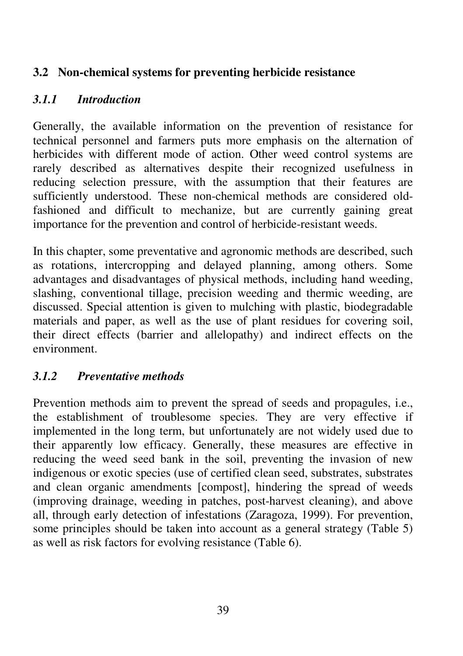## **3.2 Non-chemical systems for preventing herbicide resistance**

## *3.1.1 Introduction*

Generally, the available information on the prevention of resistance for technical personnel and farmers puts more emphasis on the alternation of herbicides with different mode of action. Other weed control systems are rarely described as alternatives despite their recognized usefulness in reducing selection pressure, with the assumption that their features are sufficiently understood. These non-chemical methods are considered oldfashioned and difficult to mechanize, but are currently gaining great importance for the prevention and control of herbicide-resistant weeds.

In this chapter, some preventative and agronomic methods are described, such as rotations, intercropping and delayed planning, among others. Some advantages and disadvantages of physical methods, including hand weeding, slashing, conventional tillage, precision weeding and thermic weeding, are discussed. Special attention is given to mulching with plastic, biodegradable materials and paper, as well as the use of plant residues for covering soil, their direct effects (barrier and allelopathy) and indirect effects on the environment.

# *3.1.2 Preventative methods*

Prevention methods aim to prevent the spread of seeds and propagules, i.e., the establishment of troublesome species. They are very effective if implemented in the long term, but unfortunately are not widely used due to their apparently low efficacy. Generally, these measures are effective in reducing the weed seed bank in the soil, preventing the invasion of new indigenous or exotic species (use of certified clean seed, substrates, substrates and clean organic amendments [compost], hindering the spread of weeds (improving drainage, weeding in patches, post-harvest cleaning), and above all, through early detection of infestations (Zaragoza, 1999). For prevention, some principles should be taken into account as a general strategy (Table 5) as well as risk factors for evolving resistance (Table 6).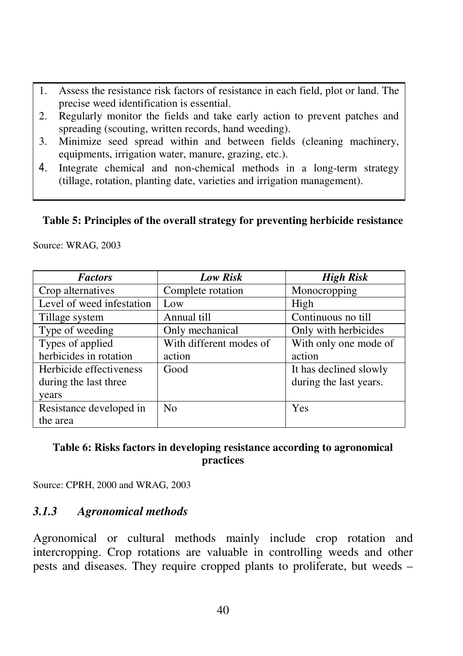- 1. Assess the resistance risk factors of resistance in each field, plot or land. The precise weed identification is essential.
- 2. Regularly monitor the fields and take early action to prevent patches and spreading (scouting, written records, hand weeding).
- 3. Minimize seed spread within and between fields (cleaning machinery, equipments, irrigation water, manure, grazing, etc.).
- 4. Integrate chemical and non-chemical methods in a long-term strategy (tillage, rotation, planting date, varieties and irrigation management).

#### **Table 5: Principles of the overall strategy for preventing herbicide resistance**

Source: WRAG, 2003

| <b>Factors</b>            | Low Risk                | High Risk              |
|---------------------------|-------------------------|------------------------|
| Crop alternatives         | Complete rotation       | Monocropping           |
| Level of weed infestation | Low                     | High                   |
| Tillage system            | Annual till             | Continuous no till     |
| Type of weeding           | Only mechanical         | Only with herbicides   |
| Types of applied          | With different modes of | With only one mode of  |
| herbicides in rotation    | action                  | action                 |
| Herbicide effectiveness   | Good                    | It has declined slowly |
| during the last three     |                         | during the last years. |
| years                     |                         |                        |
| Resistance developed in   | N <sub>0</sub>          | Yes                    |
| the area                  |                         |                        |

#### **Table 6: Risks factors in developing resistance according to agronomical practices**

Source: CPRH, 2000 and WRAG, 2003

### *3.1.3 Agronomical methods*

Agronomical or cultural methods mainly include crop rotation and intercropping. Crop rotations are valuable in controlling weeds and other pests and diseases. They require cropped plants to proliferate, but weeds –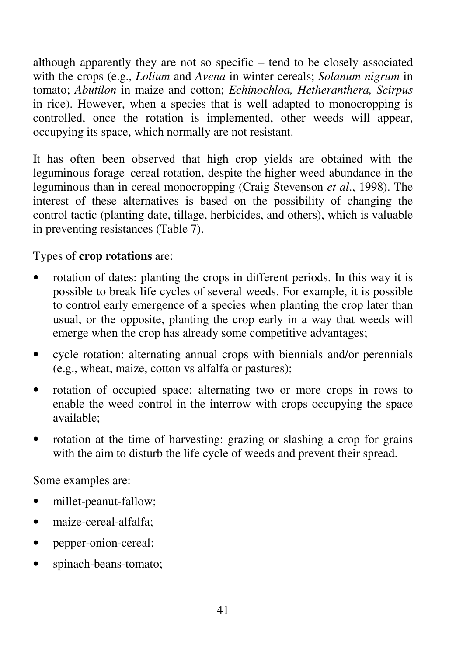although apparently they are not so specific – tend to be closely associated with the crops (e.g., *Lolium* and *Avena* in winter cereals; *Solanum nigrum* in tomato; *Abutilon* in maize and cotton; *Echinochloa, Hetheranthera, Scirpus* in rice). However, when a species that is well adapted to monocropping is controlled, once the rotation is implemented, other weeds will appear, occupying its space, which normally are not resistant.

It has often been observed that high crop yields are obtained with the leguminous forage–cereal rotation, despite the higher weed abundance in the leguminous than in cereal monocropping (Craig Stevenson *et al*., 1998). The interest of these alternatives is based on the possibility of changing the control tactic (planting date, tillage, herbicides, and others), which is valuable in preventing resistances (Table 7).

## Types of **crop rotations** are:

- rotation of dates: planting the crops in different periods. In this way it is possible to break life cycles of several weeds. For example, it is possible to control early emergence of a species when planting the crop later than usual, or the opposite, planting the crop early in a way that weeds will emerge when the crop has already some competitive advantages;
- cycle rotation: alternating annual crops with biennials and/or perennials (e.g., wheat, maize, cotton vs alfalfa or pastures);
- rotation of occupied space: alternating two or more crops in rows to enable the weed control in the interrow with crops occupying the space available;
- rotation at the time of harvesting: grazing or slashing a crop for grains with the aim to disturb the life cycle of weeds and prevent their spread.

Some examples are:

- millet-peanut-fallow;
- maize-cereal-alfalfa:
- pepper-onion-cereal;
- spinach-beans-tomato;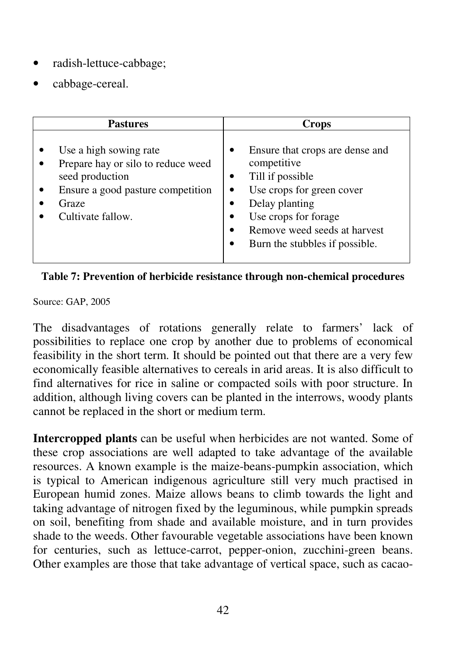- radish-lettuce-cabbage;
- cabbage-cereal.

|                                               | <b>Pastures</b>                                                                                   | Crops |                                                                                                                                                                                                             |  |  |
|-----------------------------------------------|---------------------------------------------------------------------------------------------------|-------|-------------------------------------------------------------------------------------------------------------------------------------------------------------------------------------------------------------|--|--|
| seed production<br>Graze<br>Cultivate fallow. | Use a high sowing rate<br>Prepare hay or silo to reduce weed<br>Ensure a good pasture competition |       | Ensure that crops are dense and<br>competitive<br>Till if possible<br>Use crops for green cover<br>Delay planting<br>Use crops for forage<br>Remove weed seeds at harvest<br>Burn the stubbles if possible. |  |  |

**Table 7: Prevention of herbicide resistance through non-chemical procedures**

Source: GAP, 2005

The disadvantages of rotations generally relate to farmers' lack of possibilities to replace one crop by another due to problems of economical feasibility in the short term. It should be pointed out that there are a very few economically feasible alternatives to cereals in arid areas. It is also difficult to find alternatives for rice in saline or compacted soils with poor structure. In addition, although living covers can be planted in the interrows, woody plants cannot be replaced in the short or medium term.

**Intercropped plants** can be useful when herbicides are not wanted. Some of these crop associations are well adapted to take advantage of the available resources. A known example is the maize-beans-pumpkin association, which is typical to American indigenous agriculture still very much practised in European humid zones. Maize allows beans to climb towards the light and taking advantage of nitrogen fixed by the leguminous, while pumpkin spreads on soil, benefiting from shade and available moisture, and in turn provides shade to the weeds. Other favourable vegetable associations have been known for centuries, such as lettuce-carrot, pepper-onion, zucchini-green beans. Other examples are those that take advantage of vertical space, such as cacao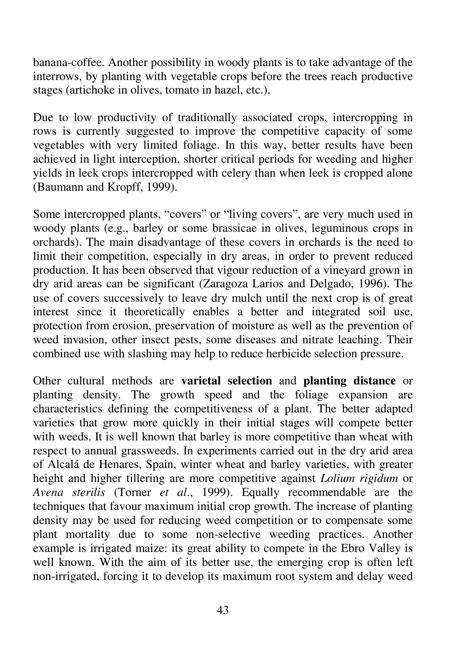banana-coffee. Another possibility in woody plants is to take advantage of the interrows, by planting with vegetable crops before the trees reach productive stages (artichoke in olives, tomato in hazel, etc.).

Due to low productivity of traditionally associated crops, intercropping in rows is currently suggested to improve the competitive capacity of some vegetables with very limited foliage. In this way, better results have been achieved in light interception, shorter critical periods for weeding and higher yields in leek crops intercropped with celery than when leek is cropped alone (Baumann and Kropff, 1999).

Some intercropped plants, "covers" or "living covers", are very much used in woody plants (e.g., barley or some brassicae in olives, leguminous crops in orchards). The main disadvantage of these covers in orchards is the need to limit their competition, especially in dry areas, in order to prevent reduced production. It has been observed that vigour reduction of a vineyard grown in dry arid areas can be significant (Zaragoza Larios and Delgado, 1996). The use of covers successively to leave dry mulch until the next crop is of great interest since it theoretically enables a better and integrated soil use, protection from erosion, preservation of moisture as well as the prevention of weed invasion, other insect pests, some diseases and nitrate leaching. Their combined use with slashing may help to reduce herbicide selection pressure.

Other cultural methods are **varietal selection** and **planting distance** or planting density. The growth speed and the foliage expansion are characteristics defining the competitiveness of a plant. The better adapted varieties that grow more quickly in their initial stages will compete better with weeds. It is well known that barley is more competitive than wheat with respect to annual grassweeds. In experiments carried out in the dry arid area of Alcalá de Henares, Spain, winter wheat and barley varieties, with greater height and higher tillering are more competitive against *Lolium rigidum* or *Avena sterilis* (Torner *et al*., 1999). Equally recommendable are the techniques that favour maximum initial crop growth. The increase of planting density may be used for reducing weed competition or to compensate some plant mortality due to some non-selective weeding practices. Another example is irrigated maize: its great ability to compete in the Ebro Valley is well known. With the aim of its better use, the emerging crop is often left non-irrigated, forcing it to develop its maximum root system and delay weed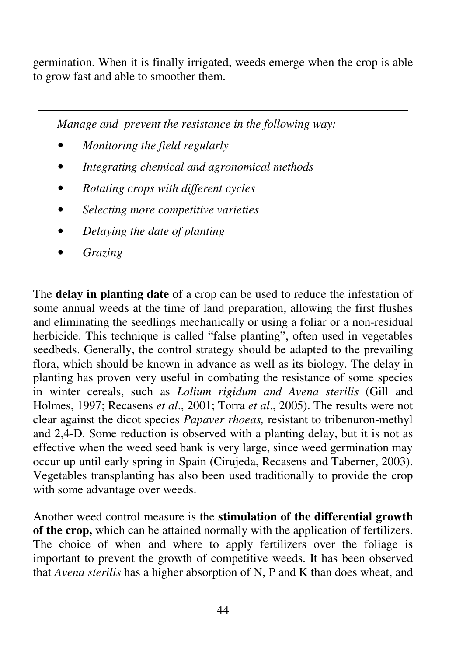germination. When it is finally irrigated, weeds emerge when the crop is able to grow fast and able to smoother them.

*Manage and prevent the resistance in the following way:* 

- *Monitoring the field regularly*
- *Integrating chemical and agronomical methods*
- *Rotating crops with different cycles*
- *Selecting more competitive varieties*
- *Delaying the date of planting*
- *Grazing*

The **delay in planting date** of a crop can be used to reduce the infestation of some annual weeds at the time of land preparation, allowing the first flushes and eliminating the seedlings mechanically or using a foliar or a non-residual herbicide. This technique is called "false planting", often used in vegetables seedbeds. Generally, the control strategy should be adapted to the prevailing flora, which should be known in advance as well as its biology. The delay in planting has proven very useful in combating the resistance of some species in winter cereals, such as *Lolium rigidum and Avena sterilis* (Gill and Holmes, 1997; Recasens *et al*., 2001; Torra *et al*., 2005). The results were not clear against the dicot species *Papaver rhoeas,* resistant to tribenuron-methyl and 2,4-D. Some reduction is observed with a planting delay, but it is not as effective when the weed seed bank is very large, since weed germination may occur up until early spring in Spain (Cirujeda, Recasens and Taberner, 2003). Vegetables transplanting has also been used traditionally to provide the crop with some advantage over weeds.

Another weed control measure is the **stimulation of the differential growth of the crop,** which can be attained normally with the application of fertilizers. The choice of when and where to apply fertilizers over the foliage is important to prevent the growth of competitive weeds. It has been observed that *Avena sterilis* has a higher absorption of N, P and K than does wheat, and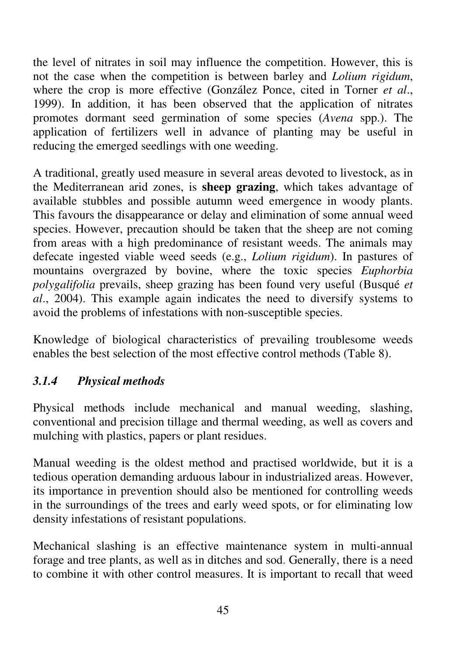the level of nitrates in soil may influence the competition. However, this is not the case when the competition is between barley and *Lolium rigidum*, where the crop is more effective (González Ponce, cited in Torner *et al*., 1999). In addition, it has been observed that the application of nitrates promotes dormant seed germination of some species (*Avena* spp.). The application of fertilizers well in advance of planting may be useful in reducing the emerged seedlings with one weeding.

A traditional, greatly used measure in several areas devoted to livestock, as in the Mediterranean arid zones, is **sheep grazing**, which takes advantage of available stubbles and possible autumn weed emergence in woody plants. This favours the disappearance or delay and elimination of some annual weed species. However, precaution should be taken that the sheep are not coming from areas with a high predominance of resistant weeds. The animals may defecate ingested viable weed seeds (e.g., *Lolium rigidum*). In pastures of mountains overgrazed by bovine, where the toxic species *Euphorbia polygalifolia* prevails, sheep grazing has been found very useful (Busqué *et al*., 2004). This example again indicates the need to diversify systems to avoid the problems of infestations with non-susceptible species.

Knowledge of biological characteristics of prevailing troublesome weeds enables the best selection of the most effective control methods (Table 8).

# *3.1.4 Physical methods*

Physical methods include mechanical and manual weeding, slashing, conventional and precision tillage and thermal weeding, as well as covers and mulching with plastics, papers or plant residues.

Manual weeding is the oldest method and practised worldwide, but it is a tedious operation demanding arduous labour in industrialized areas. However, its importance in prevention should also be mentioned for controlling weeds in the surroundings of the trees and early weed spots, or for eliminating low density infestations of resistant populations.

Mechanical slashing is an effective maintenance system in multi-annual forage and tree plants, as well as in ditches and sod. Generally, there is a need to combine it with other control measures. It is important to recall that weed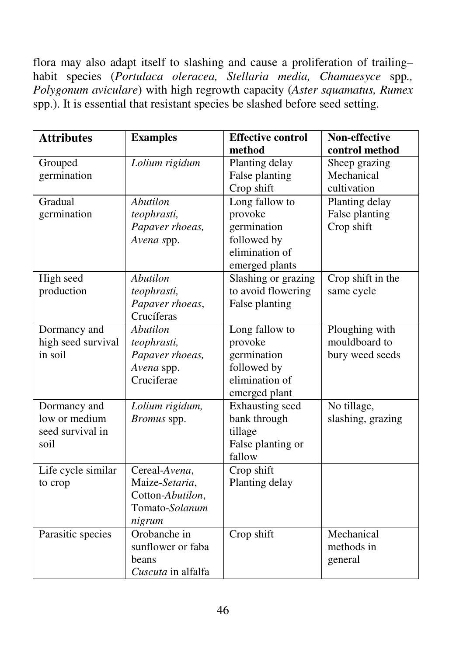flora may also adapt itself to slashing and cause a proliferation of trailing– habit species (*Portulaca oleracea, Stellaria media, Chamaesyce* spp*., Polygonum aviculare*) with high regrowth capacity (*Aster squamatus, Rumex* spp.). It is essential that resistant species be slashed before seed setting.

| <b>Attributes</b>  | <b>Examples</b>    | <b>Effective control</b> | Non-effective     |
|--------------------|--------------------|--------------------------|-------------------|
|                    |                    | method                   | control method    |
| Grouped            | Lolium rigidum     | Planting delay           | Sheep grazing     |
| germination        |                    | False planting           | Mechanical        |
|                    |                    | Crop shift               | cultivation       |
| Gradual            | <b>Abutilon</b>    | Long fallow to           | Planting delay    |
| germination        | teophrasti,        | provoke                  | False planting    |
|                    | Papaver rhoeas,    | germination              | Crop shift        |
|                    | Avena spp.         | followed by              |                   |
|                    |                    | elimination of           |                   |
|                    |                    | emerged plants           |                   |
| High seed          | <b>Abutilon</b>    | Slashing or grazing      | Crop shift in the |
| production         | teophrasti,        | to avoid flowering       | same cycle        |
|                    | Papaver rhoeas,    | False planting           |                   |
|                    | Crucíferas         |                          |                   |
| Dormancy and       | <b>Abutilon</b>    | Long fallow to           | Ploughing with    |
| high seed survival | teophrasti,        | provoke                  | mouldboard to     |
| in soil            | Papaver rhoeas,    | germination              | bury weed seeds   |
|                    | Avena spp.         | followed by              |                   |
|                    | Cruciferae         | elimination of           |                   |
|                    |                    | emerged plant            |                   |
| Dormancy and       | Lolium rigidum,    | Exhausting seed          | No tillage,       |
| low or medium      | Bromus spp.        | bank through             | slashing, grazing |
| seed survival in   |                    | tillage                  |                   |
| soil               |                    | False planting or        |                   |
|                    |                    | fallow                   |                   |
| Life cycle similar | Cereal-Avena,      | Crop shift               |                   |
| to crop            | Maize-Setaria,     | Planting delay           |                   |
|                    | Cotton-Abutilon,   |                          |                   |
|                    | Tomato-Solanum     |                          |                   |
|                    | nigrum             |                          |                   |
| Parasitic species  | Orobanche in       | Crop shift               | Mechanical        |
|                    | sunflower or faba  |                          | methods in        |
|                    | beans              |                          | general           |
|                    | Cuscuta in alfalfa |                          |                   |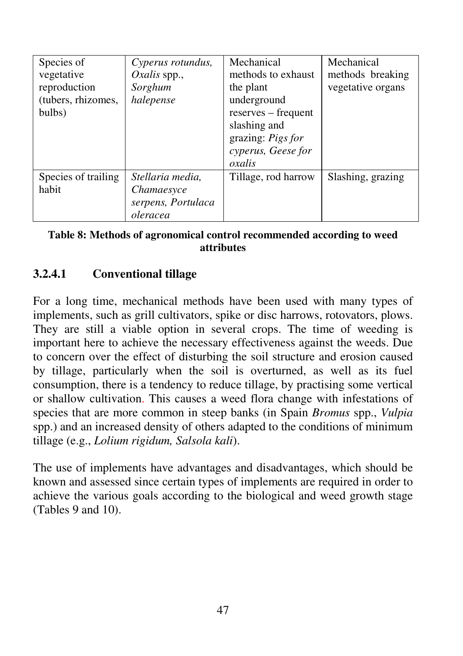| Species of<br>vegetative<br>reproduction<br>(tubers, rhizomes,<br>bulbs) | Cyperus rotundus,<br>Oxalis spp.,<br>Sorghum<br>halepense        | Mechanical<br>methods to exhaust<br>the plant<br>underground<br>reserves – frequent<br>slashing and<br>grazing: Pigs for<br>cyperus, Geese for<br>oxalis | Mechanical<br>methods breaking<br>vegetative organs |
|--------------------------------------------------------------------------|------------------------------------------------------------------|----------------------------------------------------------------------------------------------------------------------------------------------------------|-----------------------------------------------------|
| Species of trailing<br>habit                                             | Stellaria media,<br>Chamaesyce<br>serpens, Portulaca<br>oleracea | Tillage, rod harrow                                                                                                                                      | Slashing, grazing                                   |

#### **Table 8: Methods of agronomical control recommended according to weed attributes**

# **3.2.4.1 Conventional tillage**

For a long time, mechanical methods have been used with many types of implements, such as grill cultivators, spike or disc harrows, rotovators, plows. They are still a viable option in several crops. The time of weeding is important here to achieve the necessary effectiveness against the weeds. Due to concern over the effect of disturbing the soil structure and erosion caused by tillage, particularly when the soil is overturned, as well as its fuel consumption, there is a tendency to reduce tillage, by practising some vertical or shallow cultivation. This causes a weed flora change with infestations of species that are more common in steep banks (in Spain *Bromus* spp., *Vulpia* spp.) and an increased density of others adapted to the conditions of minimum tillage (e.g., *Lolium rigidum, Salsola kali*).

The use of implements have advantages and disadvantages, which should be known and assessed since certain types of implements are required in order to achieve the various goals according to the biological and weed growth stage (Tables 9 and 10).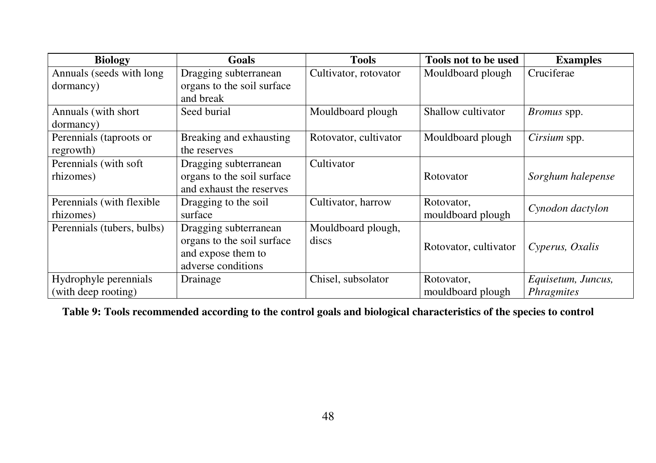| <b>Biology</b>                               | Goals                                                                                           | <b>Tools</b>                | Tools not to be used            | <b>Examples</b>                         |
|----------------------------------------------|-------------------------------------------------------------------------------------------------|-----------------------------|---------------------------------|-----------------------------------------|
| Annuals (seeds with long<br>dormancy)        | Dragging subterranean<br>organs to the soil surface<br>and break                                | Cultivator, rotovator       | Mouldboard plough               | Cruciferae                              |
| Annuals (with short<br>dormancy)             | Seed burial                                                                                     | Mouldboard plough           | Shallow cultivator              | <i>Bromus</i> spp.                      |
| Perennials (taproots or<br>regrowth)         | Breaking and exhausting<br>the reserves                                                         | Rotovator, cultivator       | Mouldboard plough               | Cirsium spp.                            |
| Perennials (with soft<br>rhizomes)           | Dragging subterranean<br>organs to the soil surface<br>and exhaust the reserves                 | Cultivator                  | Rotovator                       | Sorghum halepense                       |
| Perennials (with flexible)<br>rhizomes)      | Dragging to the soil<br>surface                                                                 | Cultivator, harrow          | Rotovator,<br>mouldboard plough | Cynodon dactylon                        |
| Perennials (tubers, bulbs)                   | Dragging subterranean<br>organs to the soil surface<br>and expose them to<br>adverse conditions | Mouldboard plough,<br>discs | Rotovator, cultivator           | Cyperus, Oxalis                         |
| Hydrophyle perennials<br>(with deep rooting) | Drainage                                                                                        | Chisel, subsolator          | Rotovator,<br>mouldboard plough | Equisetum, Juncus,<br><i>Phragmites</i> |

**Table 9: Tools recommended according to the control goals and biological characteristics of the species to control**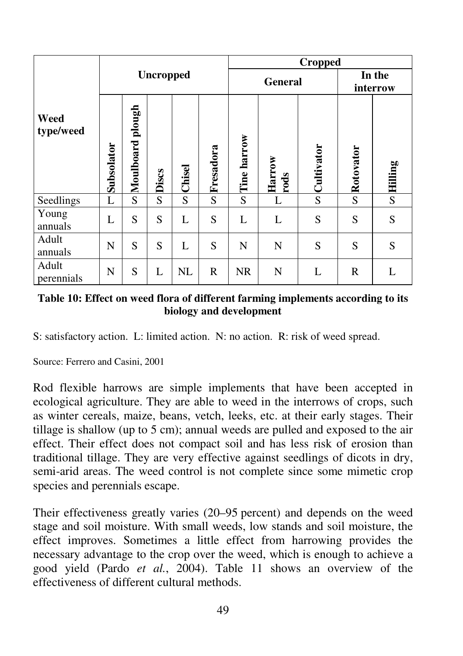|                     |                  |                  |       |        | <b>Cropped</b> |             |                         |                    |           |                |
|---------------------|------------------|------------------|-------|--------|----------------|-------------|-------------------------|--------------------|-----------|----------------|
|                     | <b>Uncropped</b> |                  |       |        | <b>General</b> |             |                         | In the<br>interrow |           |                |
| Weed<br>type/weed   | Subsolator       | Moulboard plough | Discs | Chisel | Fresadora      | Tine harrow | Harrow<br>$_{\rm rods}$ | Cultivator         | Rotovator | Hilling        |
| Seedlings           | L                | S                | S     | S      | S              | S           | L                       | S                  | S         | $\overline{S}$ |
| Young<br>annuals    | L                | S                | S     | L      | S              | L           | L                       | S                  | S         | S              |
| Adult<br>annuals    | N                | S                | S     | L      | S              | N           | N                       | S                  | S         | S              |
| Adult<br>perennials | N                | S                | L     | NL     | R              | <b>NR</b>   | N                       | L                  | R         | L              |

#### **Table 10: Effect on weed flora of different farming implements according to its biology and development**

S: satisfactory action. L: limited action. N: no action. R: risk of weed spread.

Source: Ferrero and Casini, 2001

Rod flexible harrows are simple implements that have been accepted in ecological agriculture. They are able to weed in the interrows of crops, such as winter cereals, maize, beans, vetch, leeks, etc. at their early stages. Their tillage is shallow (up to 5 cm); annual weeds are pulled and exposed to the air effect. Their effect does not compact soil and has less risk of erosion than traditional tillage. They are very effective against seedlings of dicots in dry, semi-arid areas. The weed control is not complete since some mimetic crop species and perennials escape.

Their effectiveness greatly varies (20–95 percent) and depends on the weed stage and soil moisture. With small weeds, low stands and soil moisture, the effect improves. Sometimes a little effect from harrowing provides the necessary advantage to the crop over the weed, which is enough to achieve a good yield (Pardo *et al.*, 2004). Table 11 shows an overview of the effectiveness of different cultural methods.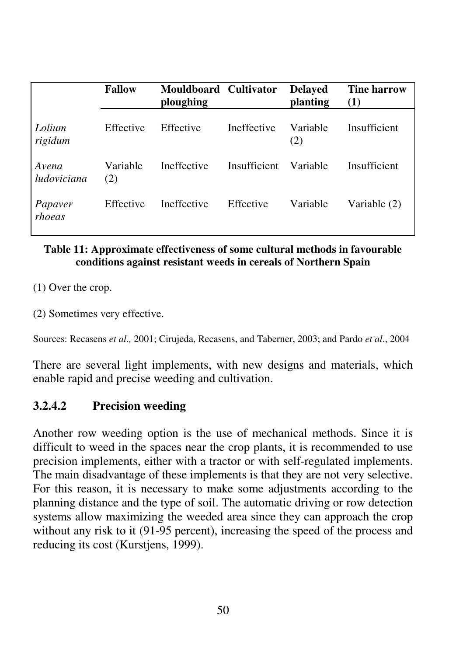|                      | <b>Fallow</b>   | Mouldboard Cultivator<br>ploughing |              | <b>Delaved</b><br>planting | <b>Tine harrow</b><br>(1) |
|----------------------|-----------------|------------------------------------|--------------|----------------------------|---------------------------|
| Lolium<br>rigidum    | Effective       | Effective                          | Ineffective  | Variable<br>(2)            | Insufficient              |
| Avena<br>ludoviciana | Variable<br>(2) | Ineffective                        | Insufficient | Variable                   | Insufficient              |
| Papaver<br>rhoeas    | Effective       | Ineffective                        | Effective    | Variable                   | Variable (2)              |

#### **Table 11: Approximate effectiveness of some cultural methods in favourable conditions against resistant weeds in cereals of Northern Spain**

(1) Over the crop.

(2) Sometimes very effective.

Sources: Recasens *et al.,* 2001; Cirujeda, Recasens, and Taberner, 2003; and Pardo *et al*., 2004

There are several light implements, with new designs and materials, which enable rapid and precise weeding and cultivation.

### **3.2.4.2 Precision weeding**

Another row weeding option is the use of mechanical methods. Since it is difficult to weed in the spaces near the crop plants, it is recommended to use precision implements, either with a tractor or with self-regulated implements. The main disadvantage of these implements is that they are not very selective. For this reason, it is necessary to make some adjustments according to the planning distance and the type of soil. The automatic driving or row detection systems allow maximizing the weeded area since they can approach the crop without any risk to it (91-95 percent), increasing the speed of the process and reducing its cost (Kurstjens, 1999).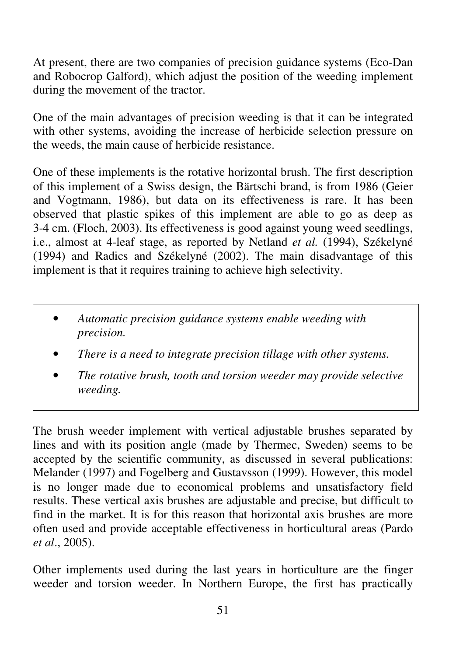At present, there are two companies of precision guidance systems (Eco-Dan and Robocrop Galford), which adjust the position of the weeding implement during the movement of the tractor.

One of the main advantages of precision weeding is that it can be integrated with other systems, avoiding the increase of herbicide selection pressure on the weeds, the main cause of herbicide resistance.

One of these implements is the rotative horizontal brush. The first description of this implement of a Swiss design, the Bärtschi brand, is from 1986 (Geier and Vogtmann, 1986), but data on its effectiveness is rare. It has been observed that plastic spikes of this implement are able to go as deep as 3-4 cm. (Floch, 2003). Its effectiveness is good against young weed seedlings, i.e., almost at 4-leaf stage, as reported by Netland *et al.* (1994), Székelyné (1994) and Radics and Székelyné (2002). The main disadvantage of this implement is that it requires training to achieve high selectivity.

- *Automatic precision guidance systems enable weeding with precision.*
- *There is a need to integrate precision tillage with other systems.*
- *The rotative brush, tooth and torsion weeder may provide selective weeding.*

The brush weeder implement with vertical adjustable brushes separated by lines and with its position angle (made by Thermec, Sweden) seems to be accepted by the scientific community, as discussed in several publications: Melander (1997) and Fogelberg and Gustavsson (1999). However, this model is no longer made due to economical problems and unsatisfactory field results. These vertical axis brushes are adjustable and precise, but difficult to find in the market. It is for this reason that horizontal axis brushes are more often used and provide acceptable effectiveness in horticultural areas (Pardo *et al*., 2005).

Other implements used during the last years in horticulture are the finger weeder and torsion weeder. In Northern Europe, the first has practically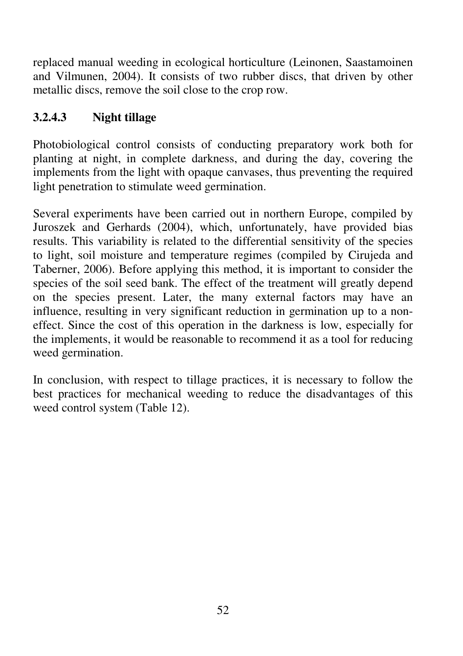replaced manual weeding in ecological horticulture (Leinonen, Saastamoinen and Vilmunen, 2004). It consists of two rubber discs, that driven by other metallic discs, remove the soil close to the crop row.

# **3.2.4.3 Night tillage**

Photobiological control consists of conducting preparatory work both for planting at night, in complete darkness, and during the day, covering the implements from the light with opaque canvases, thus preventing the required light penetration to stimulate weed germination.

Several experiments have been carried out in northern Europe, compiled by Juroszek and Gerhards (2004), which, unfortunately, have provided bias results. This variability is related to the differential sensitivity of the species to light, soil moisture and temperature regimes (compiled by Cirujeda and Taberner, 2006). Before applying this method, it is important to consider the species of the soil seed bank. The effect of the treatment will greatly depend on the species present. Later, the many external factors may have an influence, resulting in very significant reduction in germination up to a noneffect. Since the cost of this operation in the darkness is low, especially for the implements, it would be reasonable to recommend it as a tool for reducing weed germination.

In conclusion, with respect to tillage practices, it is necessary to follow the best practices for mechanical weeding to reduce the disadvantages of this weed control system (Table 12).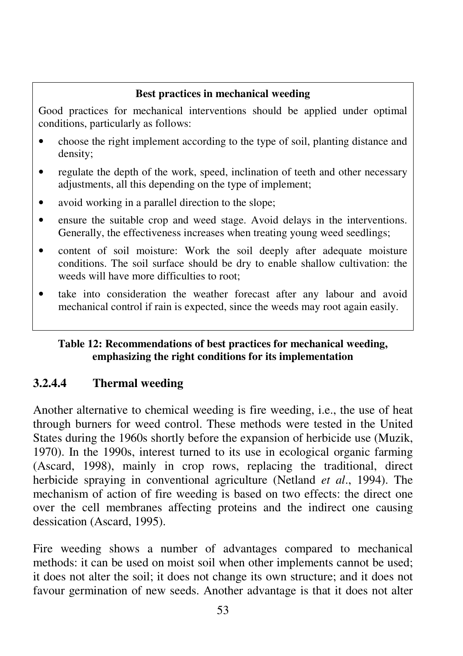#### **Best practices in mechanical weeding**

Good practices for mechanical interventions should be applied under optimal conditions, particularly as follows:

- choose the right implement according to the type of soil, planting distance and density;
- regulate the depth of the work, speed, inclination of teeth and other necessary adjustments, all this depending on the type of implement;
- avoid working in a parallel direction to the slope;
- ensure the suitable crop and weed stage. Avoid delays in the interventions. Generally, the effectiveness increases when treating young weed seedlings;
- content of soil moisture: Work the soil deeply after adequate moisture conditions. The soil surface should be dry to enable shallow cultivation: the weeds will have more difficulties to root;
- take into consideration the weather forecast after any labour and avoid mechanical control if rain is expected, since the weeds may root again easily.

#### **Table 12: Recommendations of best practices for mechanical weeding, emphasizing the right conditions for its implementation**

## **3.2.4.4 Thermal weeding**

Another alternative to chemical weeding is fire weeding, i.e., the use of heat through burners for weed control. These methods were tested in the United States during the 1960s shortly before the expansion of herbicide use (Muzik, 1970). In the 1990s, interest turned to its use in ecological organic farming (Ascard, 1998), mainly in crop rows, replacing the traditional, direct herbicide spraying in conventional agriculture (Netland *et al*., 1994). The mechanism of action of fire weeding is based on two effects: the direct one over the cell membranes affecting proteins and the indirect one causing dessication (Ascard, 1995).

Fire weeding shows a number of advantages compared to mechanical methods: it can be used on moist soil when other implements cannot be used; it does not alter the soil; it does not change its own structure; and it does not favour germination of new seeds. Another advantage is that it does not alter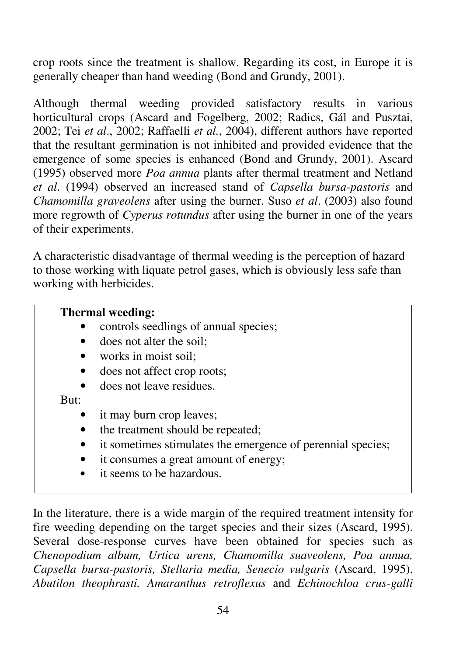crop roots since the treatment is shallow. Regarding its cost, in Europe it is generally cheaper than hand weeding (Bond and Grundy, 2001).

Although thermal weeding provided satisfactory results in various horticultural crops (Ascard and Fogelberg, 2002; Radics, Gál and Pusztai, 2002; Tei *et al*., 2002; Raffaelli *et al.*, 2004), different authors have reported that the resultant germination is not inhibited and provided evidence that the emergence of some species is enhanced (Bond and Grundy, 2001). Ascard (1995) observed more *Poa annua* plants after thermal treatment and Netland *et al*. (1994) observed an increased stand of *Capsella bursa-pastoris* and *Chamomilla graveolens* after using the burner. Suso *et al*. (2003) also found more regrowth of *Cyperus rotundus* after using the burner in one of the years of their experiments.

A characteristic disadvantage of thermal weeding is the perception of hazard to those working with liquate petrol gases, which is obviously less safe than working with herbicides.

## **Thermal weeding:**

- controls seedlings of annual species;
- does not alter the soil:
- works in moist soil:
- does not affect crop roots;
- does not leave residues.

But:

- it may burn crop leaves;
- the treatment should be repeated;
- it sometimes stimulates the emergence of perennial species;
- it consumes a great amount of energy;
- it seems to be hazardous.

In the literature, there is a wide margin of the required treatment intensity for fire weeding depending on the target species and their sizes (Ascard, 1995). Several dose-response curves have been obtained for species such as *Chenopodium album, Urtica urens, Chamomilla suaveolens, Poa annua, Capsella bursa-pastoris, Stellaria media, Senecio vulgaris* (Ascard, 1995), *Abutilon theophrasti, Amaranthus retroflexus* and *Echinochloa crus-galli*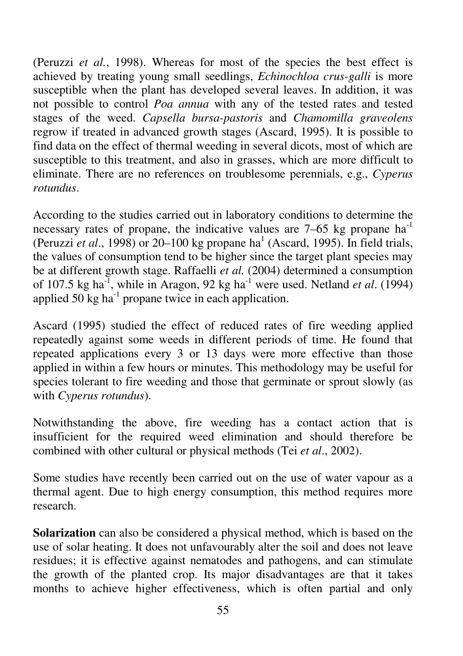(Peruzzi *et al.*, 1998). Whereas for most of the species the best effect is achieved by treating young small seedlings, *Echinochloa crus-galli* is more susceptible when the plant has developed several leaves. In addition, it was not possible to control *Poa annua* with any of the tested rates and tested stages of the weed. *Capsella bursa-pastoris* and *Chamomilla graveolens* regrow if treated in advanced growth stages (Ascard, 1995). It is possible to find data on the effect of thermal weeding in several dicots, most of which are susceptible to this treatment, and also in grasses, which are more difficult to eliminate. There are no references on troublesome perennials, e.g., *Cyperus rotundus*.

According to the studies carried out in laboratory conditions to determine the necessary rates of propane, the indicative values are  $7-65$  kg propane ha<sup>-1</sup> (Peruzzi *et al.*, 1998) or 20–100 kg propane ha<sup>1</sup> (Ascard, 1995). In field trials, the values of consumption tend to be higher since the target plant species may be at different growth stage. Raffaelli *et al.* (2004) determined a consumption of 107.5 kg ha<sup>-1</sup>, while in Aragon, 92 kg ha<sup>-1</sup> were used. Netland *et al.* (1994) applied  $50 \text{ kg}$  ha<sup>-1</sup> propane twice in each application.

Ascard (1995) studied the effect of reduced rates of fire weeding applied repeatedly against some weeds in different periods of time. He found that repeated applications every 3 or 13 days were more effective than those applied in within a few hours or minutes. This methodology may be useful for species tolerant to fire weeding and those that germinate or sprout slowly (as with *Cyperus rotundus*).

Notwithstanding the above, fire weeding has a contact action that is insufficient for the required weed elimination and should therefore be combined with other cultural or physical methods (Tei *et al*., 2002).

Some studies have recently been carried out on the use of water vapour as a thermal agent. Due to high energy consumption, this method requires more research.

**Solarization** can also be considered a physical method, which is based on the use of solar heating. It does not unfavourably alter the soil and does not leave residues; it is effective against nematodes and pathogens, and can stimulate the growth of the planted crop. Its major disadvantages are that it takes months to achieve higher effectiveness, which is often partial and only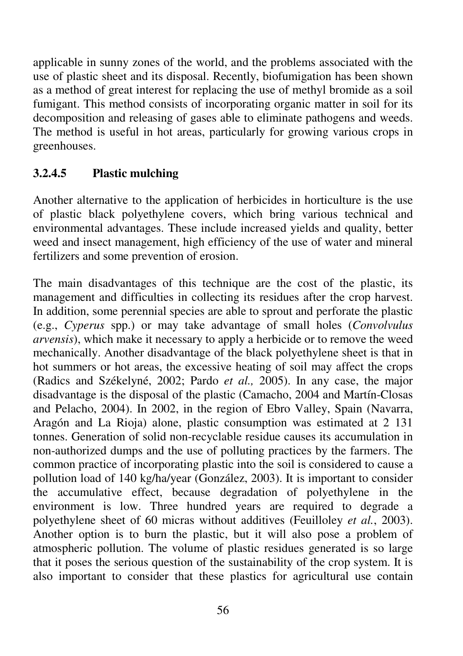applicable in sunny zones of the world, and the problems associated with the use of plastic sheet and its disposal. Recently, biofumigation has been shown as a method of great interest for replacing the use of methyl bromide as a soil fumigant. This method consists of incorporating organic matter in soil for its decomposition and releasing of gases able to eliminate pathogens and weeds. The method is useful in hot areas, particularly for growing various crops in greenhouses.

# **3.2.4.5 Plastic mulching**

Another alternative to the application of herbicides in horticulture is the use of plastic black polyethylene covers, which bring various technical and environmental advantages. These include increased yields and quality, better weed and insect management, high efficiency of the use of water and mineral fertilizers and some prevention of erosion.

The main disadvantages of this technique are the cost of the plastic, its management and difficulties in collecting its residues after the crop harvest. In addition, some perennial species are able to sprout and perforate the plastic (e.g., *Cyperus* spp.) or may take advantage of small holes (*Convolvulus arvensis*), which make it necessary to apply a herbicide or to remove the weed mechanically. Another disadvantage of the black polyethylene sheet is that in hot summers or hot areas, the excessive heating of soil may affect the crops (Radics and Székelyné, 2002; Pardo *et al.,* 2005). In any case, the major disadvantage is the disposal of the plastic (Camacho, 2004 and Martín-Closas and Pelacho, 2004). In 2002, in the region of Ebro Valley, Spain (Navarra, Aragón and La Rioja) alone, plastic consumption was estimated at 2 131 tonnes. Generation of solid non-recyclable residue causes its accumulation in non-authorized dumps and the use of polluting practices by the farmers. The common practice of incorporating plastic into the soil is considered to cause a pollution load of 140 kg/ha/year (González, 2003). It is important to consider the accumulative effect, because degradation of polyethylene in the environment is low. Three hundred years are required to degrade a polyethylene sheet of 60 micras without additives (Feuilloley *et al.*, 2003). Another option is to burn the plastic, but it will also pose a problem of atmospheric pollution. The volume of plastic residues generated is so large that it poses the serious question of the sustainability of the crop system. It is also important to consider that these plastics for agricultural use contain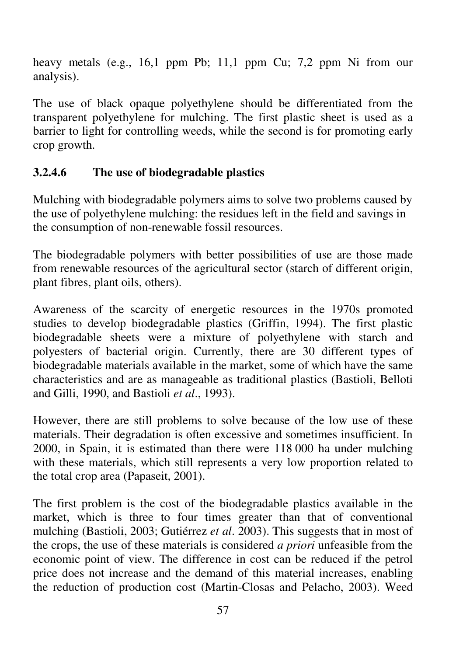heavy metals (e.g., 16,1 ppm Pb; 11,1 ppm Cu; 7,2 ppm Ni from our analysis).

The use of black opaque polyethylene should be differentiated from the transparent polyethylene for mulching. The first plastic sheet is used as a barrier to light for controlling weeds, while the second is for promoting early crop growth.

# **3.2.4.6 The use of biodegradable plastics**

Mulching with biodegradable polymers aims to solve two problems caused by the use of polyethylene mulching: the residues left in the field and savings in the consumption of non-renewable fossil resources.

The biodegradable polymers with better possibilities of use are those made from renewable resources of the agricultural sector (starch of different origin, plant fibres, plant oils, others).

Awareness of the scarcity of energetic resources in the 1970s promoted studies to develop biodegradable plastics (Griffin, 1994). The first plastic biodegradable sheets were a mixture of polyethylene with starch and polyesters of bacterial origin. Currently, there are 30 different types of biodegradable materials available in the market, some of which have the same characteristics and are as manageable as traditional plastics (Bastioli, Belloti and Gilli, 1990, and Bastioli *et al*., 1993).

However, there are still problems to solve because of the low use of these materials. Their degradation is often excessive and sometimes insufficient. In 2000, in Spain, it is estimated than there were 118 000 ha under mulching with these materials, which still represents a very low proportion related to the total crop area (Papaseit, 2001).

The first problem is the cost of the biodegradable plastics available in the market, which is three to four times greater than that of conventional mulching (Bastioli, 2003; Gutiérrez *et al*. 2003). This suggests that in most of the crops, the use of these materials is considered *a priori* unfeasible from the economic point of view. The difference in cost can be reduced if the petrol price does not increase and the demand of this material increases, enabling the reduction of production cost (Martin-Closas and Pelacho, 2003). Weed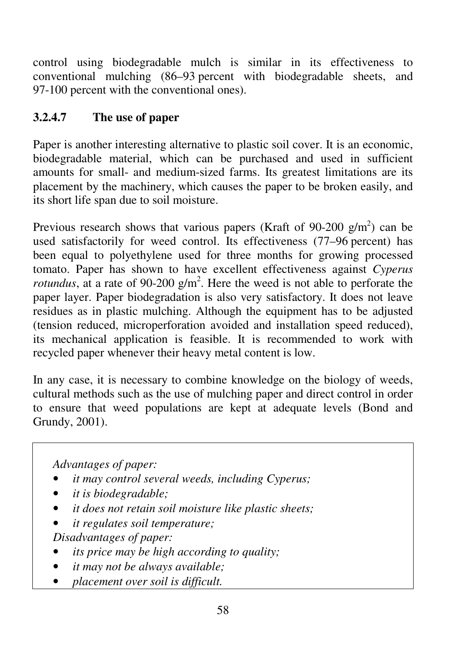control using biodegradable mulch is similar in its effectiveness to conventional mulching (86–93 percent with biodegradable sheets, and 97-100 percent with the conventional ones).

# **3.2.4.7 The use of paper**

Paper is another interesting alternative to plastic soil cover. It is an economic, biodegradable material, which can be purchased and used in sufficient amounts for small- and medium-sized farms. Its greatest limitations are its placement by the machinery, which causes the paper to be broken easily, and its short life span due to soil moisture.

Previous research shows that various papers (Kraft of 90-200  $g/m<sup>2</sup>$ ) can be used satisfactorily for weed control. Its effectiveness (77–96 percent) has been equal to polyethylene used for three months for growing processed tomato. Paper has shown to have excellent effectiveness against *Cyperus rotundus*, at a rate of 90-200  $g/m^2$ . Here the weed is not able to perforate the paper layer. Paper biodegradation is also very satisfactory. It does not leave residues as in plastic mulching. Although the equipment has to be adjusted (tension reduced, microperforation avoided and installation speed reduced), its mechanical application is feasible. It is recommended to work with recycled paper whenever their heavy metal content is low.

In any case, it is necessary to combine knowledge on the biology of weeds, cultural methods such as the use of mulching paper and direct control in order to ensure that weed populations are kept at adequate levels (Bond and Grundy, 2001).

*Advantages of paper:* 

- *it may control several weeds, including Cyperus;*
- *it is biodegradable;*
- *it does not retain soil moisture like plastic sheets;*
- *it regulates soil temperature;*

*Disadvantages of paper:* 

- *its price may be high according to quality;*
- *it may not be always available;*
- *placement over soil is difficult.*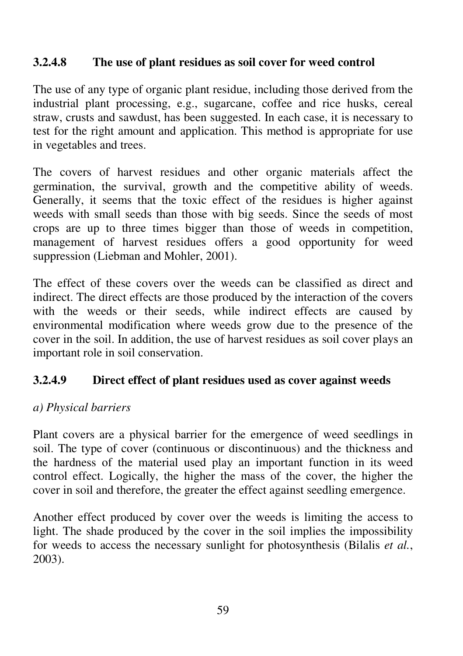## **3.2.4.8 The use of plant residues as soil cover for weed control**

The use of any type of organic plant residue, including those derived from the industrial plant processing, e.g., sugarcane, coffee and rice husks, cereal straw, crusts and sawdust, has been suggested. In each case, it is necessary to test for the right amount and application. This method is appropriate for use in vegetables and trees.

The covers of harvest residues and other organic materials affect the germination, the survival, growth and the competitive ability of weeds. Generally, it seems that the toxic effect of the residues is higher against weeds with small seeds than those with big seeds. Since the seeds of most crops are up to three times bigger than those of weeds in competition, management of harvest residues offers a good opportunity for weed suppression (Liebman and Mohler, 2001).

The effect of these covers over the weeds can be classified as direct and indirect. The direct effects are those produced by the interaction of the covers with the weeds or their seeds, while indirect effects are caused by environmental modification where weeds grow due to the presence of the cover in the soil. In addition, the use of harvest residues as soil cover plays an important role in soil conservation.

### **3.2.4.9 Direct effect of plant residues used as cover against weeds**

### *a) Physical barriers*

Plant covers are a physical barrier for the emergence of weed seedlings in soil. The type of cover (continuous or discontinuous) and the thickness and the hardness of the material used play an important function in its weed control effect. Logically, the higher the mass of the cover, the higher the cover in soil and therefore, the greater the effect against seedling emergence.

Another effect produced by cover over the weeds is limiting the access to light. The shade produced by the cover in the soil implies the impossibility for weeds to access the necessary sunlight for photosynthesis (Bilalis *et al.*, 2003).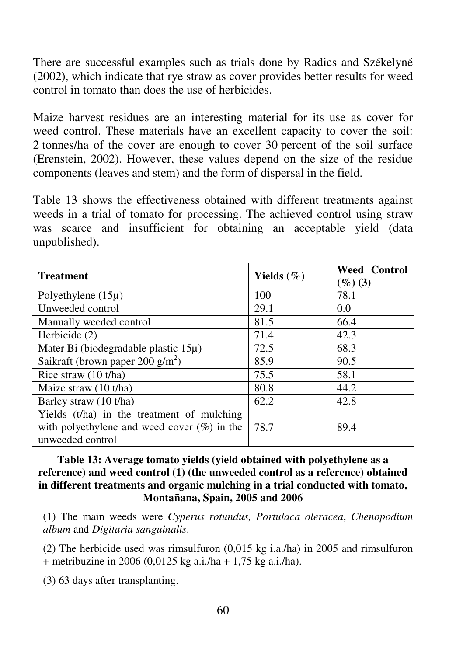There are successful examples such as trials done by Radics and Székelyné (2002), which indicate that rye straw as cover provides better results for weed control in tomato than does the use of herbicides.

Maize harvest residues are an interesting material for its use as cover for weed control. These materials have an excellent capacity to cover the soil: 2 tonnes/ha of the cover are enough to cover 30 percent of the soil surface (Erenstein, 2002). However, these values depend on the size of the residue components (leaves and stem) and the form of dispersal in the field.

Table 13 shows the effectiveness obtained with different treatments against weeds in a trial of tomato for processing. The achieved control using straw was scarce and insufficient for obtaining an acceptable yield (data unpublished).

| <b>Treatment</b>                               | Yields $(\%)$ | <b>Weed Control</b><br>$(\%)(3)$ |
|------------------------------------------------|---------------|----------------------------------|
| Polyethylene $(15\mu)$                         | 100           | 78.1                             |
| Unweeded control                               | 29.1          | 0.0                              |
| Manually weeded control                        | 81.5          | 66.4                             |
| Herbicide (2)                                  | 71.4          | 42.3                             |
| Mater Bi (biodegradable plastic 15µ)           | 72.5          | 68.3                             |
| Saikraft (brown paper 200 $g/m2$ )             | 85.9          | 90.5                             |
| Rice straw (10 t/ha)                           | 75.5          | 58.1                             |
| Maize straw (10 t/ha)                          | 80.8          | 44.2                             |
| Barley straw (10 t/ha)                         | 62.2          | 42.8                             |
| Yields (t/ha) in the treatment of mulching     |               |                                  |
| with polyethylene and weed cover $(\%)$ in the | 78.7          | 89.4                             |
| unweeded control                               |               |                                  |

**Table 13: Average tomato yields (yield obtained with polyethylene as a reference) and weed control (1) (the unweeded control as a reference) obtained in different treatments and organic mulching in a trial conducted with tomato, Montañana, Spain, 2005 and 2006** 

(1) The main weeds were *Cyperus rotundus, Portulaca oleracea*, *Chenopodium album* and *Digitaria sanguinalis*.

(2) The herbicide used was rimsulfuron (0,015 kg i.a./ha) in 2005 and rimsulfuron + metribuzine in 2006 (0,0125 kg a.i./ha + 1,75 kg a.i./ha).

(3) 63 days after transplanting.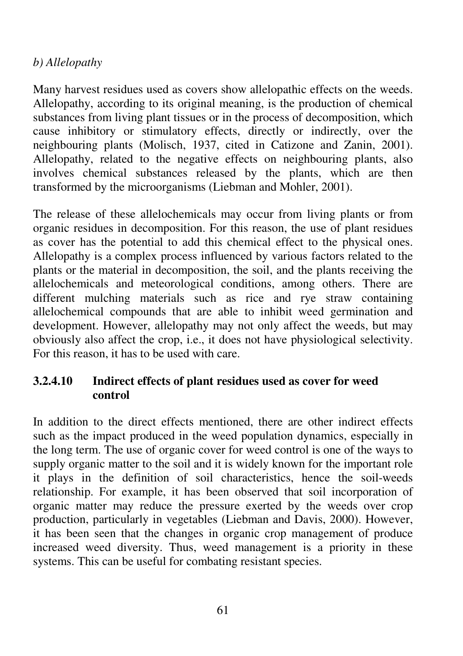## *b) Allelopathy*

Many harvest residues used as covers show allelopathic effects on the weeds. Allelopathy, according to its original meaning, is the production of chemical substances from living plant tissues or in the process of decomposition, which cause inhibitory or stimulatory effects, directly or indirectly, over the neighbouring plants (Molisch, 1937, cited in Catizone and Zanin, 2001). Allelopathy, related to the negative effects on neighbouring plants, also involves chemical substances released by the plants, which are then transformed by the microorganisms (Liebman and Mohler, 2001).

The release of these allelochemicals may occur from living plants or from organic residues in decomposition. For this reason, the use of plant residues as cover has the potential to add this chemical effect to the physical ones. Allelopathy is a complex process influenced by various factors related to the plants or the material in decomposition, the soil, and the plants receiving the allelochemicals and meteorological conditions, among others. There are different mulching materials such as rice and rye straw containing allelochemical compounds that are able to inhibit weed germination and development. However, allelopathy may not only affect the weeds, but may obviously also affect the crop, i.e., it does not have physiological selectivity. For this reason, it has to be used with care.

## **3.2.4.10 Indirect effects of plant residues used as cover for weed control**

In addition to the direct effects mentioned, there are other indirect effects such as the impact produced in the weed population dynamics, especially in the long term. The use of organic cover for weed control is one of the ways to supply organic matter to the soil and it is widely known for the important role it plays in the definition of soil characteristics, hence the soil-weeds relationship. For example, it has been observed that soil incorporation of organic matter may reduce the pressure exerted by the weeds over crop production, particularly in vegetables (Liebman and Davis, 2000). However, it has been seen that the changes in organic crop management of produce increased weed diversity. Thus, weed management is a priority in these systems. This can be useful for combating resistant species.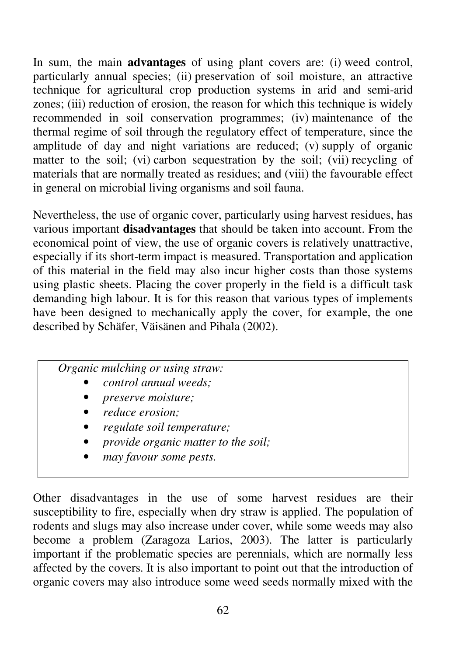In sum, the main **advantages** of using plant covers are: (i) weed control, particularly annual species; (ii) preservation of soil moisture, an attractive technique for agricultural crop production systems in arid and semi-arid zones; (iii) reduction of erosion, the reason for which this technique is widely recommended in soil conservation programmes; (iv) maintenance of the thermal regime of soil through the regulatory effect of temperature, since the amplitude of day and night variations are reduced; (v) supply of organic matter to the soil; (vi) carbon sequestration by the soil; (vii) recycling of materials that are normally treated as residues; and (viii) the favourable effect in general on microbial living organisms and soil fauna.

Nevertheless, the use of organic cover, particularly using harvest residues, has various important **disadvantages** that should be taken into account. From the economical point of view, the use of organic covers is relatively unattractive, especially if its short-term impact is measured. Transportation and application of this material in the field may also incur higher costs than those systems using plastic sheets. Placing the cover properly in the field is a difficult task demanding high labour. It is for this reason that various types of implements have been designed to mechanically apply the cover, for example, the one described by Schäfer, Väisänen and Pihala (2002).

## *Organic mulching or using straw:*

- *control annual weeds;*
- *preserve moisture;*
- *reduce erosion;*
- *regulate soil temperature;*
- *provide organic matter to the soil;*
- *may favour some pests.*

Other disadvantages in the use of some harvest residues are their susceptibility to fire, especially when dry straw is applied. The population of rodents and slugs may also increase under cover, while some weeds may also become a problem (Zaragoza Larios, 2003). The latter is particularly important if the problematic species are perennials, which are normally less affected by the covers. It is also important to point out that the introduction of organic covers may also introduce some weed seeds normally mixed with the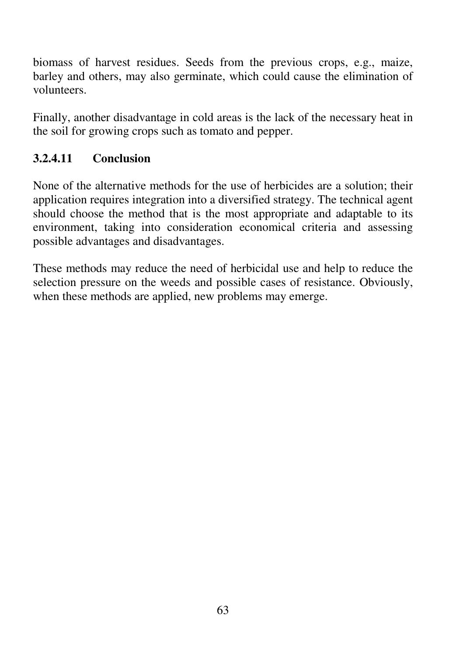biomass of harvest residues. Seeds from the previous crops, e.g., maize, barley and others, may also germinate, which could cause the elimination of volunteers.

Finally, another disadvantage in cold areas is the lack of the necessary heat in the soil for growing crops such as tomato and pepper.

# **3.2.4.11 Conclusion**

None of the alternative methods for the use of herbicides are a solution; their application requires integration into a diversified strategy. The technical agent should choose the method that is the most appropriate and adaptable to its environment, taking into consideration economical criteria and assessing possible advantages and disadvantages.

These methods may reduce the need of herbicidal use and help to reduce the selection pressure on the weeds and possible cases of resistance. Obviously, when these methods are applied, new problems may emerge.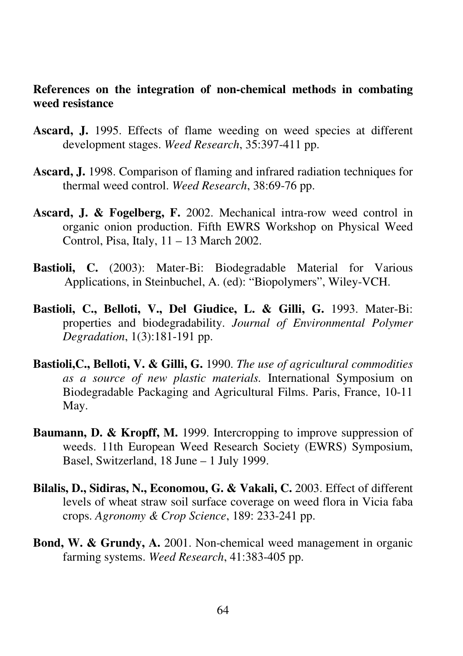#### **References on the integration of non-chemical methods in combating weed resistance**

- **Ascard, J.** 1995. Effects of flame weeding on weed species at different development stages. *Weed Research*, 35:397-411 pp.
- **Ascard, J.** 1998. Comparison of flaming and infrared radiation techniques for thermal weed control. *Weed Research*, 38:69-76 pp.
- **Ascard, J. & Fogelberg, F.** 2002. Mechanical intra-row weed control in organic onion production. Fifth EWRS Workshop on Physical Weed Control, Pisa, Italy, 11 – 13 March 2002.
- **Bastioli, C.** (2003): Mater-Bi: Biodegradable Material for Various Applications, in Steinbuchel, A. (ed): "Biopolymers", Wiley-VCH.
- **Bastioli, C., Belloti, V., Del Giudice, L. & Gilli, G.** 1993. Mater-Bi: properties and biodegradability. *Journal of Environmental Polymer Degradation*, 1(3):181-191 pp.
- **Bastioli,C., Belloti, V. & Gilli, G.** 1990. *The use of agricultural commodities as a source of new plastic materials.* International Symposium on Biodegradable Packaging and Agricultural Films. Paris, France, 10-11 May.
- **Baumann, D. & Kropff, M.** 1999. Intercropping to improve suppression of weeds. 11th European Weed Research Society (EWRS) Symposium, Basel, Switzerland, 18 June – 1 July 1999.
- **Bilalis, D., Sidiras, N., Economou, G. & Vakali, C.** 2003. Effect of different levels of wheat straw soil surface coverage on weed flora in Vicia faba crops. *Agronomy & Crop Science*, 189: 233-241 pp.
- **Bond, W. & Grundy, A.** 2001. Non-chemical weed management in organic farming systems. *Weed Research*, 41:383-405 pp.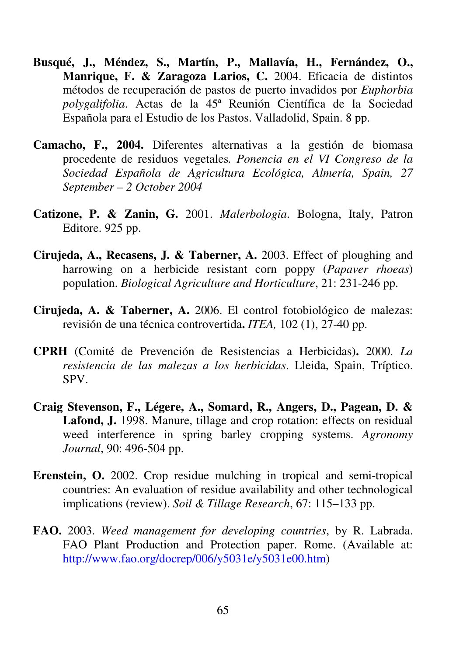- **Busqué, J., Méndez, S., Martín, P., Mallavía, H., Fernández, O., Manrique, F. & Zaragoza Larios, C.** 2004. Eficacia de distintos métodos de recuperación de pastos de puerto invadidos por *Euphorbia polygalifolia*. Actas de la 45ª Reunión Científica de la Sociedad Española para el Estudio de los Pastos. Valladolid, Spain. 8 pp.
- **Camacho, F., 2004.** Diferentes alternativas a la gestión de biomasa procedente de residuos vegetales*. Ponencia en el VI Congreso de la Sociedad Española de Agricultura Ecológica, Almería, Spain, 27 September – 2 October 2004*
- **Catizone, P. & Zanin, G.** 2001. *Malerbologia*. Bologna, Italy, Patron Editore. 925 pp.
- **Cirujeda, A., Recasens, J. & Taberner, A.** 2003. Effect of ploughing and harrowing on a herbicide resistant corn poppy (*Papaver rhoeas*) population. *Biological Agriculture and Horticulture*, 21: 231-246 pp.
- **Cirujeda, A. & Taberner, A.** 2006. El control fotobiológico de malezas: revisión de una técnica controvertida**.** *ITEA,* 102 (1), 27-40 pp.
- **CPRH** (Comité de Prevención de Resistencias a Herbicidas)**.** 2000. *La resistencia de las malezas a los herbicidas*. Lleida, Spain, Tríptico. SPV.
- **Craig Stevenson, F., Légere, A., Somard, R., Angers, D., Pagean, D. &**  Lafond, J. 1998. Manure, tillage and crop rotation: effects on residual weed interference in spring barley cropping systems. *Agronomy Journal*, 90: 496-504 pp.
- **Erenstein, O.** 2002. Crop residue mulching in tropical and semi-tropical countries: An evaluation of residue availability and other technological implications (review). *Soil & Tillage Research*, 67: 115–133 pp.
- **FAO.** 2003. *Weed management for developing countries*, by R. Labrada. FAO Plant Production and Protection paper. Rome. (Available at: http://www.fao.org/docrep/006/y5031e/y5031e00.htm)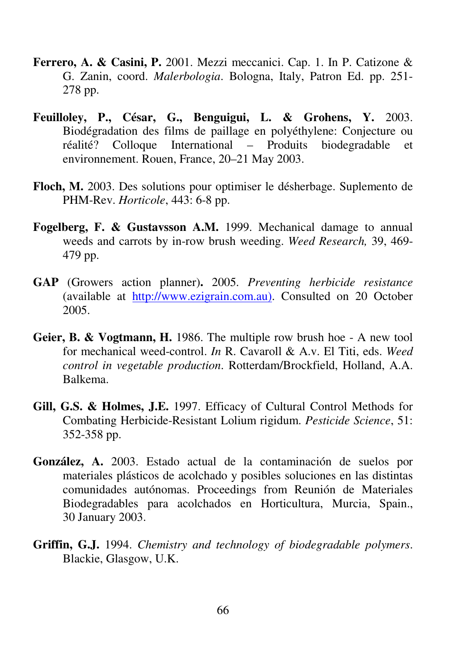- **Ferrero, A. & Casini, P.** 2001. Mezzi meccanici. Cap. 1. In P. Catizone & G. Zanin, coord. *Malerbologia*. Bologna, Italy, Patron Ed. pp. 251- 278 pp.
- **Feuilloley, P., César, G., Benguigui, L. & Grohens, Y.** 2003. Biodégradation des films de paillage en polyéthylene: Conjecture ou réalité? Colloque International – Produits biodegradable et environnement. Rouen, France, 20–21 May 2003.
- **Floch, M.** 2003. Des solutions pour optimiser le désherbage. Suplemento de PHM-Rev. *Horticole*, 443: 6-8 pp.
- **Fogelberg, F. & Gustavsson A.M.** 1999. Mechanical damage to annual weeds and carrots by in-row brush weeding. *Weed Research,* 39, 469- 479 pp.
- **GAP** (Growers action planner)**.** 2005. *Preventing herbicide resistance* (available at http://www.ezigrain.com.au). Consulted on 20 October 2005.
- **Geier, B. & Vogtmann, H.** 1986. The multiple row brush hoe A new tool for mechanical weed-control. *In* R. Cavaroll & A.v. El Titi, eds. *Weed control in vegetable production*. Rotterdam/Brockfield, Holland, A.A. Balkema.
- **Gill, G.S. & Holmes, J.E.** 1997. Efficacy of Cultural Control Methods for Combating Herbicide-Resistant Lolium rigidum. *Pesticide Science*, 51: 352-358 pp.
- **González, A.** 2003. Estado actual de la contaminación de suelos por materiales plásticos de acolchado y posibles soluciones en las distintas comunidades autónomas. Proceedings from Reunión de Materiales Biodegradables para acolchados en Horticultura, Murcia, Spain., 30 January 2003.
- **Griffin, G.J.** 1994. *Chemistry and technology of biodegradable polymers*. Blackie, Glasgow, U.K.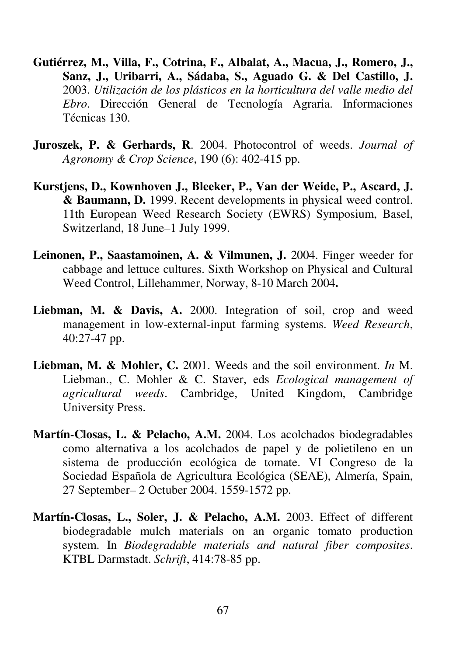- **Gutiérrez, M., Villa, F., Cotrina, F., Albalat, A., Macua, J., Romero, J., Sanz, J., Uribarri, A., Sádaba, S., Aguado G. & Del Castillo, J.** 2003. *Utilización de los plásticos en la horticultura del valle medio del Ebro*. Dirección General de Tecnología Agraria. Informaciones Técnicas 130.
- **Juroszek, P. & Gerhards, R**. 2004. Photocontrol of weeds. *Journal of Agronomy & Crop Science*, 190 (6): 402-415 pp.
- **Kurstjens, D., Kownhoven J., Bleeker, P., Van der Weide, P., Ascard, J. & Baumann, D.** 1999. Recent developments in physical weed control. 11th European Weed Research Society (EWRS) Symposium, Basel, Switzerland, 18 June–1 July 1999.
- Leinonen, P., Saastamoinen, A. & Vilmunen, J. 2004. Finger weeder for cabbage and lettuce cultures. Sixth Workshop on Physical and Cultural Weed Control, Lillehammer, Norway, 8-10 March 2004**.**
- Liebman, M. & Davis, A. 2000. Integration of soil, crop and weed management in low-external-input farming systems. *Weed Research*, 40:27-47 pp.
- **Liebman, M. & Mohler, C.** 2001. Weeds and the soil environment. *In* M. Liebman., C. Mohler & C. Staver, eds *Ecological management of agricultural weeds*. Cambridge, United Kingdom, Cambridge University Press.
- **Martín-Closas, L. & Pelacho, A.M.** 2004. Los acolchados biodegradables como alternativa a los acolchados de papel y de polietileno en un sistema de producción ecológica de tomate. VI Congreso de la Sociedad Española de Agricultura Ecológica (SEAE), Almería, Spain, 27 September– 2 Octuber 2004. 1559-1572 pp.
- **Martín-Closas, L., Soler, J. & Pelacho, A.M.** 2003. Effect of different biodegradable mulch materials on an organic tomato production system. In *Biodegradable materials and natural fiber composites*. KTBL Darmstadt. *Schrift*, 414:78-85 pp.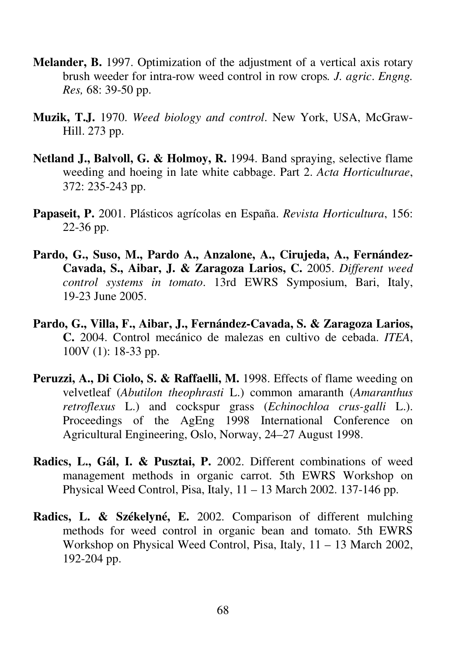- **Melander, B.** 1997. Optimization of the adjustment of a vertical axis rotary brush weeder for intra-row weed control in row crops*. J. agric*. *Engng. Res,* 68: 39-50 pp.
- **Muzik, T.J.** 1970. *Weed biology and control*. New York, USA, McGraw-Hill. 273 pp.
- **Netland J., Balvoll, G. & Holmoy, R.** 1994. Band spraying, selective flame weeding and hoeing in late white cabbage. Part 2. *Acta Horticulturae*, 372: 235-243 pp.
- **Papaseit, P.** 2001. Plásticos agrícolas en España. *Revista Horticultura*, 156: 22-36 pp.
- **Pardo, G., Suso, M., Pardo A., Anzalone, A., Cirujeda, A., Fernández-Cavada, S., Aibar, J. & Zaragoza Larios, C.** 2005. *Different weed control systems in tomato*. 13rd EWRS Symposium, Bari, Italy, 19-23 June 2005.
- **Pardo, G., Villa, F., Aibar, J., Fernández-Cavada, S. & Zaragoza Larios, C.** 2004. Control mecánico de malezas en cultivo de cebada. *ITEA*, 100V (1): 18-33 pp.
- Peruzzi, A., Di Ciolo, S. & Raffaelli, M. 1998. Effects of flame weeding on velvetleaf (*Abutilon theophrasti* L.) common amaranth (*Amaranthus retroflexus* L.) and cockspur grass (*Echinochloa crus-galli* L.). Proceedings of the AgEng 1998 International Conference on Agricultural Engineering, Oslo, Norway, 24–27 August 1998.
- **Radics, L., Gál, I. & Pusztai, P.** 2002. Different combinations of weed management methods in organic carrot. 5th EWRS Workshop on Physical Weed Control, Pisa, Italy, 11 – 13 March 2002. 137-146 pp.
- **Radics, L. & Székelyné, E.** 2002. Comparison of different mulching methods for weed control in organic bean and tomato. 5th EWRS Workshop on Physical Weed Control, Pisa, Italy, 11 – 13 March 2002, 192-204 pp.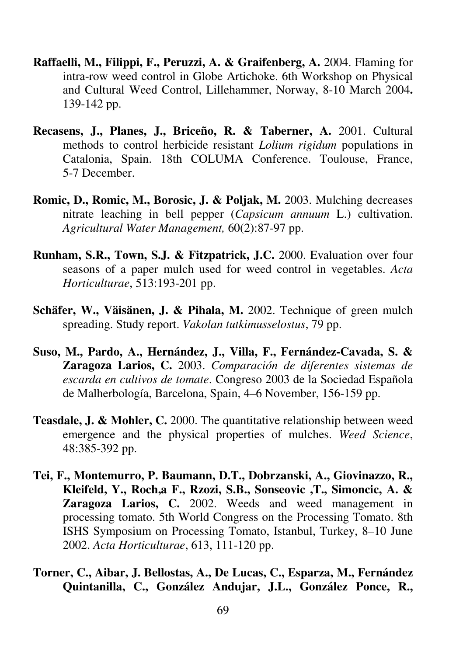- **Raffaelli, M., Filippi, F., Peruzzi, A. & Graifenberg, A.** 2004. Flaming for intra-row weed control in Globe Artichoke. 6th Workshop on Physical and Cultural Weed Control, Lillehammer, Norway, 8-10 March 2004**.**  139-142 pp.
- **Recasens, J., Planes, J., Briceño, R. & Taberner, A.** 2001. Cultural methods to control herbicide resistant *Lolium rigidum* populations in Catalonia, Spain. 18th COLUMA Conference. Toulouse, France, 5-7 December.
- **Romic, D., Romic, M., Borosic, J. & Poljak, M.** 2003. Mulching decreases nitrate leaching in bell pepper (*Capsicum annuum* L.) cultivation. *Agricultural Water Management,* 60(2):87-97 pp.
- **Runham, S.R., Town, S.J. & Fitzpatrick, J.C.** 2000. Evaluation over four seasons of a paper mulch used for weed control in vegetables. *Acta Horticulturae*, 513:193-201 pp.
- **Schäfer, W., Väisänen, J. & Pihala, M.** 2002. Technique of green mulch spreading. Study report. *Vakolan tutkimusselostus*, 79 pp.
- **Suso, M., Pardo, A., Hernández, J., Villa, F., Fernández-Cavada, S. & Zaragoza Larios, C.** 2003. *Comparación de diferentes sistemas de escarda en cultivos de tomate*. Congreso 2003 de la Sociedad Española de Malherbología, Barcelona, Spain, 4–6 November, 156-159 pp.
- **Teasdale, J. & Mohler, C.** 2000. The quantitative relationship between weed emergence and the physical properties of mulches. *Weed Science*, 48:385-392 pp.
- **Tei, F., Montemurro, P. Baumann, D.T., Dobrzanski, A., Giovinazzo, R., Kleifeld, Y., Roch,a F., Rzozi, S.B., Sonseovic ,T., Simoncic, A. & Zaragoza Larios, C.** 2002. Weeds and weed management in processing tomato. 5th World Congress on the Processing Tomato. 8th ISHS Symposium on Processing Tomato, Istanbul, Turkey, 8–10 June 2002. *Acta Horticulturae*, 613, 111-120 pp.
- **Torner, C., Aibar, J. Bellostas, A., De Lucas, C., Esparza, M., Fernández Quintanilla, C., González Andujar, J.L., González Ponce, R.,**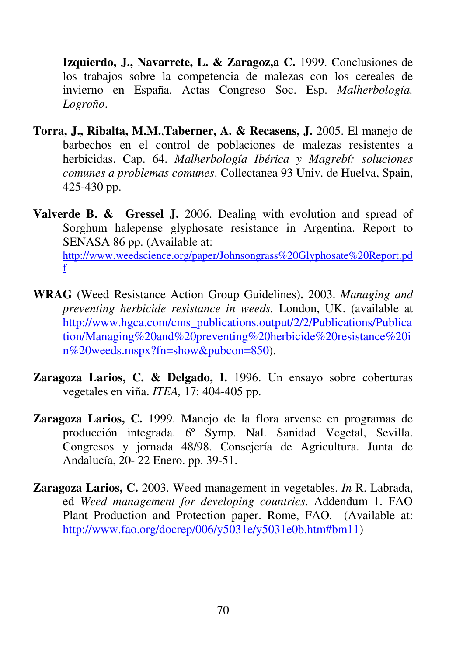**Izquierdo, J., Navarrete, L. & Zaragoz,a C.** 1999. Conclusiones de los trabajos sobre la competencia de malezas con los cereales de invierno en España. Actas Congreso Soc. Esp. *Malherbología. Logroño*.

- **Torra, J., Ribalta, M.M.**,**Taberner, A. & Recasens, J.** 2005. El manejo de barbechos en el control de poblaciones de malezas resistentes a herbicidas. Cap. 64. *Malherbología Ibérica y Magrebí: soluciones comunes a problemas comunes*. Collectanea 93 Univ. de Huelva, Spain, 425-430 pp.
- **Valverde B. & Gressel J.** 2006. Dealing with evolution and spread of Sorghum halepense glyphosate resistance in Argentina. Report to SENASA 86 pp. (Available at: http://www.weedscience.org/paper/Johnsongrass%20Glyphosate%20Report.pd f
- **WRAG** (Weed Resistance Action Group Guidelines)**.** 2003. *Managing and preventing herbicide resistance in weeds.* London, UK. (available at http://www.hgca.com/cms\_publications.output/2/2/Publications/Publica tion/Managing%20and%20preventing%20herbicide%20resistance%20i n%20weeds.mspx?fn=show&pubcon=850).
- **Zaragoza Larios, C. & Delgado, I.** 1996. Un ensayo sobre coberturas vegetales en viña. *ITEA,* 17: 404-405 pp.
- **Zaragoza Larios, C.** 1999. Manejo de la flora arvense en programas de producción integrada. 6º Symp. Nal. Sanidad Vegetal, Sevilla. Congresos y jornada 48/98. Consejería de Agricultura. Junta de Andalucía, 20- 22 Enero. pp. 39-51.
- **Zaragoza Larios, C.** 2003. Weed management in vegetables. *In* R. Labrada, ed *Weed management for developing countries*. Addendum 1. FAO Plant Production and Protection paper. Rome, FAO. (Available at: http://www.fao.org/docrep/006/y5031e/y5031e0b.htm#bm11)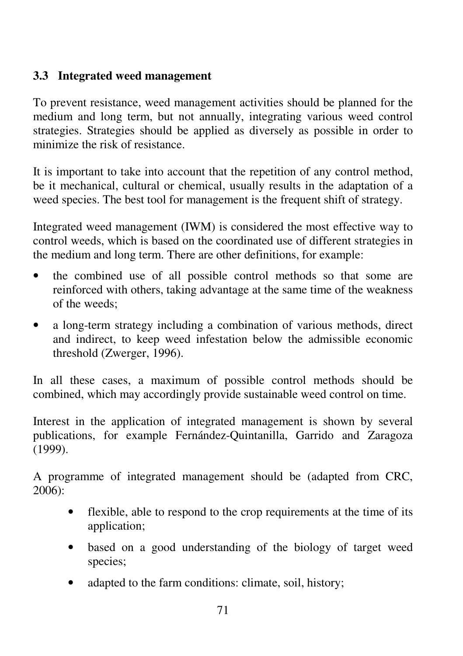### **3.3 Integrated weed management**

To prevent resistance, weed management activities should be planned for the medium and long term, but not annually, integrating various weed control strategies. Strategies should be applied as diversely as possible in order to minimize the risk of resistance.

It is important to take into account that the repetition of any control method, be it mechanical, cultural or chemical, usually results in the adaptation of a weed species. The best tool for management is the frequent shift of strategy.

Integrated weed management (IWM) is considered the most effective way to control weeds, which is based on the coordinated use of different strategies in the medium and long term. There are other definitions, for example:

- the combined use of all possible control methods so that some are reinforced with others, taking advantage at the same time of the weakness of the weeds;
- a long-term strategy including a combination of various methods, direct and indirect, to keep weed infestation below the admissible economic threshold (Zwerger, 1996).

In all these cases, a maximum of possible control methods should be combined, which may accordingly provide sustainable weed control on time.

Interest in the application of integrated management is shown by several publications, for example Fernández-Quintanilla, Garrido and Zaragoza (1999).

A programme of integrated management should be (adapted from CRC, 2006):

- flexible, able to respond to the crop requirements at the time of its application;
- based on a good understanding of the biology of target weed species;
- adapted to the farm conditions: climate, soil, history;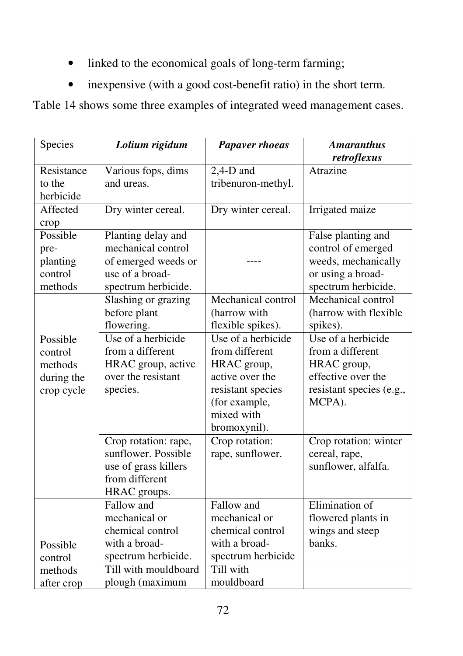- linked to the economical goals of long-term farming;
- inexpensive (with a good cost-benefit ratio) in the short term.

Table 14 shows some three examples of integrated weed management cases.

| Species    | Lolium rigidum       | <b>Papaver rhoeas</b> | <b>Amaranthus</b><br>retroflexus |
|------------|----------------------|-----------------------|----------------------------------|
| Resistance | Various fops, dims   | $2,4-D$ and           | Atrazine                         |
| to the     | and ureas.           | tribenuron-methyl.    |                                  |
| herbicide  |                      |                       |                                  |
| Affected   | Dry winter cereal.   | Dry winter cereal.    | Irrigated maize                  |
| crop       |                      |                       |                                  |
| Possible   | Planting delay and   |                       | False planting and               |
| pre-       | mechanical control   |                       | control of emerged               |
| planting   | of emerged weeds or  |                       | weeds, mechanically              |
| control    | use of a broad-      |                       | or using a broad-                |
| methods    | spectrum herbicide.  |                       | spectrum herbicide.              |
|            | Slashing or grazing  | Mechanical control    | Mechanical control               |
|            | before plant         | (harrow with          | (harrow with flexible            |
|            | flowering.           | flexible spikes).     | spikes).                         |
| Possible   | Use of a herbicide   | Use of a herbicide    | Use of a herbicide               |
| control    | from a different     | from different        | from a different                 |
| methods    | HRAC group, active   | HRAC group,           | HRAC group,                      |
| during the | over the resistant   | active over the       | effective over the               |
| crop cycle | species.             | resistant species     | resistant species (e.g.,         |
|            |                      | (for example,         | MCPA).                           |
|            |                      | mixed with            |                                  |
|            |                      | bromoxynil).          |                                  |
|            | Crop rotation: rape, | Crop rotation:        | Crop rotation: winter            |
|            | sunflower. Possible  | rape, sunflower.      | cereal, rape,                    |
|            | use of grass killers |                       | sunflower, alfalfa.              |
|            | from different       |                       |                                  |
|            | HRAC groups.         |                       |                                  |
|            | Fallow and           | Fallow and            | Elimination of                   |
|            | mechanical or        | mechanical or         | flowered plants in               |
|            | chemical control     | chemical control      | wings and steep                  |
| Possible   | with a broad-        | with a broad-         | banks.                           |
| control    | spectrum herbicide.  | spectrum herbicide    |                                  |
| methods    | Till with mouldboard | Till with             |                                  |
| after crop | plough (maximum      | mouldboard            |                                  |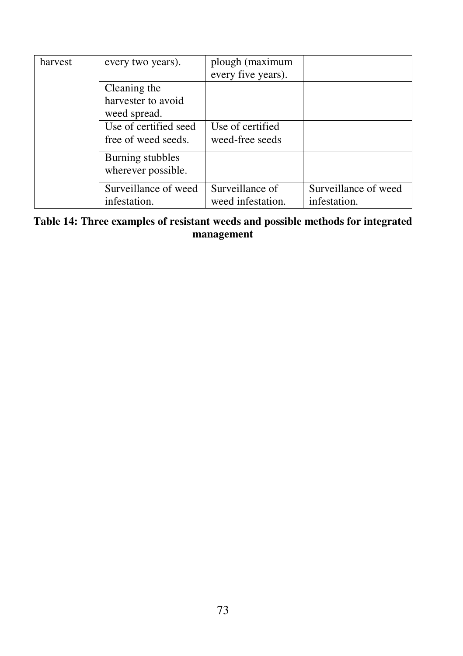| harvest                                | every two years).                                            | plough (maximum<br>every five years). |                                      |
|----------------------------------------|--------------------------------------------------------------|---------------------------------------|--------------------------------------|
|                                        | Cleaning the<br>harvester to avoid                           |                                       |                                      |
|                                        | weed spread.<br>Use of certified seed<br>free of weed seeds. | Use of certified<br>weed-free seeds   |                                      |
| Burning stubbles<br>wherever possible. |                                                              |                                       |                                      |
|                                        | Surveillance of weed<br>infestation.                         | Surveillance of<br>weed infestation.  | Surveillance of weed<br>infestation. |

#### **Table 14: Three examples of resistant weeds and possible methods for integrated management**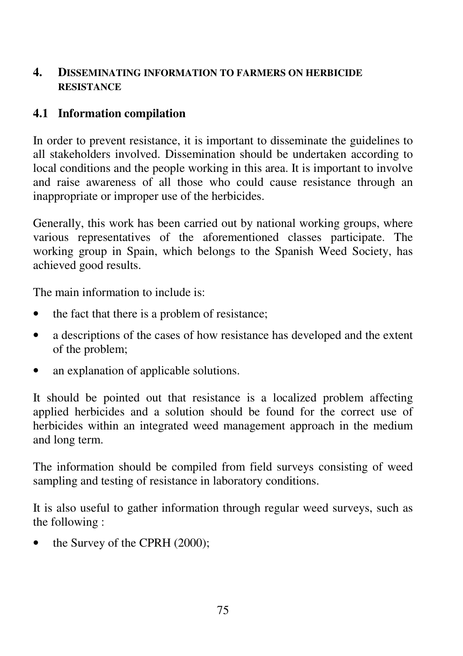### **4. DISSEMINATING INFORMATION TO FARMERS ON HERBICIDE RESISTANCE**

### **4.1 Information compilation**

In order to prevent resistance, it is important to disseminate the guidelines to all stakeholders involved. Dissemination should be undertaken according to local conditions and the people working in this area. It is important to involve and raise awareness of all those who could cause resistance through an inappropriate or improper use of the herbicides.

Generally, this work has been carried out by national working groups, where various representatives of the aforementioned classes participate. The working group in Spain, which belongs to the Spanish Weed Society, has achieved good results.

The main information to include is:

- the fact that there is a problem of resistance;
- a descriptions of the cases of how resistance has developed and the extent of the problem;
- an explanation of applicable solutions.

It should be pointed out that resistance is a localized problem affecting applied herbicides and a solution should be found for the correct use of herbicides within an integrated weed management approach in the medium and long term.

The information should be compiled from field surveys consisting of weed sampling and testing of resistance in laboratory conditions.

It is also useful to gather information through regular weed surveys, such as the following :

• the Survey of the CPRH (2000);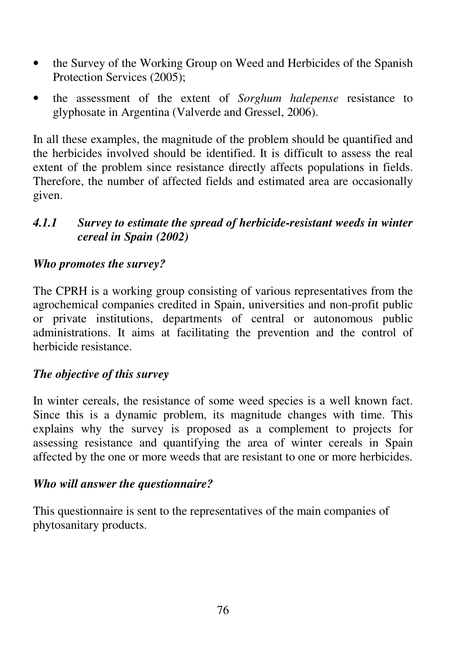- the Survey of the Working Group on Weed and Herbicides of the Spanish Protection Services (2005);
- the assessment of the extent of *Sorghum halepense* resistance to glyphosate in Argentina (Valverde and Gressel, 2006).

In all these examples, the magnitude of the problem should be quantified and the herbicides involved should be identified. It is difficult to assess the real extent of the problem since resistance directly affects populations in fields. Therefore, the number of affected fields and estimated area are occasionally given.

### *4.1.1 Survey to estimate the spread of herbicide-resistant weeds in winter cereal in Spain (2002)*

#### *Who promotes the survey?*

The CPRH is a working group consisting of various representatives from the agrochemical companies credited in Spain, universities and non-profit public or private institutions, departments of central or autonomous public administrations. It aims at facilitating the prevention and the control of herbicide resistance.

#### *The objective of this survey*

In winter cereals, the resistance of some weed species is a well known fact. Since this is a dynamic problem, its magnitude changes with time. This explains why the survey is proposed as a complement to projects for assessing resistance and quantifying the area of winter cereals in Spain affected by the one or more weeds that are resistant to one or more herbicides.

#### *Who will answer the questionnaire?*

This questionnaire is sent to the representatives of the main companies of phytosanitary products.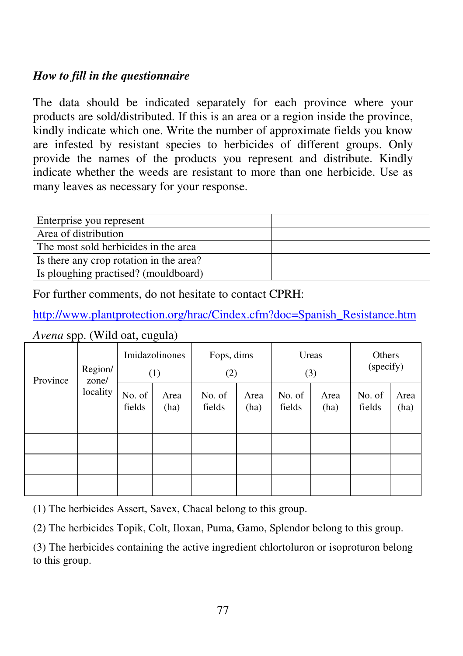### *How to fill in the questionnaire*

The data should be indicated separately for each province where your products are sold/distributed. If this is an area or a region inside the province, kindly indicate which one. Write the number of approximate fields you know are infested by resistant species to herbicides of different groups. Only provide the names of the products you represent and distribute. Kindly indicate whether the weeds are resistant to more than one herbicide. Use as many leaves as necessary for your response.

| Enterprise you represent                |  |
|-----------------------------------------|--|
| Area of distribution                    |  |
| The most sold herbicides in the area    |  |
| Is there any crop rotation in the area? |  |
| Is ploughing practised? (mouldboard)    |  |

For further comments, do not hesitate to contact CPRH:

http://www.plantprotection.org/hrac/Cindex.cfm?doc=Spanish\_Resistance.htm

| Province | Region/<br>zone/ | Imidazolinones<br>(1) |              | Fops, dims<br>(2) |              | Ureas<br>(3)     |              | Others<br>(specify) |              |
|----------|------------------|-----------------------|--------------|-------------------|--------------|------------------|--------------|---------------------|--------------|
|          | locality         | No. of<br>fields      | Area<br>(ha) | No. of<br>fields  | Area<br>(ha) | No. of<br>fields | Area<br>(ha) | No. of<br>fields    | Area<br>(ha) |
|          |                  |                       |              |                   |              |                  |              |                     |              |
|          |                  |                       |              |                   |              |                  |              |                     |              |
|          |                  |                       |              |                   |              |                  |              |                     |              |
|          |                  |                       |              |                   |              |                  |              |                     |              |

*Avena* spp. (Wild oat, cugula)

(1) The herbicides Assert, Savex, Chacal belong to this group.

(2) The herbicides Topik, Colt, Iloxan, Puma, Gamo, Splendor belong to this group.

(3) The herbicides containing the active ingredient chlortoluron or isoproturon belong to this group.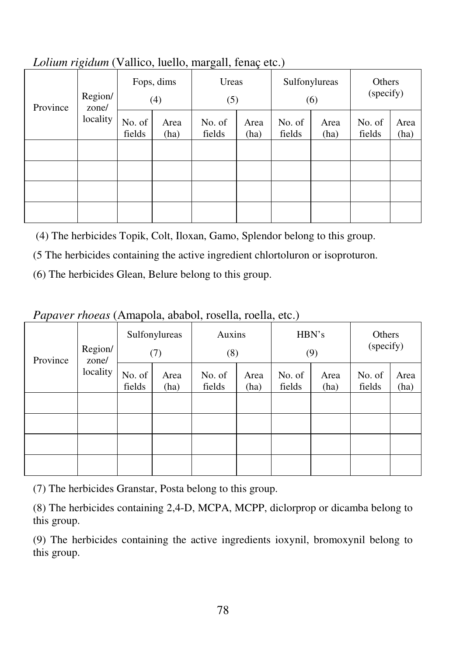|                              | $\circ$  |                   | $\overline{\phantom{a}}$<br>$\overline{\phantom{a}}$ | ັ<br>$\overline{\phantom{a}}$ | $\rightarrow$ | $\overline{\phantom{a}}$ |                     |                  |              |
|------------------------------|----------|-------------------|------------------------------------------------------|-------------------------------|---------------|--------------------------|---------------------|------------------|--------------|
| Region/<br>Province<br>zone/ |          | Fops, dims<br>(4) | Ureas<br>(5)                                         |                               |               | Sulfonylureas<br>(6)     | Others<br>(specify) |                  |              |
|                              | locality | No. of<br>fields  | Area<br>(ha)                                         | No. of<br>fields              | Area<br>(ha)  | No. of<br>fields         | Area<br>(ha)        | No. of<br>fields | Area<br>(ha) |
|                              |          |                   |                                                      |                               |               |                          |                     |                  |              |
|                              |          |                   |                                                      |                               |               |                          |                     |                  |              |
|                              |          |                   |                                                      |                               |               |                          |                     |                  |              |
|                              |          |                   |                                                      |                               |               |                          |                     |                  |              |

*Lolium rigidum* (Vallico, luello, margall, fenaç etc.)

(4) The herbicides Topik, Colt, Iloxan, Gamo, Splendor belong to this group.

(5 The herbicides containing the active ingredient chlortoluron or isoproturon.

(6) The herbicides Glean, Belure belong to this group.

*Papaver rhoeas* (Amapola, ababol, rosella, roella, etc.)

| Region/<br>Province<br>zone/ | Sulfonylureas<br>(7) |                  | Auxins<br>(8) |                  | HBN's<br>(9) |                  | Others<br>(specify) |                  |              |
|------------------------------|----------------------|------------------|---------------|------------------|--------------|------------------|---------------------|------------------|--------------|
|                              | locality             | No. of<br>fields | Area<br>(ha)  | No. of<br>fields | Area<br>(ha) | No. of<br>fields | Area<br>(ha)        | No. of<br>fields | Area<br>(ha) |
|                              |                      |                  |               |                  |              |                  |                     |                  |              |
|                              |                      |                  |               |                  |              |                  |                     |                  |              |
|                              |                      |                  |               |                  |              |                  |                     |                  |              |
|                              |                      |                  |               |                  |              |                  |                     |                  |              |

(7) The herbicides Granstar, Posta belong to this group.

(8) The herbicides containing 2,4-D, MCPA, MCPP, diclorprop or dicamba belong to this group.

(9) The herbicides containing the active ingredients ioxynil, bromoxynil belong to this group.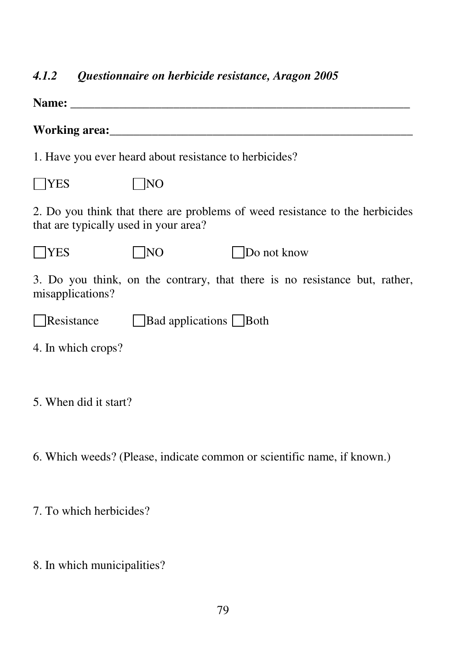# *4.1.2 Questionnaire on herbicide resistance, Aragon 2005*

|                                       | 1. Have you ever heard about resistance to herbicides? |                                                                              |
|---------------------------------------|--------------------------------------------------------|------------------------------------------------------------------------------|
| <b>TES</b>                            | NO                                                     |                                                                              |
| that are typically used in your area? |                                                        | 2. Do you think that there are problems of weed resistance to the herbicides |
| <b>YES</b>                            | NO                                                     | Do not know                                                                  |
| misapplications?                      |                                                        | 3. Do you think, on the contrary, that there is no resistance but, rather,   |
| Resistance                            | Bad applications Both                                  |                                                                              |
| 4. In which crops?                    |                                                        |                                                                              |
| 5. When did it start?                 |                                                        |                                                                              |

6. Which weeds? (Please, indicate common or scientific name, if known.)

7. To which herbicides?

8. In which municipalities?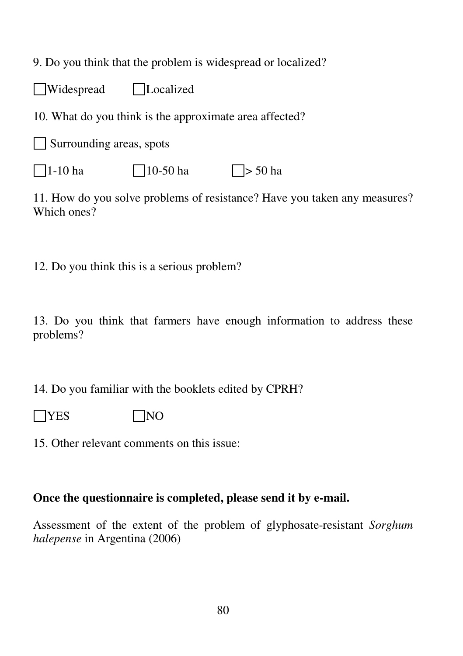9. Do you think that the problem is widespread or localized?

Widespread Localized

10. What do you think is the approximate area affected?

Surrounding areas, spots

 $\Box$ 1-10 ha  $\Box$ 10-50 ha  $\Box$ > 50 ha

11. How do you solve problems of resistance? Have you taken any measures? Which ones?

12. Do you think this is a serious problem?

13. Do you think that farmers have enough information to address these problems?

14. Do you familiar with the booklets edited by CPRH?

- $\neg$ YES  $\neg$  NO
- 15. Other relevant comments on this issue:

### **Once the questionnaire is completed, please send it by e-mail.**

Assessment of the extent of the problem of glyphosate-resistant *Sorghum halepense* in Argentina (2006)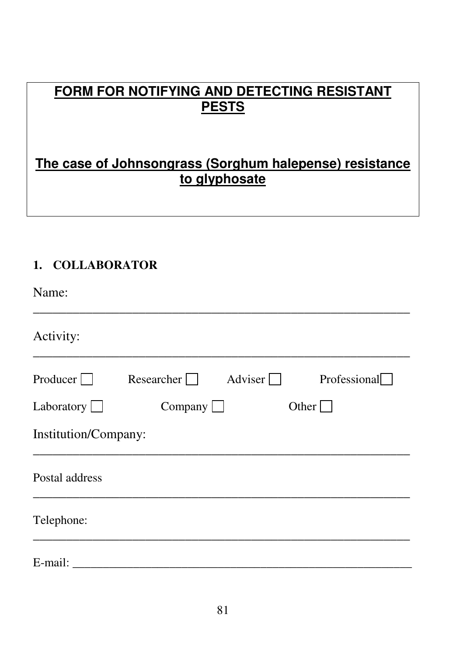# **FORM FOR NOTIFYING AND DETECTING RESISTANT PESTS**

# **The case of Johnsongrass (Sorghum halepense) resistance to glyphosate**

# **1. COLLABORATOR**

| Name:                |                   |                |              |
|----------------------|-------------------|----------------|--------------|
| Activity:            |                   |                |              |
| Producer $\Box$      | Researcher $\Box$ | Adviser $\Box$ | Professional |
| Laboratory $\Box$    | Company $\Box$    |                | Other $\Box$ |
| Institution/Company: |                   |                |              |
| Postal address       |                   |                |              |
| Telephone:           |                   |                |              |
| E-mail:              |                   |                |              |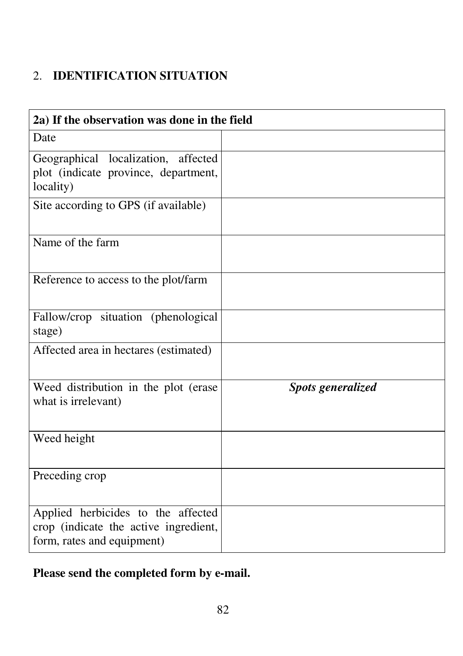# 2. **IDENTIFICATION SITUATION**

| 2a) If the observation was done in the field                                                              |                          |
|-----------------------------------------------------------------------------------------------------------|--------------------------|
| Date                                                                                                      |                          |
| Geographical localization, affected<br>plot (indicate province, department,<br>locality)                  |                          |
| Site according to GPS (if available)                                                                      |                          |
| Name of the farm                                                                                          |                          |
| Reference to access to the plot/farm                                                                      |                          |
| Fallow/crop situation (phenological<br>stage)                                                             |                          |
| Affected area in hectares (estimated)                                                                     |                          |
| Weed distribution in the plot (erase<br>what is irrelevant)                                               | <b>Spots generalized</b> |
| Weed height                                                                                               |                          |
| Preceding crop                                                                                            |                          |
| Applied herbicides to the affected<br>crop (indicate the active ingredient,<br>form, rates and equipment) |                          |

# **Please send the completed form by e-mail.**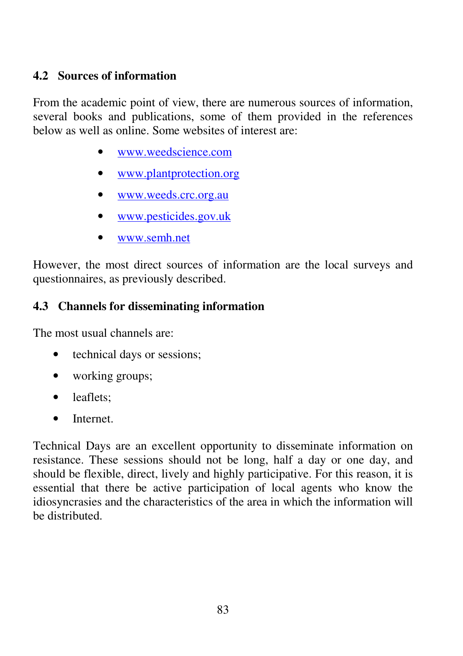### **4.2 Sources of information**

From the academic point of view, there are numerous sources of information, several books and publications, some of them provided in the references below as well as online. Some websites of interest are:

- www.weedscience.com
- www.plantprotection.org
- www.weeds.crc.org.au
- www.pesticides.gov.uk
- www.semh.net

However, the most direct sources of information are the local surveys and questionnaires, as previously described.

### **4.3 Channels for disseminating information**

The most usual channels are:

- technical days or sessions;
- working groups;
- leaflets:
- Internet.

Technical Days are an excellent opportunity to disseminate information on resistance. These sessions should not be long, half a day or one day, and should be flexible, direct, lively and highly participative. For this reason, it is essential that there be active participation of local agents who know the idiosyncrasies and the characteristics of the area in which the information will be distributed.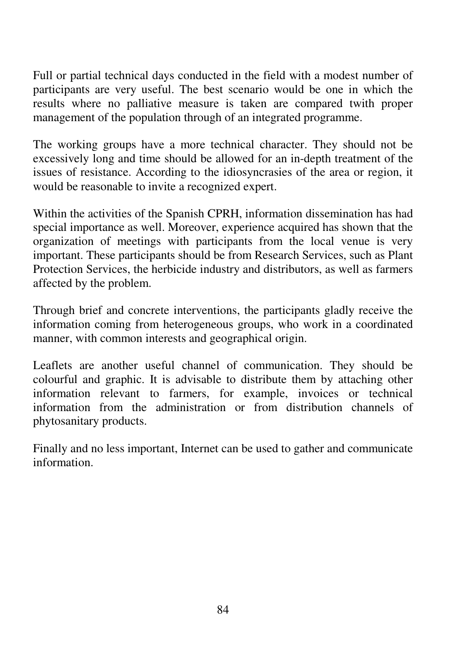Full or partial technical days conducted in the field with a modest number of participants are very useful. The best scenario would be one in which the results where no palliative measure is taken are compared twith proper management of the population through of an integrated programme.

The working groups have a more technical character. They should not be excessively long and time should be allowed for an in-depth treatment of the issues of resistance. According to the idiosyncrasies of the area or region, it would be reasonable to invite a recognized expert.

Within the activities of the Spanish CPRH, information dissemination has had special importance as well. Moreover, experience acquired has shown that the organization of meetings with participants from the local venue is very important. These participants should be from Research Services, such as Plant Protection Services, the herbicide industry and distributors, as well as farmers affected by the problem.

Through brief and concrete interventions, the participants gladly receive the information coming from heterogeneous groups, who work in a coordinated manner, with common interests and geographical origin.

Leaflets are another useful channel of communication. They should be colourful and graphic. It is advisable to distribute them by attaching other information relevant to farmers, for example, invoices or technical information from the administration or from distribution channels of phytosanitary products.

Finally and no less important, Internet can be used to gather and communicate information.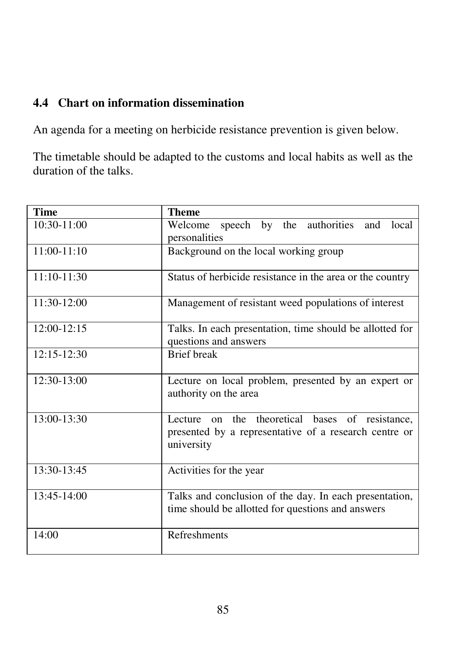# **4.4 Chart on information dissemination**

An agenda for a meeting on herbicide resistance prevention is given below.

The timetable should be adapted to the customs and local habits as well as the duration of the talks.

| <b>Time</b>     | <b>Theme</b>                                                                                                                 |  |  |  |  |
|-----------------|------------------------------------------------------------------------------------------------------------------------------|--|--|--|--|
| $10:30-11:00$   | speech by the authorities<br>Welcome<br>and<br>local<br>personalities                                                        |  |  |  |  |
| $11:00-11:10$   | Background on the local working group                                                                                        |  |  |  |  |
| $11:10-11:30$   | Status of herbicide resistance in the area or the country                                                                    |  |  |  |  |
| 11:30-12:00     | Management of resistant weed populations of interest                                                                         |  |  |  |  |
| 12:00-12:15     | Talks. In each presentation, time should be allotted for<br>questions and answers                                            |  |  |  |  |
| $12:15 - 12:30$ | <b>Brief</b> break                                                                                                           |  |  |  |  |
| 12:30-13:00     | Lecture on local problem, presented by an expert or<br>authority on the area                                                 |  |  |  |  |
| 13:00-13:30     | theoretical bases of resistance,<br>on the<br>Lecture<br>presented by a representative of a research centre or<br>university |  |  |  |  |
| 13:30-13:45     | Activities for the year                                                                                                      |  |  |  |  |
| 13:45-14:00     | Talks and conclusion of the day. In each presentation,<br>time should be allotted for questions and answers                  |  |  |  |  |
| 14:00           | <b>Refreshments</b>                                                                                                          |  |  |  |  |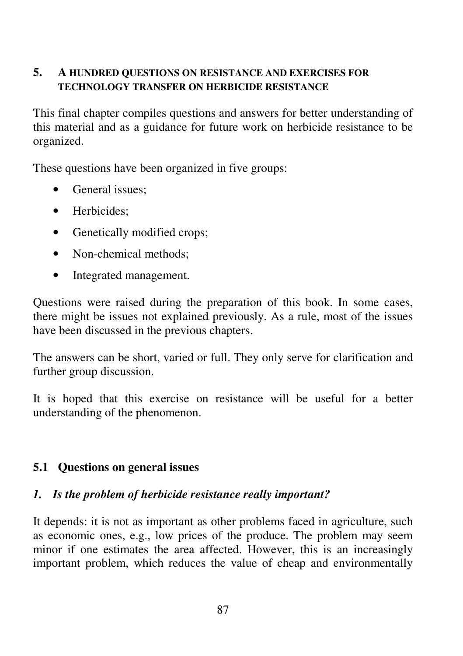#### **5. A HUNDRED QUESTIONS ON RESISTANCE AND EXERCISES FOR TECHNOLOGY TRANSFER ON HERBICIDE RESISTANCE**

This final chapter compiles questions and answers for better understanding of this material and as a guidance for future work on herbicide resistance to be organized.

These questions have been organized in five groups:

- General issues:
- Herbicides;
- Genetically modified crops;
- Non-chemical methods:
- Integrated management.

Questions were raised during the preparation of this book. In some cases, there might be issues not explained previously. As a rule, most of the issues have been discussed in the previous chapters.

The answers can be short, varied or full. They only serve for clarification and further group discussion.

It is hoped that this exercise on resistance will be useful for a better understanding of the phenomenon.

# **5.1 Questions on general issues**

### *1. Is the problem of herbicide resistance really important?*

It depends: it is not as important as other problems faced in agriculture, such as economic ones, e.g., low prices of the produce. The problem may seem minor if one estimates the area affected. However, this is an increasingly important problem, which reduces the value of cheap and environmentally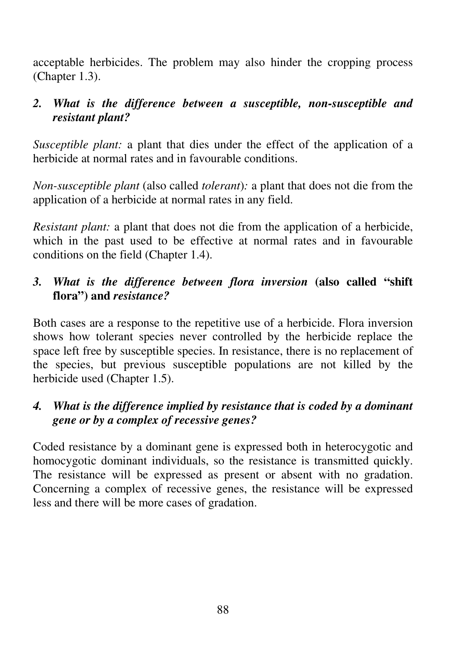acceptable herbicides. The problem may also hinder the cropping process (Chapter 1.3).

### *2. What is the difference between a susceptible, non-susceptible and resistant plant?*

*Susceptible plant:* a plant that dies under the effect of the application of a herbicide at normal rates and in favourable conditions.

*Non-susceptible plant* (also called *tolerant*)*:* a plant that does not die from the application of a herbicide at normal rates in any field.

*Resistant plant:* a plant that does not die from the application of a herbicide, which in the past used to be effective at normal rates and in favourable conditions on the field (Chapter 1.4).

### *3. What is the difference between flora inversion* **(also called "shift flora") and** *resistance?*

Both cases are a response to the repetitive use of a herbicide. Flora inversion shows how tolerant species never controlled by the herbicide replace the space left free by susceptible species. In resistance, there is no replacement of the species, but previous susceptible populations are not killed by the herbicide used (Chapter 1.5).

### *4. What is the difference implied by resistance that is coded by a dominant gene or by a complex of recessive genes?*

Coded resistance by a dominant gene is expressed both in heterocygotic and homocygotic dominant individuals, so the resistance is transmitted quickly. The resistance will be expressed as present or absent with no gradation. Concerning a complex of recessive genes, the resistance will be expressed less and there will be more cases of gradation.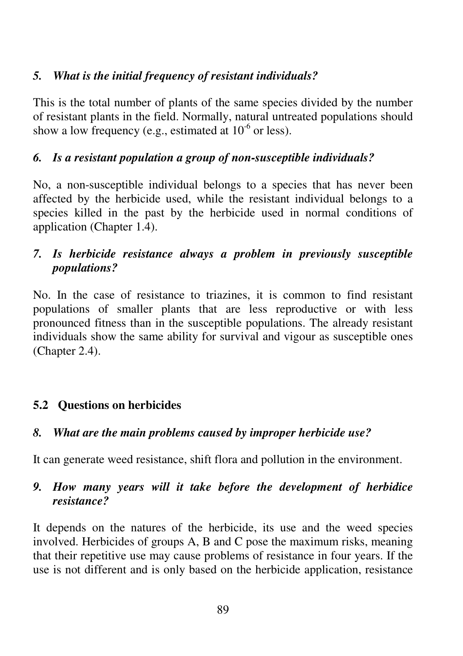### *5. What is the initial frequency of resistant individuals?*

This is the total number of plants of the same species divided by the number of resistant plants in the field. Normally, natural untreated populations should show a low frequency (e.g., estimated at  $10^{-6}$  or less).

### *6. Is a resistant population a group of non-susceptible individuals?*

No, a non-susceptible individual belongs to a species that has never been affected by the herbicide used, while the resistant individual belongs to a species killed in the past by the herbicide used in normal conditions of application (Chapter 1.4).

### *7. Is herbicide resistance always a problem in previously susceptible populations?*

No. In the case of resistance to triazines, it is common to find resistant populations of smaller plants that are less reproductive or with less pronounced fitness than in the susceptible populations. The already resistant individuals show the same ability for survival and vigour as susceptible ones (Chapter 2.4).

# **5.2 Questions on herbicides**

### *8. What are the main problems caused by improper herbicide use?*

It can generate weed resistance, shift flora and pollution in the environment.

#### *9. How many years will it take before the development of herbidice resistance?*

It depends on the natures of the herbicide, its use and the weed species involved. Herbicides of groups A, B and C pose the maximum risks, meaning that their repetitive use may cause problems of resistance in four years. If the use is not different and is only based on the herbicide application, resistance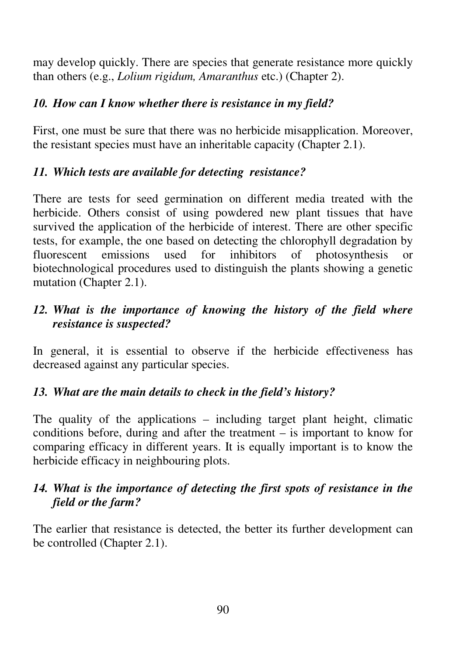may develop quickly. There are species that generate resistance more quickly than others (e.g., *Lolium rigidum, Amaranthus* etc.) (Chapter 2).

### *10. How can I know whether there is resistance in my field?*

First, one must be sure that there was no herbicide misapplication. Moreover, the resistant species must have an inheritable capacity (Chapter 2.1).

### *11. Which tests are available for detecting resistance?*

There are tests for seed germination on different media treated with the herbicide. Others consist of using powdered new plant tissues that have survived the application of the herbicide of interest. There are other specific tests, for example, the one based on detecting the chlorophyll degradation by fluorescent emissions used for inhibitors of photosynthesis or biotechnological procedures used to distinguish the plants showing a genetic mutation (Chapter 2.1).

## *12. What is the importance of knowing the history of the field where resistance is suspected?*

In general, it is essential to observe if the herbicide effectiveness has decreased against any particular species.

### *13. What are the main details to check in the field's history?*

The quality of the applications – including target plant height, climatic conditions before, during and after the treatment – is important to know for comparing efficacy in different years. It is equally important is to know the herbicide efficacy in neighbouring plots.

### *14. What is the importance of detecting the first spots of resistance in the field or the farm?*

The earlier that resistance is detected, the better its further development can be controlled (Chapter 2.1).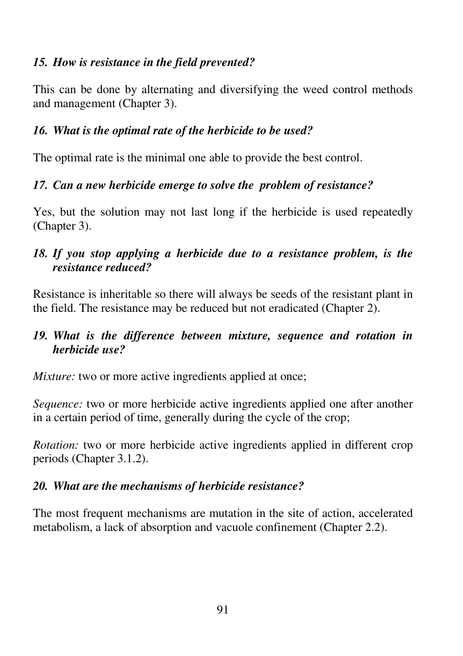### *15. How is resistance in the field prevented?*

This can be done by alternating and diversifying the weed control methods and management (Chapter 3).

### *16. What is the optimal rate of the herbicide to be used?*

The optimal rate is the minimal one able to provide the best control.

### *17. Can a new herbicide emerge to solve the problem of resistance?*

Yes, but the solution may not last long if the herbicide is used repeatedly (Chapter 3).

### *18. If you stop applying a herbicide due to a resistance problem, is the resistance reduced?*

Resistance is inheritable so there will always be seeds of the resistant plant in the field. The resistance may be reduced but not eradicated (Chapter 2).

### *19. What is the difference between mixture, sequence and rotation in herbicide use?*

*Mixture:* two or more active ingredients applied at once;

*Sequence:* two or more herbicide active ingredients applied one after another in a certain period of time, generally during the cycle of the crop;

*Rotation:* two or more herbicide active ingredients applied in different crop periods (Chapter 3.1.2).

# *20. What are the mechanisms of herbicide resistance?*

The most frequent mechanisms are mutation in the site of action, accelerated metabolism, a lack of absorption and vacuole confinement (Chapter 2.2).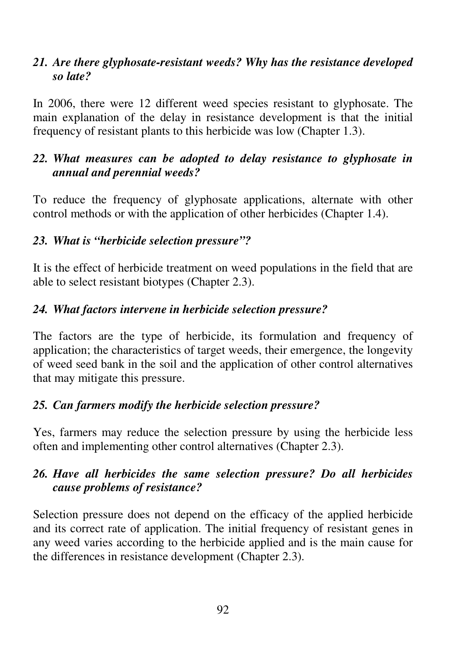#### *21. Are there glyphosate-resistant weeds? Why has the resistance developed so late?*

In 2006, there were 12 different weed species resistant to glyphosate. The main explanation of the delay in resistance development is that the initial frequency of resistant plants to this herbicide was low (Chapter 1.3).

#### *22. What measures can be adopted to delay resistance to glyphosate in annual and perennial weeds?*

To reduce the frequency of glyphosate applications, alternate with other control methods or with the application of other herbicides (Chapter 1.4).

### *23. What is "herbicide selection pressure"?*

It is the effect of herbicide treatment on weed populations in the field that are able to select resistant biotypes (Chapter 2.3).

#### *24. What factors intervene in herbicide selection pressure?*

The factors are the type of herbicide, its formulation and frequency of application; the characteristics of target weeds, their emergence, the longevity of weed seed bank in the soil and the application of other control alternatives that may mitigate this pressure.

### *25. Can farmers modify the herbicide selection pressure?*

Yes, farmers may reduce the selection pressure by using the herbicide less often and implementing other control alternatives (Chapter 2.3).

### *26. Have all herbicides the same selection pressure? Do all herbicides cause problems of resistance?*

Selection pressure does not depend on the efficacy of the applied herbicide and its correct rate of application. The initial frequency of resistant genes in any weed varies according to the herbicide applied and is the main cause for the differences in resistance development (Chapter 2.3).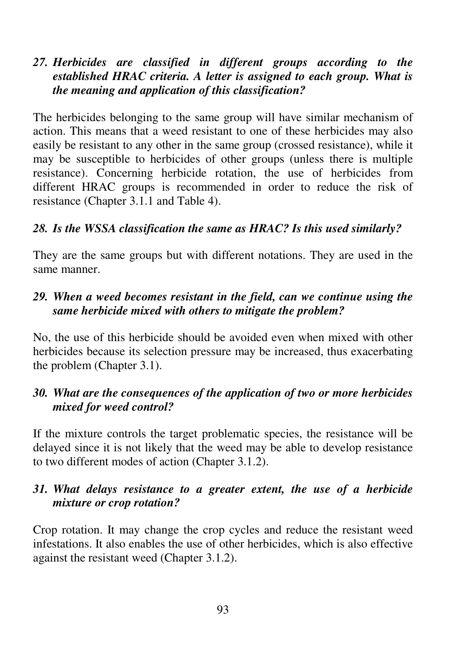#### *27. Herbicides are classified in different groups according to the established HRAC criteria. A letter is assigned to each group. What is the meaning and application of this classification?*

The herbicides belonging to the same group will have similar mechanism of action. This means that a weed resistant to one of these herbicides may also easily be resistant to any other in the same group (crossed resistance), while it may be susceptible to herbicides of other groups (unless there is multiple resistance). Concerning herbicide rotation, the use of herbicides from different HRAC groups is recommended in order to reduce the risk of resistance (Chapter 3.1.1 and Table 4).

#### *28. Is the WSSA classification the same as HRAC? Is this used similarly?*

They are the same groups but with different notations. They are used in the same manner.

#### *29. When a weed becomes resistant in the field, can we continue using the same herbicide mixed with others to mitigate the problem?*

No, the use of this herbicide should be avoided even when mixed with other herbicides because its selection pressure may be increased, thus exacerbating the problem (Chapter 3.1).

### *30. What are the consequences of the application of two or more herbicides mixed for weed control?*

If the mixture controls the target problematic species, the resistance will be delayed since it is not likely that the weed may be able to develop resistance to two different modes of action (Chapter 3.1.2).

#### *31. What delays resistance to a greater extent, the use of a herbicide mixture or crop rotation?*

Crop rotation. It may change the crop cycles and reduce the resistant weed infestations. It also enables the use of other herbicides, which is also effective against the resistant weed (Chapter 3.1.2).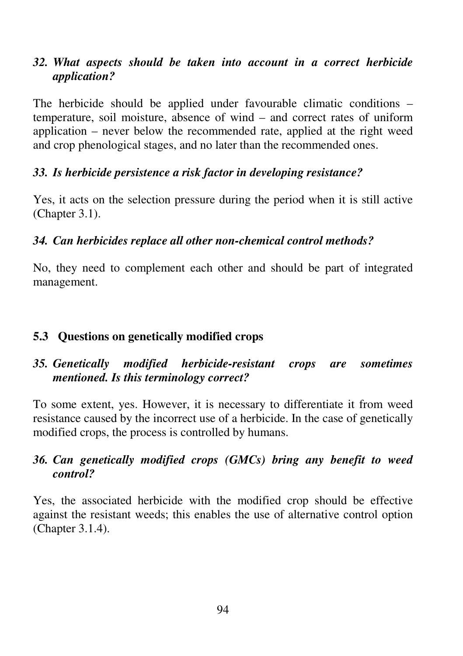### *32. What aspects should be taken into account in a correct herbicide application?*

The herbicide should be applied under favourable climatic conditions – temperature, soil moisture, absence of wind – and correct rates of uniform application – never below the recommended rate, applied at the right weed and crop phenological stages, and no later than the recommended ones.

### *33. Is herbicide persistence a risk factor in developing resistance?*

Yes, it acts on the selection pressure during the period when it is still active (Chapter 3.1).

### *34. Can herbicides replace all other non-chemical control methods?*

No, they need to complement each other and should be part of integrated management.

### **5.3 Questions on genetically modified crops**

### *35. Genetically modified herbicide-resistant crops are sometimes mentioned. Is this terminology correct?*

To some extent, yes. However, it is necessary to differentiate it from weed resistance caused by the incorrect use of a herbicide. In the case of genetically modified crops, the process is controlled by humans.

### *36. Can genetically modified crops (GMCs) bring any benefit to weed control?*

Yes, the associated herbicide with the modified crop should be effective against the resistant weeds; this enables the use of alternative control option (Chapter 3.1.4).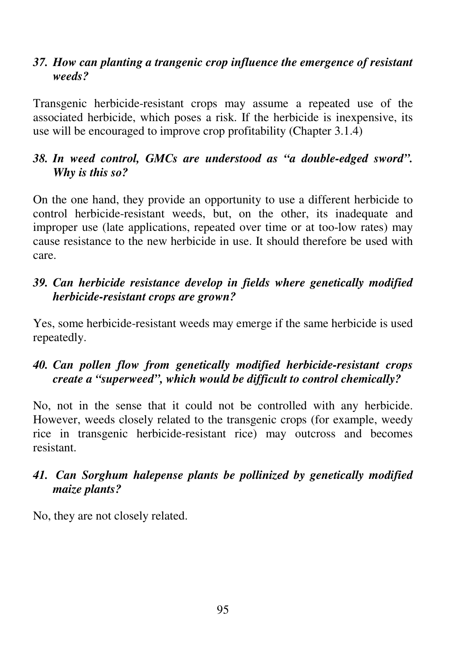#### *37. How can planting a trangenic crop influence the emergence of resistant weeds?*

Transgenic herbicide-resistant crops may assume a repeated use of the associated herbicide, which poses a risk. If the herbicide is inexpensive, its use will be encouraged to improve crop profitability (Chapter 3.1.4)

### *38. In weed control, GMCs are understood as "a double-edged sword". Why is this so?*

On the one hand, they provide an opportunity to use a different herbicide to control herbicide-resistant weeds, but, on the other, its inadequate and improper use (late applications, repeated over time or at too-low rates) may cause resistance to the new herbicide in use. It should therefore be used with care.

## *39. Can herbicide resistance develop in fields where genetically modified herbicide-resistant crops are grown?*

Yes, some herbicide-resistant weeds may emerge if the same herbicide is used repeatedly.

# *40. Can pollen flow from genetically modified herbicide-resistant crops create a "superweed", which would be difficult to control chemically?*

No, not in the sense that it could not be controlled with any herbicide. However, weeds closely related to the transgenic crops (for example, weedy rice in transgenic herbicide-resistant rice) may outcross and becomes resistant.

### *41. Can Sorghum halepense plants be pollinized by genetically modified maize plants?*

No, they are not closely related.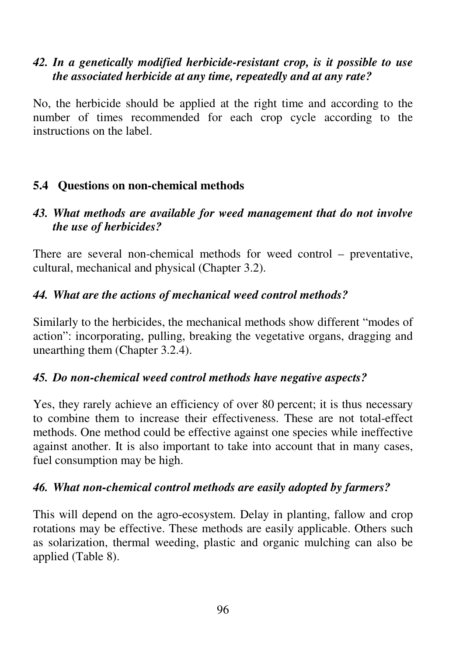#### *42. In a genetically modified herbicide-resistant crop, is it possible to use the associated herbicide at any time, repeatedly and at any rate?*

No, the herbicide should be applied at the right time and according to the number of times recommended for each crop cycle according to the instructions on the label.

### **5.4 Questions on non-chemical methods**

#### *43. What methods are available for weed management that do not involve the use of herbicides?*

There are several non-chemical methods for weed control – preventative, cultural, mechanical and physical (Chapter 3.2).

### *44. What are the actions of mechanical weed control methods?*

Similarly to the herbicides, the mechanical methods show different "modes of action": incorporating, pulling, breaking the vegetative organs, dragging and unearthing them (Chapter 3.2.4).

### *45. Do non-chemical weed control methods have negative aspects?*

Yes, they rarely achieve an efficiency of over 80 percent; it is thus necessary to combine them to increase their effectiveness. These are not total-effect methods. One method could be effective against one species while ineffective against another. It is also important to take into account that in many cases, fuel consumption may be high.

#### *46. What non-chemical control methods are easily adopted by farmers?*

This will depend on the agro-ecosystem. Delay in planting, fallow and crop rotations may be effective. These methods are easily applicable. Others such as solarization, thermal weeding, plastic and organic mulching can also be applied (Table 8).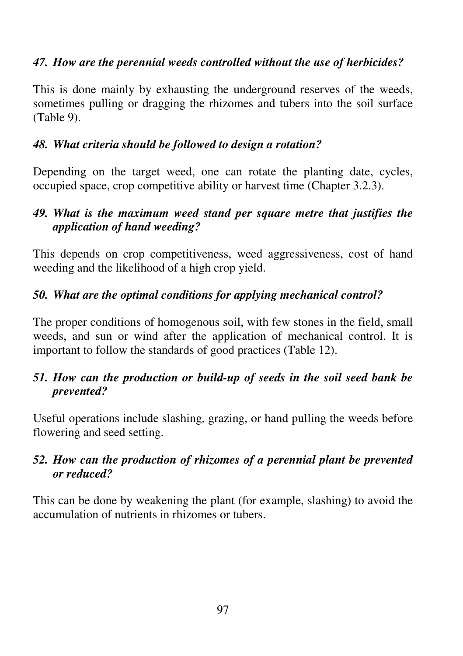### *47. How are the perennial weeds controlled without the use of herbicides?*

This is done mainly by exhausting the underground reserves of the weeds, sometimes pulling or dragging the rhizomes and tubers into the soil surface (Table 9).

## *48. What criteria should be followed to design a rotation?*

Depending on the target weed, one can rotate the planting date, cycles, occupied space, crop competitive ability or harvest time (Chapter 3.2.3).

### *49. What is the maximum weed stand per square metre that justifies the application of hand weeding?*

This depends on crop competitiveness, weed aggressiveness, cost of hand weeding and the likelihood of a high crop yield.

# *50. What are the optimal conditions for applying mechanical control?*

The proper conditions of homogenous soil, with few stones in the field, small weeds, and sun or wind after the application of mechanical control. It is important to follow the standards of good practices (Table 12).

### *51. How can the production or build-up of seeds in the soil seed bank be prevented?*

Useful operations include slashing, grazing, or hand pulling the weeds before flowering and seed setting.

### *52. How can the production of rhizomes of a perennial plant be prevented or reduced?*

This can be done by weakening the plant (for example, slashing) to avoid the accumulation of nutrients in rhizomes or tubers.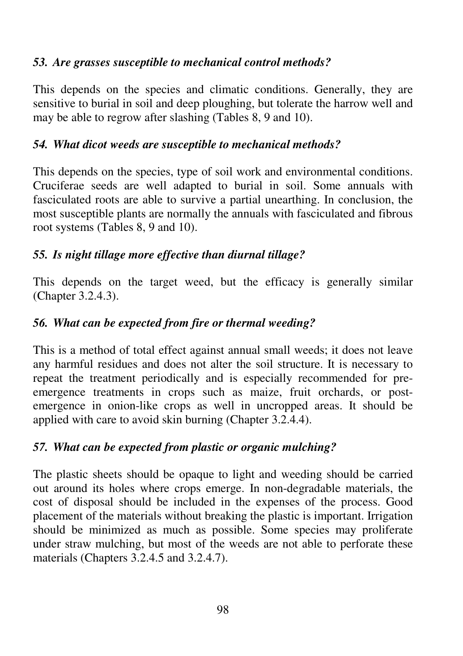### *53. Are grasses susceptible to mechanical control methods?*

This depends on the species and climatic conditions. Generally, they are sensitive to burial in soil and deep ploughing, but tolerate the harrow well and may be able to regrow after slashing (Tables 8, 9 and 10).

### *54. What dicot weeds are susceptible to mechanical methods?*

This depends on the species, type of soil work and environmental conditions. Cruciferae seeds are well adapted to burial in soil. Some annuals with fasciculated roots are able to survive a partial unearthing. In conclusion, the most susceptible plants are normally the annuals with fasciculated and fibrous root systems (Tables 8, 9 and 10).

# *55. Is night tillage more effective than diurnal tillage?*

This depends on the target weed, but the efficacy is generally similar (Chapter 3.2.4.3).

# *56. What can be expected from fire or thermal weeding?*

This is a method of total effect against annual small weeds; it does not leave any harmful residues and does not alter the soil structure. It is necessary to repeat the treatment periodically and is especially recommended for preemergence treatments in crops such as maize, fruit orchards, or postemergence in onion-like crops as well in uncropped areas. It should be applied with care to avoid skin burning (Chapter 3.2.4.4).

# *57. What can be expected from plastic or organic mulching?*

The plastic sheets should be opaque to light and weeding should be carried out around its holes where crops emerge. In non-degradable materials, the cost of disposal should be included in the expenses of the process. Good placement of the materials without breaking the plastic is important. Irrigation should be minimized as much as possible. Some species may proliferate under straw mulching, but most of the weeds are not able to perforate these materials (Chapters 3.2.4.5 and 3.2.4.7).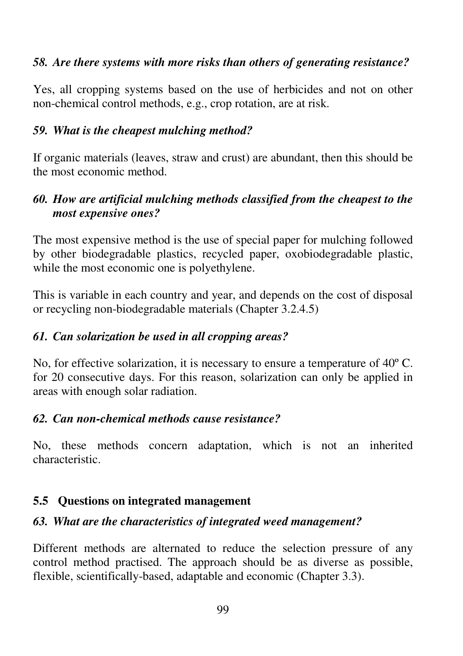## *58. Are there systems with more risks than others of generating resistance?*

Yes, all cropping systems based on the use of herbicides and not on other non-chemical control methods, e.g., crop rotation, are at risk.

## *59. What is the cheapest mulching method?*

If organic materials (leaves, straw and crust) are abundant, then this should be the most economic method.

# *60. How are artificial mulching methods classified from the cheapest to the most expensive ones?*

The most expensive method is the use of special paper for mulching followed by other biodegradable plastics, recycled paper, oxobiodegradable plastic, while the most economic one is polyethylene.

This is variable in each country and year, and depends on the cost of disposal or recycling non-biodegradable materials (Chapter 3.2.4.5)

## *61. Can solarization be used in all cropping areas?*

No, for effective solarization, it is necessary to ensure a temperature of 40º C. for 20 consecutive days. For this reason, solarization can only be applied in areas with enough solar radiation.

## *62. Can non-chemical methods cause resistance?*

No, these methods concern adaptation, which is not an inherited characteristic.

# **5.5 Questions on integrated management**

# *63. What are the characteristics of integrated weed management?*

Different methods are alternated to reduce the selection pressure of any control method practised. The approach should be as diverse as possible, flexible, scientifically-based, adaptable and economic (Chapter 3.3).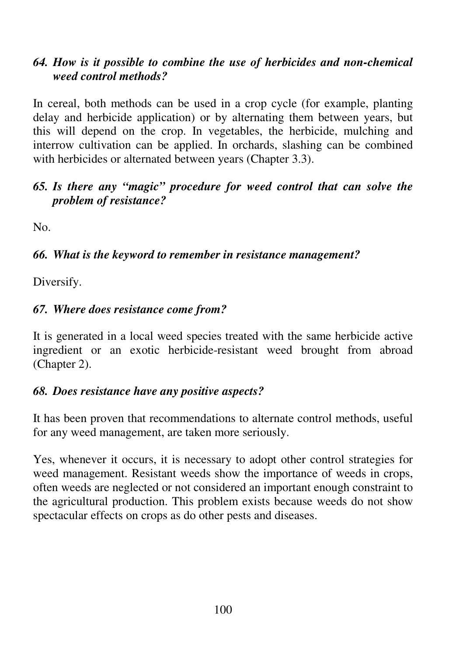#### *64. How is it possible to combine the use of herbicides and non-chemical weed control methods?*

In cereal, both methods can be used in a crop cycle (for example, planting delay and herbicide application) or by alternating them between years, but this will depend on the crop. In vegetables, the herbicide, mulching and interrow cultivation can be applied. In orchards, slashing can be combined with herbicides or alternated between years (Chapter 3.3).

#### *65. Is there any "magic" procedure for weed control that can solve the problem of resistance?*

No.

## *66. What is the keyword to remember in resistance management?*

Diversify.

## *67. Where does resistance come from?*

It is generated in a local weed species treated with the same herbicide active ingredient or an exotic herbicide-resistant weed brought from abroad (Chapter 2).

#### *68. Does resistance have any positive aspects?*

It has been proven that recommendations to alternate control methods, useful for any weed management, are taken more seriously.

Yes, whenever it occurs, it is necessary to adopt other control strategies for weed management. Resistant weeds show the importance of weeds in crops, often weeds are neglected or not considered an important enough constraint to the agricultural production. This problem exists because weeds do not show spectacular effects on crops as do other pests and diseases.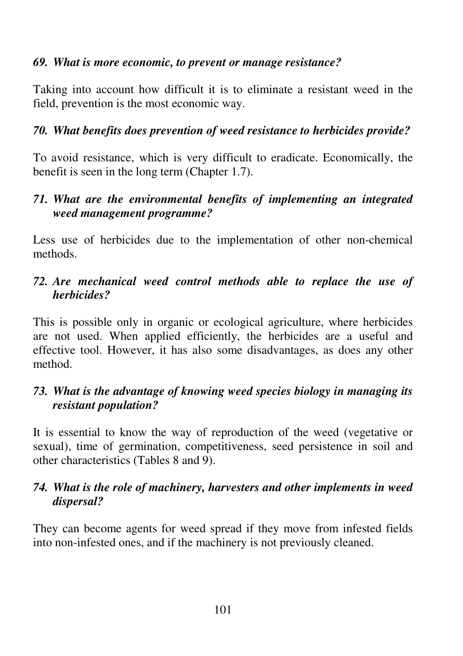#### *69. What is more economic, to prevent or manage resistance?*

Taking into account how difficult it is to eliminate a resistant weed in the field, prevention is the most economic way.

## *70. What benefits does prevention of weed resistance to herbicides provide?*

To avoid resistance, which is very difficult to eradicate. Economically, the benefit is seen in the long term (Chapter 1.7).

## *71. What are the environmental benefits of implementing an integrated weed management programme?*

Less use of herbicides due to the implementation of other non-chemical methods.

#### *72. Are mechanical weed control methods able to replace the use of herbicides?*

This is possible only in organic or ecological agriculture, where herbicides are not used. When applied efficiently, the herbicides are a useful and effective tool. However, it has also some disadvantages, as does any other method.

## *73. What is the advantage of knowing weed species biology in managing its resistant population?*

It is essential to know the way of reproduction of the weed (vegetative or sexual), time of germination, competitiveness, seed persistence in soil and other characteristics (Tables 8 and 9).

#### *74. What is the role of machinery, harvesters and other implements in weed dispersal?*

They can become agents for weed spread if they move from infested fields into non-infested ones, and if the machinery is not previously cleaned.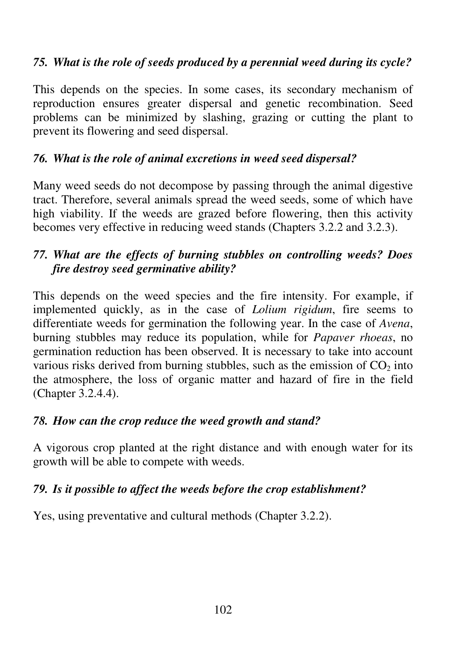## *75. What is the role of seeds produced by a perennial weed during its cycle?*

This depends on the species. In some cases, its secondary mechanism of reproduction ensures greater dispersal and genetic recombination. Seed problems can be minimized by slashing, grazing or cutting the plant to prevent its flowering and seed dispersal.

# *76. What is the role of animal excretions in weed seed dispersal?*

Many weed seeds do not decompose by passing through the animal digestive tract. Therefore, several animals spread the weed seeds, some of which have high viability. If the weeds are grazed before flowering, then this activity becomes very effective in reducing weed stands (Chapters 3.2.2 and 3.2.3).

# *77. What are the effects of burning stubbles on controlling weeds? Does fire destroy seed germinative ability?*

This depends on the weed species and the fire intensity. For example, if implemented quickly, as in the case of *Lolium rigidum*, fire seems to differentiate weeds for germination the following year. In the case of *Avena*, burning stubbles may reduce its population, while for *Papaver rhoeas*, no germination reduction has been observed. It is necessary to take into account various risks derived from burning stubbles, such as the emission of  $CO<sub>2</sub>$  into the atmosphere, the loss of organic matter and hazard of fire in the field (Chapter 3.2.4.4).

# *78. How can the crop reduce the weed growth and stand?*

A vigorous crop planted at the right distance and with enough water for its growth will be able to compete with weeds.

# *79. Is it possible to affect the weeds before the crop establishment?*

Yes, using preventative and cultural methods (Chapter 3.2.2).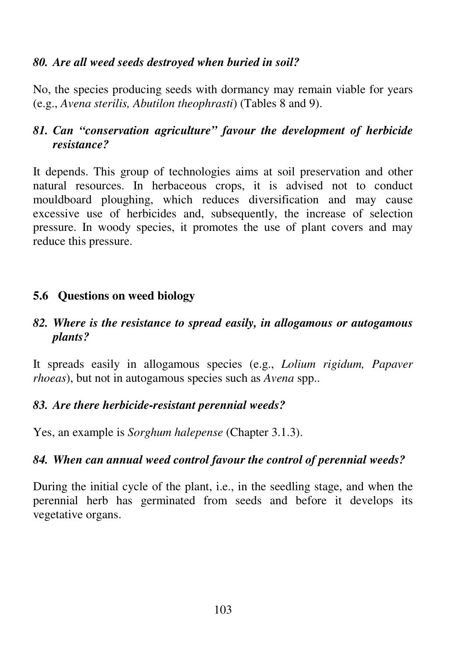#### *80. Are all weed seeds destroyed when buried in soil?*

No, the species producing seeds with dormancy may remain viable for years (e.g., *Avena sterilis, Abutilon theophrasti*) (Tables 8 and 9).

# *81. Can "conservation agriculture" favour the development of herbicide resistance?*

It depends. This group of technologies aims at soil preservation and other natural resources. In herbaceous crops, it is advised not to conduct mouldboard ploughing, which reduces diversification and may cause excessive use of herbicides and, subsequently, the increase of selection pressure. In woody species, it promotes the use of plant covers and may reduce this pressure.

## **5.6 Questions on weed biology**

#### *82. Where is the resistance to spread easily, in allogamous or autogamous plants?*

It spreads easily in allogamous species (e.g., *Lolium rigidum, Papaver rhoeas*), but not in autogamous species such as *Avena* spp..

## *83. Are there herbicide-resistant perennial weeds?*

Yes, an example is *Sorghum halepense* (Chapter 3.1.3).

## *84. When can annual weed control favour the control of perennial weeds?*

During the initial cycle of the plant, i.e., in the seedling stage, and when the perennial herb has germinated from seeds and before it develops its vegetative organs.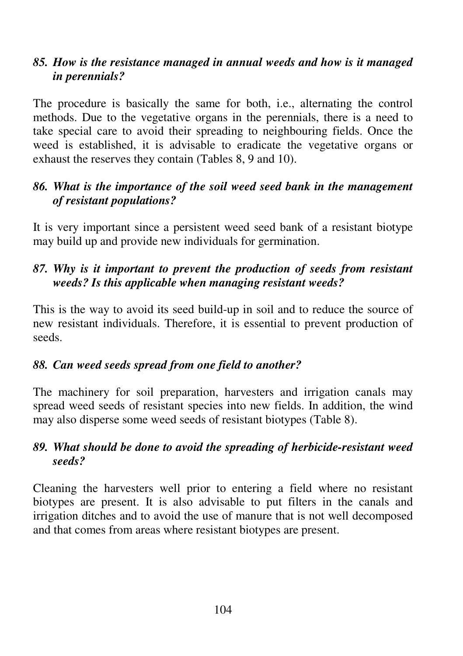#### *85. How is the resistance managed in annual weeds and how is it managed in perennials?*

The procedure is basically the same for both, i.e., alternating the control methods. Due to the vegetative organs in the perennials, there is a need to take special care to avoid their spreading to neighbouring fields. Once the weed is established, it is advisable to eradicate the vegetative organs or exhaust the reserves they contain (Tables 8, 9 and 10).

#### *86. What is the importance of the soil weed seed bank in the management of resistant populations?*

It is very important since a persistent weed seed bank of a resistant biotype may build up and provide new individuals for germination.

## *87. Why is it important to prevent the production of seeds from resistant weeds? Is this applicable when managing resistant weeds?*

This is the way to avoid its seed build-up in soil and to reduce the source of new resistant individuals. Therefore, it is essential to prevent production of seeds.

## *88. Can weed seeds spread from one field to another?*

The machinery for soil preparation, harvesters and irrigation canals may spread weed seeds of resistant species into new fields. In addition, the wind may also disperse some weed seeds of resistant biotypes (Table 8).

## *89. What should be done to avoid the spreading of herbicide-resistant weed seeds?*

Cleaning the harvesters well prior to entering a field where no resistant biotypes are present. It is also advisable to put filters in the canals and irrigation ditches and to avoid the use of manure that is not well decomposed and that comes from areas where resistant biotypes are present.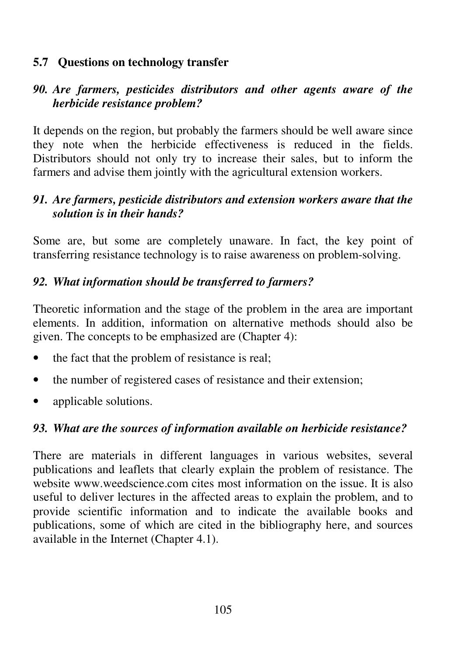#### **5.7 Questions on technology transfer**

## *90. Are farmers, pesticides distributors and other agents aware of the herbicide resistance problem?*

It depends on the region, but probably the farmers should be well aware since they note when the herbicide effectiveness is reduced in the fields. Distributors should not only try to increase their sales, but to inform the farmers and advise them jointly with the agricultural extension workers.

#### *91. Are farmers, pesticide distributors and extension workers aware that the solution is in their hands?*

Some are, but some are completely unaware. In fact, the key point of transferring resistance technology is to raise awareness on problem-solving.

#### *92. What information should be transferred to farmers?*

Theoretic information and the stage of the problem in the area are important elements. In addition, information on alternative methods should also be given. The concepts to be emphasized are (Chapter 4):

- the fact that the problem of resistance is real;
- the number of registered cases of resistance and their extension;
- applicable solutions.

## *93. What are the sources of information available on herbicide resistance?*

There are materials in different languages in various websites, several publications and leaflets that clearly explain the problem of resistance. The website www.weedscience.com cites most information on the issue. It is also useful to deliver lectures in the affected areas to explain the problem, and to provide scientific information and to indicate the available books and publications, some of which are cited in the bibliography here, and sources available in the Internet (Chapter 4.1).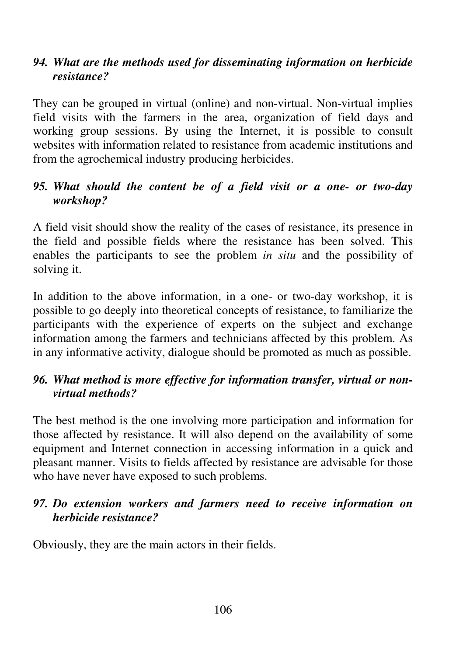## *94. What are the methods used for disseminating information on herbicide resistance?*

They can be grouped in virtual (online) and non-virtual. Non-virtual implies field visits with the farmers in the area, organization of field days and working group sessions. By using the Internet, it is possible to consult websites with information related to resistance from academic institutions and from the agrochemical industry producing herbicides.

#### *95. What should the content be of a field visit or a one- or two-day workshop?*

A field visit should show the reality of the cases of resistance, its presence in the field and possible fields where the resistance has been solved. This enables the participants to see the problem *in situ* and the possibility of solving it.

In addition to the above information, in a one- or two-day workshop, it is possible to go deeply into theoretical concepts of resistance, to familiarize the participants with the experience of experts on the subject and exchange information among the farmers and technicians affected by this problem. As in any informative activity, dialogue should be promoted as much as possible.

## *96. What method is more effective for information transfer, virtual or nonvirtual methods?*

The best method is the one involving more participation and information for those affected by resistance. It will also depend on the availability of some equipment and Internet connection in accessing information in a quick and pleasant manner. Visits to fields affected by resistance are advisable for those who have never have exposed to such problems.

#### *97. Do extension workers and farmers need to receive information on herbicide resistance?*

Obviously, they are the main actors in their fields.